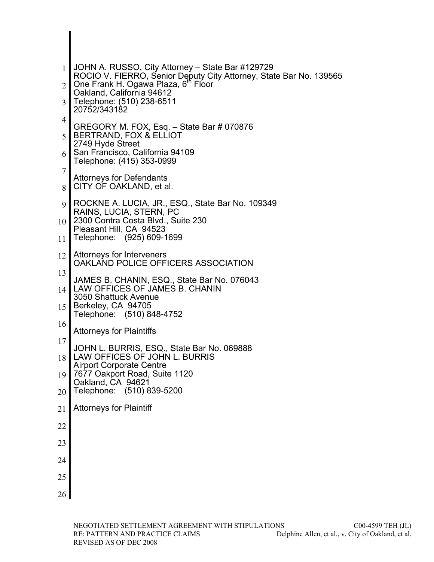| 1<br>2<br>3 | JOHN A. RUSSO, City Attorney – State Bar #129729<br>ROCIO V. FIERRO, Senior Deputy City Attorney, State Bar No. 139565<br>∥ One Frank H. Ogawa Plaza, 6 <sup>tn</sup> Floor<br>Oakland, California 94612<br>∥Telephone: (510) 238-6511 |
|-------------|----------------------------------------------------------------------------------------------------------------------------------------------------------------------------------------------------------------------------------------|
|             | 20752/343182                                                                                                                                                                                                                           |
| 4<br>5      | GREGORY M. FOX, Esq. - State Bar # 070876<br> BERTRAND, FOX & ELLIOT                                                                                                                                                                   |
|             | 2749 Hyde Street                                                                                                                                                                                                                       |
| 6           | ∥ San Francisco, California 94109<br>Telephone: (415) 353-0999                                                                                                                                                                         |
| 7           | <b>Attorneys for Defendants</b>                                                                                                                                                                                                        |
| 8           | CITY OF OAKLAND, et al.                                                                                                                                                                                                                |
| 9           | ROCKNE A. LUCIA, JR., ESQ., State Bar No. 109349<br>RAINS, LUCIA, STERN, PC                                                                                                                                                            |
| 10          | ∥ 2300 Contra Costa Blvd., Suite 230                                                                                                                                                                                                   |
| 11          | Pleasant Hill, CA 94523<br>∥ Telephone: (925) 609-1699                                                                                                                                                                                 |
| 12          | Attorneys for Interveners<br>OAKLAND POLICE OFFICERS ASSOCIATION                                                                                                                                                                       |
| 13<br>14    | JAMES B. CHANIN, ESQ., State Bar No. 076043<br>∥LAW OFFICES OF JAMES B. CHANIN                                                                                                                                                         |
| 15          | 3050 Shattuck Avenue<br>Berkeley, CA 94705<br>Telephone: (510) 848-4752                                                                                                                                                                |
| 16          | <b>Attorneys for Plaintiffs</b>                                                                                                                                                                                                        |
| 17          | JOHN L. BURRIS, ESQ., State Bar No. 069888                                                                                                                                                                                             |
| 18          | LAW OFFICES OF JOHN L. BURRIS<br><b>Airport Corporate Centre</b>                                                                                                                                                                       |
| 19          | 7677 Oakport Road, Suite 1120                                                                                                                                                                                                          |
| 20          | Oakland, CA 94621<br>Telephone: (510) 839-5200                                                                                                                                                                                         |
| 21          | <b>Attorneys for Plaintiff</b>                                                                                                                                                                                                         |
| 22          |                                                                                                                                                                                                                                        |
| 23          |                                                                                                                                                                                                                                        |
| 24          |                                                                                                                                                                                                                                        |
| 25          |                                                                                                                                                                                                                                        |
| 26          |                                                                                                                                                                                                                                        |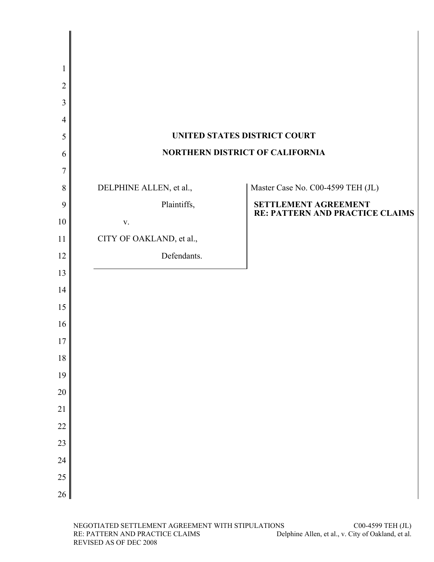| 1              |                          |                                                         |
|----------------|--------------------------|---------------------------------------------------------|
| $\overline{2}$ |                          |                                                         |
| 3              |                          |                                                         |
| $\overline{4}$ |                          |                                                         |
| 5              |                          | UNITED STATES DISTRICT COURT                            |
| 6              |                          | NORTHERN DISTRICT OF CALIFORNIA                         |
| $\overline{7}$ |                          |                                                         |
| 8              | DELPHINE ALLEN, et al.,  | Master Case No. C00-4599 TEH (JL)                       |
| 9              | Plaintiffs,              | SETTLEMENT AGREEMENT<br>RE: PATTERN AND PRACTICE CLAIMS |
| 10             | V.                       |                                                         |
| 11             | CITY OF OAKLAND, et al., |                                                         |
| 12             | Defendants.              |                                                         |
| 13             |                          |                                                         |
| 14             |                          |                                                         |
| 15             |                          |                                                         |
| 16             |                          |                                                         |
| 17             |                          |                                                         |
| 18             |                          |                                                         |
| 19             |                          |                                                         |
| 20             |                          |                                                         |
| 21             |                          |                                                         |
| 22             |                          |                                                         |
| 23             |                          |                                                         |
| 24             |                          |                                                         |
| 25             |                          |                                                         |
| 26             |                          |                                                         |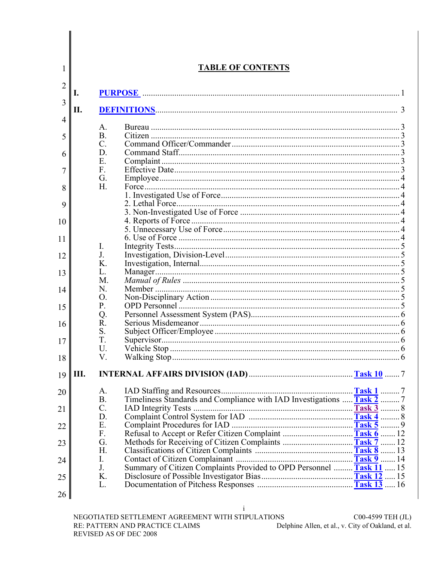| 1  |    |                              | <b>TABLE OF CONTENTS</b>                                             |  |
|----|----|------------------------------|----------------------------------------------------------------------|--|
| 2  | I. |                              |                                                                      |  |
| 3  | П. |                              |                                                                      |  |
| 4  |    |                              |                                                                      |  |
|    |    | A.<br>B <sub>1</sub>         |                                                                      |  |
| 5  |    | $\mathcal{C}$ .              |                                                                      |  |
|    |    | D.                           |                                                                      |  |
| 6  |    | Ε.                           |                                                                      |  |
| 7  |    | $F_{\cdot}$                  |                                                                      |  |
|    |    | G.                           |                                                                      |  |
| 8  |    | $H_{\cdot}$                  |                                                                      |  |
|    |    |                              |                                                                      |  |
| 9  |    |                              |                                                                      |  |
|    |    |                              |                                                                      |  |
| 10 |    |                              |                                                                      |  |
|    |    |                              |                                                                      |  |
| 11 |    |                              |                                                                      |  |
|    |    | L                            |                                                                      |  |
| 12 |    | J.                           |                                                                      |  |
|    |    | $K_{\cdot}$                  |                                                                      |  |
| 13 |    | L.                           |                                                                      |  |
|    |    | M.                           |                                                                      |  |
| 14 |    | N.                           |                                                                      |  |
|    |    | O.<br>P.                     |                                                                      |  |
| 15 |    | Q.                           |                                                                      |  |
|    |    | $R_{\cdot}$                  |                                                                      |  |
| 16 |    | S.                           |                                                                      |  |
| 17 |    | T.                           |                                                                      |  |
|    |    | U.                           |                                                                      |  |
| 18 |    | V.                           |                                                                      |  |
|    |    |                              |                                                                      |  |
| 19 | Ш. |                              |                                                                      |  |
|    |    |                              |                                                                      |  |
| 20 |    | A.                           |                                                                      |  |
|    |    | <b>B.</b><br>$\mathcal{C}$ . |                                                                      |  |
| 21 |    | D.                           |                                                                      |  |
|    |    | Ε.                           |                                                                      |  |
| 22 |    | F.                           |                                                                      |  |
| 23 |    | G.                           |                                                                      |  |
|    |    | H.                           |                                                                      |  |
| 24 |    | I.                           |                                                                      |  |
|    |    | J.                           | Summary of Citizen Complaints Provided to OPD Personnel  Task 11  15 |  |
| 25 |    | K.                           |                                                                      |  |
|    |    | L.                           |                                                                      |  |
| 26 |    |                              |                                                                      |  |

 $\rm i$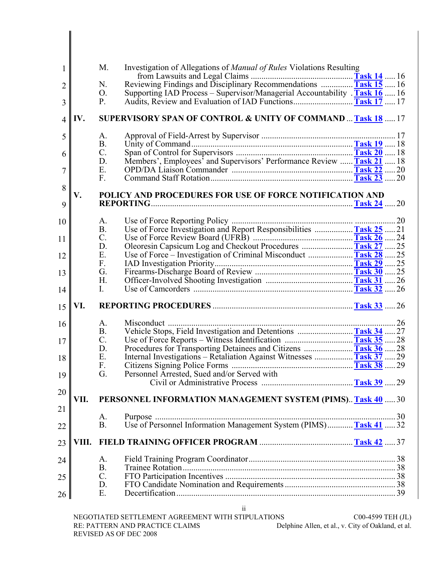| 1              |       | M.           | Investigation of Allegations of <i>Manual of Rules</i> Violations Resulting            |                 |            |
|----------------|-------|--------------|----------------------------------------------------------------------------------------|-----------------|------------|
| $\overline{2}$ |       | N.           | Reviewing Findings and Disciplinary Recommendations  Task 15  16                       |                 |            |
|                |       | O.           | Supporting IAD Process - Supervisor/Managerial Accountability . Task 16  16            |                 |            |
| 3              |       | P.           |                                                                                        |                 |            |
|                |       |              |                                                                                        |                 |            |
| 4              | IV.   |              | <b>SUPERVISORY SPAN OF CONTROL &amp; UNITY OF COMMAND  Task 18  17</b>                 |                 |            |
| 5              |       | A.           |                                                                                        |                 |            |
|                |       | <b>B.</b>    |                                                                                        |                 |            |
| 6              |       | C.           |                                                                                        |                 |            |
|                |       | D.           | Members', Employees <sup>5</sup> and Supervisors' Performance Review <b>Task 21</b> 18 |                 |            |
| 7              |       | E.           |                                                                                        |                 |            |
|                |       | $F_{\cdot}$  |                                                                                        |                 |            |
| 8              | V.    |              | POLICY AND PROCEDURES FOR USE OF FORCE NOTIFICATION AND                                |                 |            |
| 9              |       |              |                                                                                        | <b>Task 24.</b> | $\dots$ 20 |
|                |       |              |                                                                                        |                 |            |
| 10             |       | A.           |                                                                                        |                 |            |
|                |       | <b>B.</b>    |                                                                                        |                 |            |
| 11             |       | $C_{\cdot}$  |                                                                                        |                 |            |
|                |       | D.           |                                                                                        |                 |            |
| 12             |       | E.           |                                                                                        |                 |            |
|                |       | F.           |                                                                                        |                 |            |
| 13             |       | G.           |                                                                                        |                 |            |
|                |       | Η.           |                                                                                        |                 |            |
| 14             |       | $\mathbf{L}$ |                                                                                        |                 | $\dots 26$ |
| 15             | VI.   |              |                                                                                        |                 |            |
|                |       |              |                                                                                        |                 |            |
| 16             |       | A.           | Misconduct                                                                             |                 | 26         |
|                |       | <b>B.</b>    |                                                                                        |                 |            |
| 17             |       | $C$ .        |                                                                                        |                 |            |
|                |       | D.           |                                                                                        |                 |            |
| 18             |       | Ε.           |                                                                                        |                 |            |
|                |       | F.<br>G.     | Personnel Arrested, Sued and/or Served with                                            |                 |            |
| 19             |       |              |                                                                                        |                 |            |
| 20             |       |              |                                                                                        |                 |            |
|                | VII.  |              | PERSONNEL INFORMATION MANAGEMENT SYSTEM (PIMS) Task 40  30                             |                 |            |
| 21             |       |              |                                                                                        |                 |            |
|                |       | A.           |                                                                                        |                 |            |
| 22             |       | <b>B.</b>    |                                                                                        |                 |            |
| 23             | VIII. |              |                                                                                        |                 |            |
|                |       |              |                                                                                        |                 |            |
| 24             |       | A.           |                                                                                        |                 |            |
|                |       | <b>B.</b>    |                                                                                        |                 |            |
| 25             |       | $C$ .        |                                                                                        |                 |            |
|                |       | D.           |                                                                                        |                 |            |
| 26             |       | Ε.           |                                                                                        |                 |            |
|                |       |              | $\overline{\mathbf{u}}$                                                                |                 |            |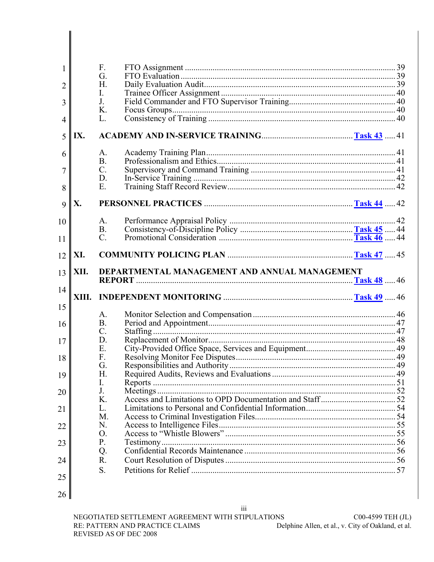| 1              |      | F.                |                                               |  |
|----------------|------|-------------------|-----------------------------------------------|--|
|                |      | G.                |                                               |  |
| $\overline{2}$ |      | H.                |                                               |  |
|                |      | L.                |                                               |  |
| 3              |      | J.                |                                               |  |
|                |      | K.                |                                               |  |
| $\overline{4}$ |      | L.                |                                               |  |
| 5              | IX.  |                   |                                               |  |
| 6              |      | A.                |                                               |  |
|                |      | B <sub>1</sub>    |                                               |  |
| 7              |      | $\mathcal{C}$ .   |                                               |  |
|                |      | D                 |                                               |  |
| 8              |      | $E_{\cdot}$       |                                               |  |
| $\mathbf{Q}$   | X.   |                   |                                               |  |
| 10             |      | $A_{\cdot}$       |                                               |  |
|                |      | <b>B.</b>         |                                               |  |
| 11             |      | $\mathcal{C}$ .   |                                               |  |
|                |      |                   |                                               |  |
| 12             | XI.  |                   |                                               |  |
| 13             | XII. |                   | DEPARTMENTAL MANAGEMENT AND ANNUAL MANAGEMENT |  |
|                |      |                   |                                               |  |
| 14             |      |                   |                                               |  |
|                |      |                   |                                               |  |
| 15             |      |                   |                                               |  |
|                |      | A.                |                                               |  |
| 16             |      | <b>B.</b>         |                                               |  |
|                |      | $\mathcal{C}$ .   |                                               |  |
| 17             |      | D.                |                                               |  |
|                |      | E.<br>$F_{\cdot}$ |                                               |  |
| 18             |      | G.                |                                               |  |
|                |      | Η.                |                                               |  |
| 19             |      | I.                |                                               |  |
| 20             |      | J.                |                                               |  |
|                |      | $K_{\cdot}$       |                                               |  |
| 21             |      | L.                |                                               |  |
|                |      | M.                |                                               |  |
| 22             |      | N.                |                                               |  |
|                |      | O <sub>1</sub>    |                                               |  |
| 23             |      | P.                |                                               |  |
|                |      | Q.                |                                               |  |
| 24             |      | R.                |                                               |  |
|                |      | S.                |                                               |  |
| 25<br>26       |      |                   |                                               |  |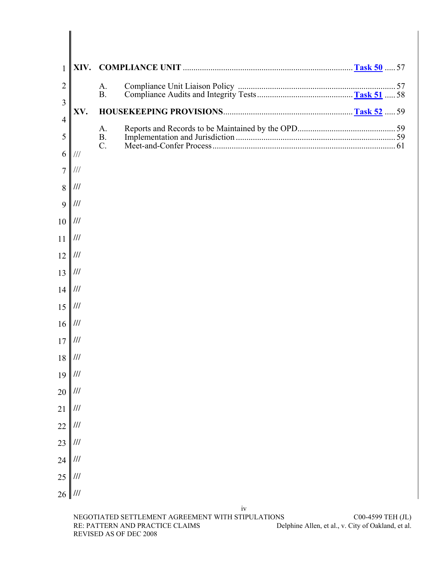| $\mathbf{1}$        | XIV.                               |                    | $\frac{Task 50}{120}$ 57 |  |
|---------------------|------------------------------------|--------------------|--------------------------|--|
| $\overline{2}$      |                                    | A.<br><b>B.</b>    |                          |  |
| 3                   | XV.                                |                    |                          |  |
| 4                   |                                    | A.                 |                          |  |
| 5                   |                                    | <b>B.</b><br>$C$ . |                          |  |
| 6                   | ///                                |                    |                          |  |
| 7                   | ///                                |                    |                          |  |
| 8                   | $^{\prime\prime\prime}$            |                    |                          |  |
| 9                   | $^{\prime\prime\prime}$            |                    |                          |  |
| 10                  | ///                                |                    |                          |  |
| 11                  | ///                                |                    |                          |  |
| 12                  | ///                                |                    |                          |  |
| 13                  | $\frac{1}{1}$                      |                    |                          |  |
| 14                  | $\frac{1}{1}$                      |                    |                          |  |
| 15                  | $\frac{1}{1}$                      |                    |                          |  |
| 16                  | $\frac{1}{1}$                      |                    |                          |  |
| 17                  | ///                                |                    |                          |  |
| 18                  | ///                                |                    |                          |  |
| 19                  | $\ensuremath{\mathit{III}}\xspace$ |                    |                          |  |
| $20\,$              | $\ensuremath{/\!/\!/\!_\ell}$      |                    |                          |  |
| $\overline{21}$     | $\ensuremath{\mathit{III}}\xspace$ |                    |                          |  |
| $\overline{22}$     | $\left  \mathcal{H} \right $       |                    |                          |  |
| 23                  | $\left  \mathcal{H} \right $       |                    |                          |  |
| 24                  | $\ensuremath{\mathit{III}}\xspace$ |                    |                          |  |
| $25$ $\frac{1}{11}$ |                                    |                    |                          |  |
| $26$ $\frac{1}{11}$ |                                    |                    |                          |  |
|                     |                                    |                    | $\mathrm{i}\mathrm{v}$   |  |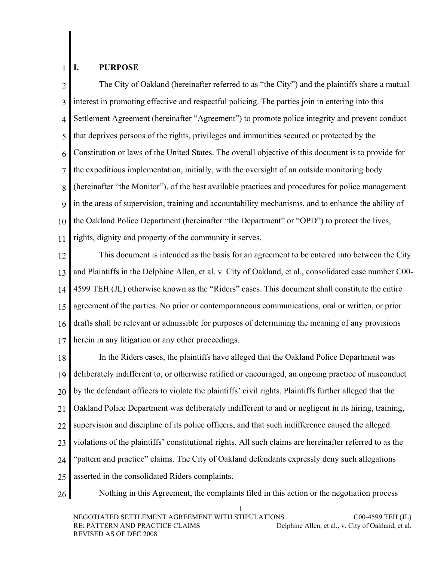#### <span id="page-6-0"></span>1 **I. PURPOSE**

2 3 4 5 6 7 8 9 10 11 The City of Oakland (hereinafter referred to as "the City") and the plaintiffs share a mutual interest in promoting effective and respectful policing. The parties join in entering into this Settlement Agreement (hereinafter "Agreement") to promote police integrity and prevent conduct that deprives persons of the rights, privileges and immunities secured or protected by the Constitution or laws of the United States. The overall objective of this document is to provide for the expeditious implementation, initially, with the oversight of an outside monitoring body (hereinafter "the Monitor"), of the best available practices and procedures for police management in the areas of supervision, training and accountability mechanisms, and to enhance the ability of the Oakland Police Department (hereinafter "the Department" or "OPD") to protect the lives, rights, dignity and property of the community it serves.

12 13 14 15 16 17 This document is intended as the basis for an agreement to be entered into between the City and Plaintiffs in the Delphine Allen, et al. v. City of Oakland, et al., consolidated case number C00- 4599 TEH (JL) otherwise known as the "Riders" cases. This document shall constitute the entire agreement of the parties. No prior or contemporaneous communications, oral or written, or prior drafts shall be relevant or admissible for purposes of determining the meaning of any provisions herein in any litigation or any other proceedings.

18 19 20 21 22 23 24 25 In the Riders cases, the plaintiffs have alleged that the Oakland Police Department was deliberately indifferent to, or otherwise ratified or encouraged, an ongoing practice of misconduct by the defendant officers to violate the plaintiffs' civil rights. Plaintiffs further alleged that the Oakland Police Department was deliberately indifferent to and or negligent in its hiring, training, supervision and discipline of its police officers, and that such indifference caused the alleged violations of the plaintiffs' constitutional rights. All such claims are hereinafter referred to as the "pattern and practice" claims. The City of Oakland defendants expressly deny such allegations asserted in the consolidated Riders complaints.

26 Nothing in this Agreement, the complaints filed in this action or the negotiation process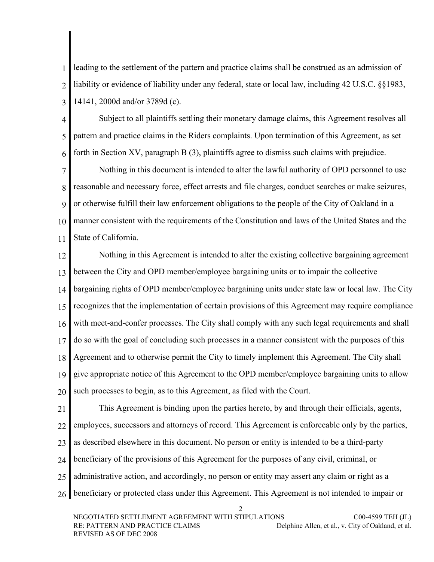1 2 3 leading to the settlement of the pattern and practice claims shall be construed as an admission of liability or evidence of liability under any federal, state or local law, including 42 U.S.C. §§1983, 14141, 2000d and/or 3789d (c).

4 5 6 Subject to all plaintiffs settling their monetary damage claims, this Agreement resolves all pattern and practice claims in the Riders complaints. Upon termination of this Agreement, as set forth in Section XV, paragraph B (3), plaintiffs agree to dismiss such claims with prejudice.

7 8 9 10 11 Nothing in this document is intended to alter the lawful authority of OPD personnel to use reasonable and necessary force, effect arrests and file charges, conduct searches or make seizures, or otherwise fulfill their law enforcement obligations to the people of the City of Oakland in a manner consistent with the requirements of the Constitution and laws of the United States and the State of California.

12 13 14 15 16 17 18 19 20 Nothing in this Agreement is intended to alter the existing collective bargaining agreement between the City and OPD member/employee bargaining units or to impair the collective bargaining rights of OPD member/employee bargaining units under state law or local law. The City recognizes that the implementation of certain provisions of this Agreement may require compliance with meet-and-confer processes. The City shall comply with any such legal requirements and shall do so with the goal of concluding such processes in a manner consistent with the purposes of this Agreement and to otherwise permit the City to timely implement this Agreement. The City shall give appropriate notice of this Agreement to the OPD member/employee bargaining units to allow such processes to begin, as to this Agreement, as filed with the Court.

21 22 23 24 25 26 This Agreement is binding upon the parties hereto, by and through their officials, agents, employees, successors and attorneys of record. This Agreement is enforceable only by the parties, as described elsewhere in this document. No person or entity is intended to be a third-party beneficiary of the provisions of this Agreement for the purposes of any civil, criminal, or administrative action, and accordingly, no person or entity may assert any claim or right as a beneficiary or protected class under this Agreement. This Agreement is not intended to impair or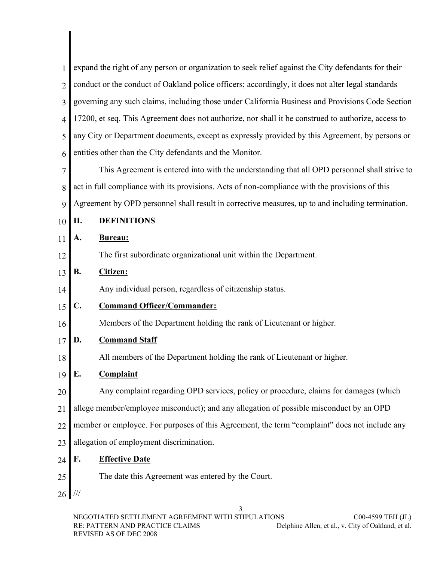<span id="page-8-0"></span>1 2 3 4 5 6 expand the right of any person or organization to seek relief against the City defendants for their conduct or the conduct of Oakland police officers; accordingly, it does not alter legal standards governing any such claims, including those under California Business and Provisions Code Section 17200, et seq. This Agreement does not authorize, nor shall it be construed to authorize, access to any City or Department documents, except as expressly provided by this Agreement, by persons or entities other than the City defendants and the Monitor.

- 7 8  $\overline{Q}$ This Agreement is entered into with the understanding that all OPD personnel shall strive to act in full compliance with its provisions. Acts of non-compliance with the provisions of this Agreement by OPD personnel shall result in corrective measures, up to and including termination.
- 10 **II. DEFINITIONS**

#### 11 **A. Bureau:**

12 The first subordinate organizational unit within the Department.

#### 13 **B. Citizen:**

14 Any individual person, regardless of citizenship status.

#### 15 **C. Command Officer/Commander:**

16 Members of the Department holding the rank of Lieutenant or higher.

#### 17 **D. Command Staff**

18 All members of the Department holding the rank of Lieutenant or higher.

#### 19 **E. Complaint**

- 20 Any complaint regarding OPD services, policy or procedure, claims for damages (which
- $21$ allege member/employee misconduct); and any allegation of possible misconduct by an OPD
- 22 member or employee. For purposes of this Agreement, the term "complaint" does not include any
- 23 allegation of employment discrimination.
- 24 **F. Effective Date**

#### 25 The date this Agreement was entered by the Court.

 $26$   $\frac{1}{11}$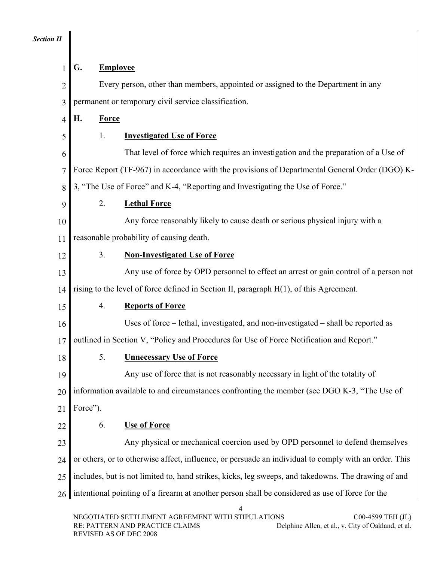| on 11          |                                                                                  |                 |                                                                                                       |  |  |  |  |
|----------------|----------------------------------------------------------------------------------|-----------------|-------------------------------------------------------------------------------------------------------|--|--|--|--|
| $\mathbf{1}$   | G.                                                                               | <b>Employee</b> |                                                                                                       |  |  |  |  |
| $\overline{2}$ | Every person, other than members, appointed or assigned to the Department in any |                 |                                                                                                       |  |  |  |  |
| 3              |                                                                                  |                 | permanent or temporary civil service classification.                                                  |  |  |  |  |
| $\overline{4}$ | Η.                                                                               | Force           |                                                                                                       |  |  |  |  |
| 5              |                                                                                  | 1.              | <b>Investigated Use of Force</b>                                                                      |  |  |  |  |
| 6              |                                                                                  |                 | That level of force which requires an investigation and the preparation of a Use of                   |  |  |  |  |
| 7              |                                                                                  |                 | Force Report (TF-967) in accordance with the provisions of Departmental General Order (DGO) K-        |  |  |  |  |
| 8              |                                                                                  |                 | 3, "The Use of Force" and K-4, "Reporting and Investigating the Use of Force."                        |  |  |  |  |
| 9              |                                                                                  | 2.              | <b>Lethal Force</b>                                                                                   |  |  |  |  |
| 10             |                                                                                  |                 | Any force reasonably likely to cause death or serious physical injury with a                          |  |  |  |  |
| 11             |                                                                                  |                 | reasonable probability of causing death.                                                              |  |  |  |  |
| 12             |                                                                                  | 3.              | <b>Non-Investigated Use of Force</b>                                                                  |  |  |  |  |
| 13             |                                                                                  |                 | Any use of force by OPD personnel to effect an arrest or gain control of a person not                 |  |  |  |  |
| 14             |                                                                                  |                 | rising to the level of force defined in Section II, paragraph $H(1)$ , of this Agreement.             |  |  |  |  |
| 15             |                                                                                  | 4.              | <b>Reports of Force</b>                                                                               |  |  |  |  |
| 16             |                                                                                  |                 | Uses of force – lethal, investigated, and non-investigated – shall be reported as                     |  |  |  |  |
| 17             |                                                                                  |                 | outlined in Section V, "Policy and Procedures for Use of Force Notification and Report."              |  |  |  |  |
| 18             |                                                                                  | 5.              | <b>Unnecessary Use of Force</b>                                                                       |  |  |  |  |
| 19             |                                                                                  |                 | Any use of force that is not reasonably necessary in light of the totality of                         |  |  |  |  |
| 20             |                                                                                  |                 | information available to and circumstances confronting the member (see DGO K-3, "The Use of           |  |  |  |  |
| 21             | Force").                                                                         |                 |                                                                                                       |  |  |  |  |
| 22             |                                                                                  | 6.              | <b>Use of Force</b>                                                                                   |  |  |  |  |
| 23             |                                                                                  |                 | Any physical or mechanical coercion used by OPD personnel to defend themselves                        |  |  |  |  |
| 24             |                                                                                  |                 | or others, or to otherwise affect, influence, or persuade an individual to comply with an order. This |  |  |  |  |
| 25             |                                                                                  |                 | includes, but is not limited to, hand strikes, kicks, leg sweeps, and takedowns. The drawing of and   |  |  |  |  |
| 26             |                                                                                  |                 | intentional pointing of a firearm at another person shall be considered as use of force for the       |  |  |  |  |
|                |                                                                                  |                 | NEGOTIATED SETTLEMENT AGREEMENT WITH STIPULATIONS<br>C00-4599 TEH (JL)                                |  |  |  |  |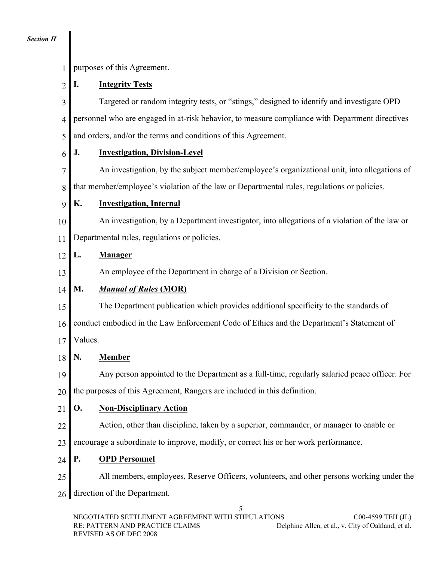1 purposes of this Agreement.

#### 2 **I. Integrity Tests**

3 4 5 Targeted or random integrity tests, or "stings," designed to identify and investigate OPD personnel who are engaged in at-risk behavior, to measure compliance with Department directives and orders, and/or the terms and conditions of this Agreement.

#### 6 **J. Investigation, Division-Level**

7 8 An investigation, by the subject member/employee's organizational unit, into allegations of that member/employee's violation of the law or Departmental rules, regulations or policies.

#### $\overline{Q}$ **K. Investigation, Internal**

10 11 An investigation, by a Department investigator, into allegations of a violation of the law or Departmental rules, regulations or policies.

#### 12 **L. Manager**

13 An employee of the Department in charge of a Division or Section.

#### 14 **M.** *Manual of Rules* **(MOR)**

15 The Department publication which provides additional specificity to the standards of

16 conduct embodied in the Law Enforcement Code of Ethics and the Department's Statement of

17 Values.

#### 18 **N. Member**

19 20 Any person appointed to the Department as a full-time, regularly salaried peace officer. For the purposes of this Agreement, Rangers are included in this definition.

#### $21$ **O. Non-Disciplinary Action**

22 Action, other than discipline, taken by a superior, commander, or manager to enable or

23 encourage a subordinate to improve, modify, or correct his or her work performance.

- 24 **P. OPD Personnel**
- 25 All members, employees, Reserve Officers, volunteers, and other persons working under the
- 26 direction of the Department.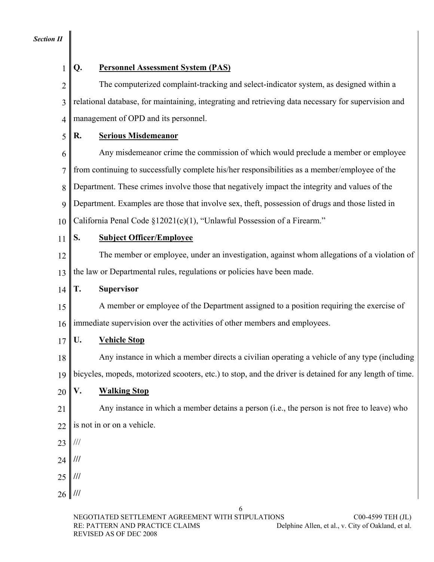- *Section II*
	- 1 2 3 4 5 6 7 8 9 10 11 12 13 14 15 16 17 18 19 20 21 22 23 24 **///**  25 26 **///**6 **Q. Personnel Assessment System (PAS)** The computerized complaint-tracking and select-indicator system, as designed within a relational database, for maintaining, integrating and retrieving data necessary for supervision and management of OPD and its personnel. **R. Serious Misdemeanor**  Any misdemeanor crime the commission of which would preclude a member or employee from continuing to successfully complete his/her responsibilities as a member/employee of the Department. These crimes involve those that negatively impact the integrity and values of the Department. Examples are those that involve sex, theft, possession of drugs and those listed in California Penal Code §12021(c)(1), "Unlawful Possession of a Firearm." **S. Subject Officer/Employee** The member or employee, under an investigation, against whom allegations of a violation of the law or Departmental rules, regulations or policies have been made. **T. Supervisor**  A member or employee of the Department assigned to a position requiring the exercise of immediate supervision over the activities of other members and employees. **U. Vehicle Stop** Any instance in which a member directs a civilian operating a vehicle of any type (including bicycles, mopeds, motorized scooters, etc.) to stop, and the driver is detained for any length of time. **V. Walking Stop** Any instance in which a member detains a person (i.e., the person is not free to leave) who is not in or on a vehicle. /// **///**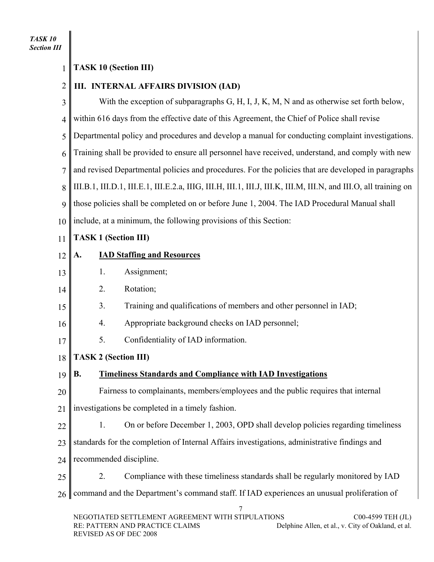#### <span id="page-12-0"></span>1 **TASK 10 (Section III)**

REVISED AS OF DEC 2008

#### 2 **III. INTERNAL AFFAIRS DIVISION (IAD)**

3 4 5 6 7 8  $\overline{Q}$ 10 11 12 13 14 15 16 17 18 19 20  $21$ 22 23 24 25 26 command and the Department's command staff. If IAD experiences an unusual proliferation of NEGOTIATED SETTLEMENT AGREEMENT WITH STIPULATIONS C00-4599 TEH (JL) RE: PATTERN AND PRACTICE CLAIMS Delphine Allen, et al., v. City of Oakland, et al. 7 With the exception of subparagraphs G, H, I, J, K, M, N and as otherwise set forth below, within 616 days from the effective date of this Agreement, the Chief of Police shall revise Departmental policy and procedures and develop a manual for conducting complaint investigations. Training shall be provided to ensure all personnel have received, understand, and comply with new and revised Departmental policies and procedures. For the policies that are developed in paragraphs III.B.1, III.D.1, III.E.1, III.E.2.a, IIIG, III.H, III.1, III.J, III.K, III.M, III.N, and III.O, all training on those policies shall be completed on or before June 1, 2004. The IAD Procedural Manual shall include, at a minimum, the following provisions of this Section: **TASK 1 (Section III) A. IAD Staffing and Resources**  1. Assignment; 2. Rotation; 3. Training and qualifications of members and other personnel in IAD; 4. Appropriate background checks on IAD personnel; 5. Confidentiality of IAD information. **TASK 2 (Section III) B. Timeliness Standards and Compliance with IAD Investigations** Fairness to complainants, members/employees and the public requires that internal investigations be completed in a timely fashion. 1. On or before December 1, 2003, OPD shall develop policies regarding timeliness standards for the completion of Internal Affairs investigations, administrative findings and recommended discipline. 2. Compliance with these timeliness standards shall be regularly monitored by IAD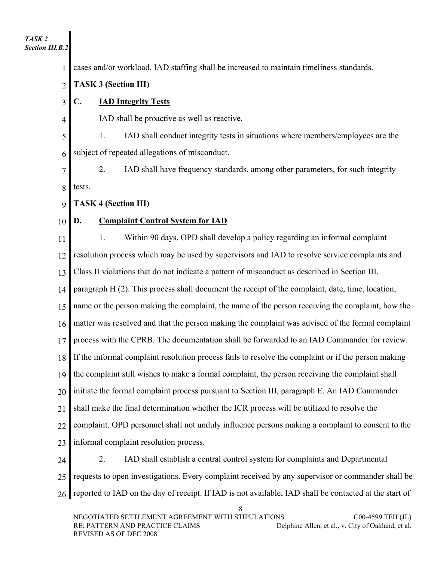4

<span id="page-13-0"></span>1 cases and/or workload, IAD staffing shall be increased to maintain timeliness standards.

- 2 **TASK 3 (Section III)**
- 3 **C. IAD Integrity Tests**

IAD shall be proactive as well as reactive.

5 6 1. IAD shall conduct integrity tests in situations where members/employees are the subject of repeated allegations of misconduct.

7 8 2. IAD shall have frequency standards, among other parameters, for such integrity tests.

 $\overline{Q}$ **TASK 4 (Section III)** 

#### 10 **D. Complaint Control System for IAD**

11 12 13 14 15 16 17 18 19 20 21 22 23 24 25 1. Within 90 days, OPD shall develop a policy regarding an informal complaint resolution process which may be used by supervisors and IAD to resolve service complaints and Class II violations that do not indicate a pattern of misconduct as described in Section III, paragraph H (2). This process shall document the receipt of the complaint, date, time, location, name or the person making the complaint, the name of the person receiving the complaint, how the matter was resolved and that the person making the complaint was advised of the formal complaint process with the CPRB. The documentation shall be forwarded to an IAD Commander for review. If the informal complaint resolution process fails to resolve the complaint or if the person making the complaint still wishes to make a formal complaint, the person receiving the complaint shall initiate the formal complaint process pursuant to Section III, paragraph E. An IAD Commander shall make the final determination whether the ICR process will be utilized to resolve the complaint. OPD personnel shall not unduly influence persons making a complaint to consent to the informal complaint resolution process. 2. IAD shall establish a central control system for complaints and Departmental requests to open investigations. Every complaint received by any supervisor or commander shall be

26 l reported to IAD on the day of receipt. If IAD is not available, IAD shall be contacted at the start of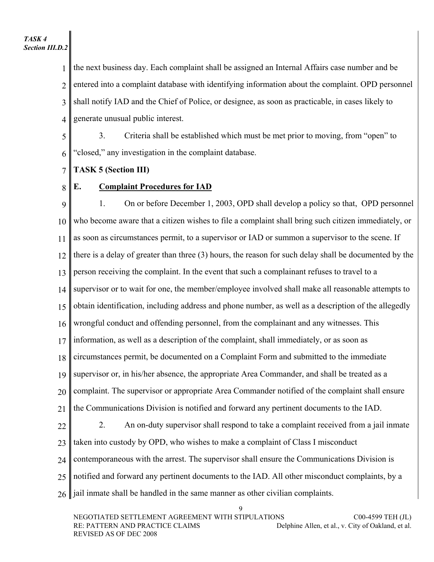<span id="page-14-0"></span>1 2 3 4 the next business day. Each complaint shall be assigned an Internal Affairs case number and be entered into a complaint database with identifying information about the complaint. OPD personnel shall notify IAD and the Chief of Police, or designee, as soon as practicable, in cases likely to generate unusual public interest.

5 6 3. Criteria shall be established which must be met prior to moving, from "open" to "closed," any investigation in the complaint database.

- 7 **TASK 5 (Section III)**
- 8

### **E. Complaint Procedures for IAD**

 $\overline{Q}$ 10 11 12 13 14 15 16 17 18 19 20  $21$ 22 23 24 25  $26$  || jail inmate shall be handled in the same manner as other civilian complaints. 1. On or before December 1, 2003, OPD shall develop a policy so that, OPD personnel who become aware that a citizen wishes to file a complaint shall bring such citizen immediately, or as soon as circumstances permit, to a supervisor or IAD or summon a supervisor to the scene. If there is a delay of greater than three (3) hours, the reason for such delay shall be documented by the person receiving the complaint. In the event that such a complainant refuses to travel to a supervisor or to wait for one, the member/employee involved shall make all reasonable attempts to obtain identification, including address and phone number, as well as a description of the allegedly wrongful conduct and offending personnel, from the complainant and any witnesses. This information, as well as a description of the complaint, shall immediately, or as soon as circumstances permit, be documented on a Complaint Form and submitted to the immediate supervisor or, in his/her absence, the appropriate Area Commander, and shall be treated as a complaint. The supervisor or appropriate Area Commander notified of the complaint shall ensure the Communications Division is notified and forward any pertinent documents to the IAD. 2. An on-duty supervisor shall respond to take a complaint received from a jail inmate taken into custody by OPD, who wishes to make a complaint of Class I misconduct contemporaneous with the arrest. The supervisor shall ensure the Communications Division is notified and forward any pertinent documents to the IAD. All other misconduct complaints, by a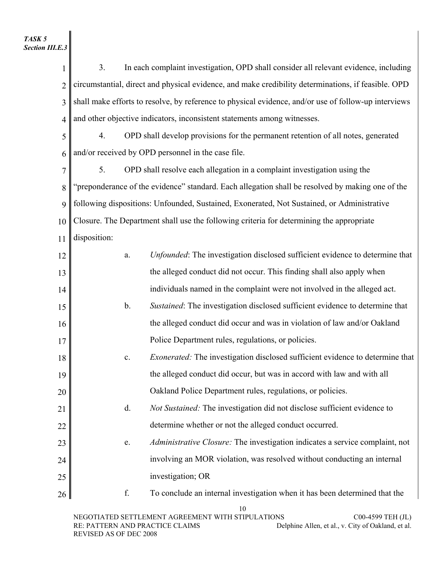| TASK 5                 |  |
|------------------------|--|
| <b>Section III.E.3</b> |  |

| 1              | 3.            | In each complaint investigation, OPD shall consider all relevant evidence, including                 |
|----------------|---------------|------------------------------------------------------------------------------------------------------|
| $\overline{2}$ |               | circumstantial, direct and physical evidence, and make credibility determinations, if feasible. OPD  |
| 3              |               | shall make efforts to resolve, by reference to physical evidence, and/or use of follow-up interviews |
| 4              |               | and other objective indicators, inconsistent statements among witnesses.                             |
| 5              | 4.            | OPD shall develop provisions for the permanent retention of all notes, generated                     |
| 6              |               | and/or received by OPD personnel in the case file.                                                   |
| 7              | 5.            | OPD shall resolve each allegation in a complaint investigation using the                             |
| 8              |               | "preponderance of the evidence" standard. Each allegation shall be resolved by making one of the     |
| 9              |               | following dispositions: Unfounded, Sustained, Exonerated, Not Sustained, or Administrative           |
| 10             |               | Closure. The Department shall use the following criteria for determining the appropriate             |
| 11             | disposition:  |                                                                                                      |
| 12             | $a$ .         | Unfounded: The investigation disclosed sufficient evidence to determine that                         |
| 13             |               | the alleged conduct did not occur. This finding shall also apply when                                |
| 14             |               | individuals named in the complaint were not involved in the alleged act.                             |
| 15             | b.            | Sustained: The investigation disclosed sufficient evidence to determine that                         |
| 16             |               | the alleged conduct did occur and was in violation of law and/or Oakland                             |
| 17             |               | Police Department rules, regulations, or policies.                                                   |
| 18             | $\mathbf{c}.$ | <i>Exonerated:</i> The investigation disclosed sufficient evidence to determine that                 |
| 19             |               | the alleged conduct did occur, but was in accord with law and with all                               |
| 20             |               | Oakland Police Department rules, regulations, or policies.                                           |
| 21             | $d$ .         | Not Sustained: The investigation did not disclose sufficient evidence to                             |
| 22             |               | determine whether or not the alleged conduct occurred.                                               |
| 23             | e.            | Administrative Closure: The investigation indicates a service complaint, not                         |
| 24             |               | involving an MOR violation, was resolved without conducting an internal                              |
| 25             |               | investigation; OR                                                                                    |
| 26             | f.            | To conclude an internal investigation when it has been determined that the                           |
|                |               |                                                                                                      |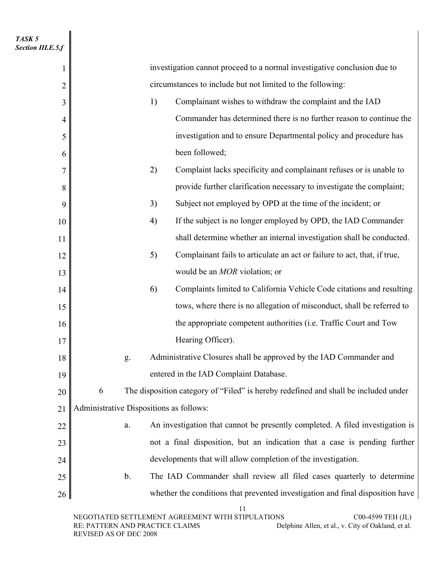| TASK <sub>5</sub><br>Section III.E.5.f |   |       |    |                                                                                     |
|----------------------------------------|---|-------|----|-------------------------------------------------------------------------------------|
| 1                                      |   |       |    | investigation cannot proceed to a normal investigative conclusion due to            |
| $\overline{2}$                         |   |       |    | circumstances to include but not limited to the following:                          |
| $\overline{3}$                         |   |       | 1) | Complainant wishes to withdraw the complaint and the IAD                            |
| 4                                      |   |       |    | Commander has determined there is no further reason to continue the                 |
| 5                                      |   |       |    | investigation and to ensure Departmental policy and procedure has                   |
| 6                                      |   |       |    | been followed;                                                                      |
| $\overline{7}$                         |   |       | 2) | Complaint lacks specificity and complainant refuses or is unable to                 |
| 8                                      |   |       |    | provide further clarification necessary to investigate the complaint;               |
| 9                                      |   |       | 3) | Subject not employed by OPD at the time of the incident; or                         |
| 10                                     |   |       | 4) | If the subject is no longer employed by OPD, the IAD Commander                      |
| 11                                     |   |       |    | shall determine whether an internal investigation shall be conducted.               |
| 12                                     |   |       | 5) | Complainant fails to articulate an act or failure to act, that, if true,            |
| 13                                     |   |       |    | would be an <i>MOR</i> violation; or                                                |
| 14                                     |   |       | 6) | Complaints limited to California Vehicle Code citations and resulting               |
| 15                                     |   |       |    | tows, where there is no allegation of misconduct, shall be referred to              |
| 16                                     |   |       |    | the appropriate competent authorities (i.e. Traffic Court and Tow                   |
| 17                                     |   |       |    | Hearing Officer).                                                                   |
| 18                                     |   | g.    |    | Administrative Closures shall be approved by the IAD Commander and                  |
| 19                                     |   |       |    | entered in the IAD Complaint Database.                                              |
| 20                                     | 6 |       |    | The disposition category of "Filed" is hereby redefined and shall be included under |
| 21                                     |   |       |    | Administrative Dispositions as follows:                                             |
| 22                                     |   | a.    |    | An investigation that cannot be presently completed. A filed investigation is       |
| 23                                     |   |       |    | not a final disposition, but an indication that a case is pending further           |
| 24                                     |   |       |    | developments that will allow completion of the investigation.                       |
| 25                                     |   | $b$ . |    | The IAD Commander shall review all filed cases quarterly to determine               |
| 26                                     |   |       |    | whether the conditions that prevented investigation and final disposition have      |
|                                        |   |       |    | 11                                                                                  |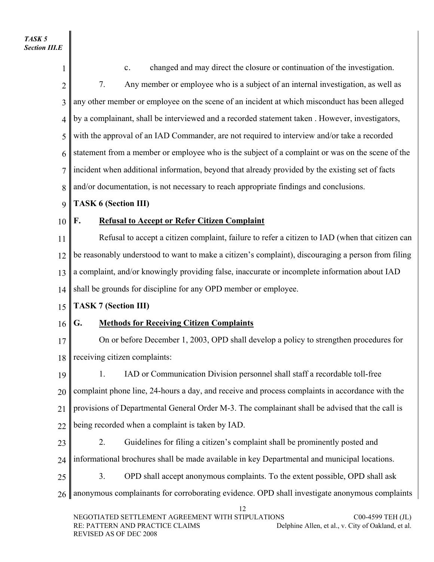<span id="page-17-0"></span>1 2 3 4 5 6 7 8  $\overline{Q}$ 10 11 12 13 14 15 16 17 18 19 20 21 22 23 24 25 26 anonymous complainants for corroborating evidence. OPD shall investigate anonymous complaints c. changed and may direct the closure or continuation of the investigation. 7. Any member or employee who is a subject of an internal investigation, as well as any other member or employee on the scene of an incident at which misconduct has been alleged by a complainant, shall be interviewed and a recorded statement taken . However, investigators, with the approval of an IAD Commander, are not required to interview and/or take a recorded statement from a member or employee who is the subject of a complaint or was on the scene of the incident when additional information, beyond that already provided by the existing set of facts and/or documentation, is not necessary to reach appropriate findings and conclusions. **TASK 6 (Section III) F. Refusal to Accept or Refer Citizen Complaint** Refusal to accept a citizen complaint, failure to refer a citizen to IAD (when that citizen can be reasonably understood to want to make a citizen's complaint), discouraging a person from filing a complaint, and/or knowingly providing false, inaccurate or incomplete information about IAD shall be grounds for discipline for any OPD member or employee. **TASK 7 (Section III) G. Methods for Receiving Citizen Complaints** On or before December 1, 2003, OPD shall develop a policy to strengthen procedures for receiving citizen complaints: 1. IAD or Communication Division personnel shall staff a recordable toll-free complaint phone line, 24-hours a day, and receive and process complaints in accordance with the provisions of Departmental General Order M-3. The complainant shall be advised that the call is being recorded when a complaint is taken by IAD. 2. Guidelines for filing a citizen's complaint shall be prominently posted and informational brochures shall be made available in key Departmental and municipal locations. 3. OPD shall accept anonymous complaints. To the extent possible, OPD shall ask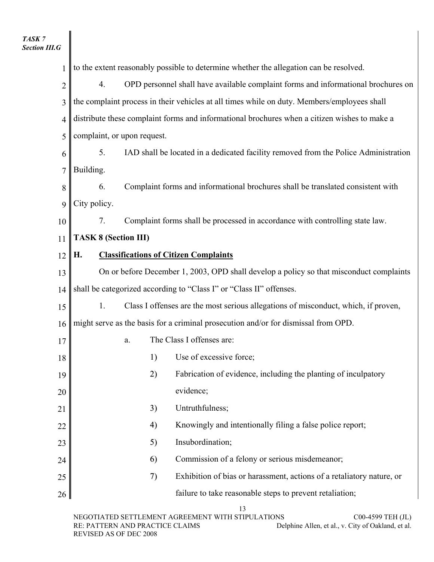<span id="page-18-0"></span>

| 1              |                             |                             | to the extent reasonably possible to determine whether the allegation can be resolved.       |
|----------------|-----------------------------|-----------------------------|----------------------------------------------------------------------------------------------|
| $\overline{2}$ | 4.                          |                             | OPD personnel shall have available complaint forms and informational brochures on            |
| 3              |                             |                             | the complaint process in their vehicles at all times while on duty. Members/employees shall  |
| $\overline{4}$ |                             |                             | distribute these complaint forms and informational brochures when a citizen wishes to make a |
| 5              |                             | complaint, or upon request. |                                                                                              |
| 6              | 5.                          |                             | IAD shall be located in a dedicated facility removed from the Police Administration          |
| 7              | Building.                   |                             |                                                                                              |
| 8              | 6.                          |                             | Complaint forms and informational brochures shall be translated consistent with              |
| 9              | City policy.                |                             |                                                                                              |
| 10             | 7.                          |                             | Complaint forms shall be processed in accordance with controlling state law.                 |
| 11             | <b>TASK 8 (Section III)</b> |                             |                                                                                              |
| 12             | Н.                          |                             | <b>Classifications of Citizen Complaints</b>                                                 |
| 13             |                             |                             | On or before December 1, 2003, OPD shall develop a policy so that misconduct complaints      |
| 14             |                             |                             | shall be categorized according to "Class I" or "Class II" offenses.                          |
| 15             | 1.                          |                             | Class I offenses are the most serious allegations of misconduct, which, if proven,           |
| 16             |                             |                             | might serve as the basis for a criminal prosecution and/or for dismissal from OPD.           |
| 17             |                             | a.                          | The Class I offenses are:                                                                    |
| 18             |                             | 1)                          | Use of excessive force;                                                                      |
| 19             |                             | 2)                          | Fabrication of evidence, including the planting of inculpatory                               |
| 20             |                             |                             | evidence;                                                                                    |
| 21             |                             | 3)                          | Untruthfulness;                                                                              |
| 22             |                             | 4)                          | Knowingly and intentionally filing a false police report;                                    |
| 23             |                             | 5)                          | Insubordination;                                                                             |
| 24             |                             | 6)                          | Commission of a felony or serious misdemeanor;                                               |
| 25             |                             | 7)                          | Exhibition of bias or harassment, actions of a retaliatory nature, or                        |
| 26             |                             |                             | failure to take reasonable steps to prevent retaliation;                                     |
|                |                             |                             |                                                                                              |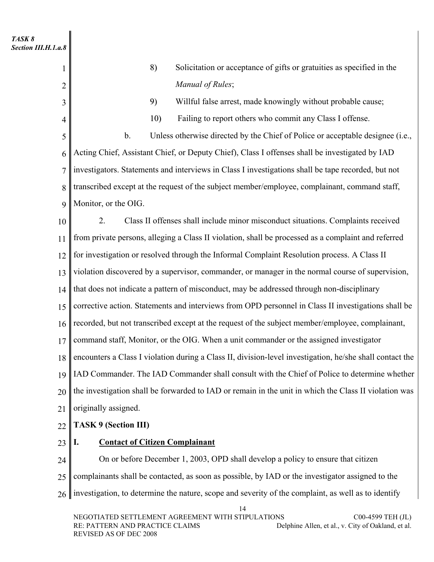### <span id="page-19-0"></span>*TASK 8 Section III.H.1.a.8*

| 1               | 8)<br>Solicitation or acceptance of gifts or gratuities as specified in the                              |
|-----------------|----------------------------------------------------------------------------------------------------------|
| $\overline{2}$  | Manual of Rules;                                                                                         |
| 3               | 9)<br>Willful false arrest, made knowingly without probable cause;                                       |
| 4               | Failing to report others who commit any Class I offense.<br>10)                                          |
| 5               | Unless otherwise directed by the Chief of Police or acceptable designee (i.e.,<br>$\mathbf b$ .          |
| 6               | Acting Chief, Assistant Chief, or Deputy Chief), Class I offenses shall be investigated by IAD           |
| $\overline{7}$  | investigators. Statements and interviews in Class I investigations shall be tape recorded, but not       |
| 8               | transcribed except at the request of the subject member/employee, complainant, command staff,            |
| 9               | Monitor, or the OIG.                                                                                     |
| 10              | Class II offenses shall include minor misconduct situations. Complaints received<br>2.                   |
| 11              | from private persons, alleging a Class II violation, shall be processed as a complaint and referred      |
| 12              | for investigation or resolved through the Informal Complaint Resolution process. A Class II              |
| 13              | violation discovered by a supervisor, commander, or manager in the normal course of supervision,         |
| 14              | that does not indicate a pattern of misconduct, may be addressed through non-disciplinary                |
| 15              | corrective action. Statements and interviews from OPD personnel in Class II investigations shall be      |
| 16              | recorded, but not transcribed except at the request of the subject member/employee, complainant,         |
| 17              | command staff, Monitor, or the OIG. When a unit commander or the assigned investigator                   |
| 18              | encounters a Class I violation during a Class II, division-level investigation, he/she shall contact the |
|                 | 19    IAD Commander. The IAD Commander shall consult with the Chief of Police to determine whether       |
| 20              | the investigation shall be forwarded to IAD or remain in the unit in which the Class II violation was    |
| 21              | originally assigned.                                                                                     |
| 22              | <b>TASK 9 (Section III)</b>                                                                              |
| 23              | <b>Contact of Citizen Complainant</b><br>I.                                                              |
| 24              | On or before December 1, 2003, OPD shall develop a policy to ensure that citizen                         |
| 25              | complainants shall be contacted, as soon as possible, by IAD or the investigator assigned to the         |
| 26 <sup>1</sup> | investigation, to determine the nature, scope and severity of the complaint, as well as to identify      |
|                 | 14                                                                                                       |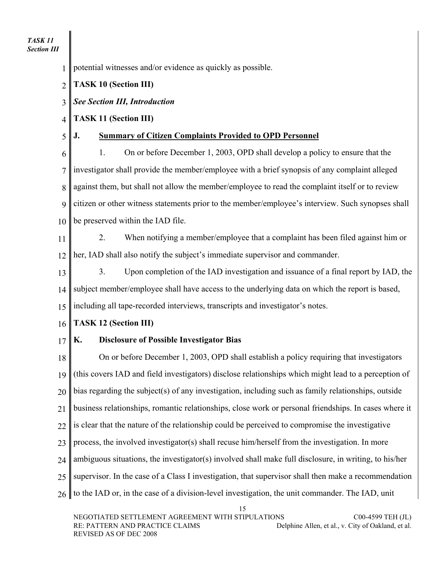<span id="page-20-0"></span>1 potential witnesses and/or evidence as quickly as possible.

2 **TASK 10 (Section III)** 

3 *See Section III, Introduction* 

4 **TASK 11 (Section III)** 

#### 5 **J. Summary of Citizen Complaints Provided to OPD Personnel**

6 7 8  $\overline{Q}$ 10 1. On or before December 1, 2003, OPD shall develop a policy to ensure that the investigator shall provide the member/employee with a brief synopsis of any complaint alleged against them, but shall not allow the member/employee to read the complaint itself or to review citizen or other witness statements prior to the member/employee's interview. Such synopses shall be preserved within the IAD file.

11 12 2. When notifying a member/employee that a complaint has been filed against him or her, IAD shall also notify the subject's immediate supervisor and commander.

13 14 15 3. Upon completion of the IAD investigation and issuance of a final report by IAD, the subject member/employee shall have access to the underlying data on which the report is based, including all tape-recorded interviews, transcripts and investigator's notes.

#### 16 **TASK 12 (Section III)**

17 **K. Disclosure of Possible Investigator Bias**

18 19 20 21 22 23 24 25 26 l 15 On or before December 1, 2003, OPD shall establish a policy requiring that investigators (this covers IAD and field investigators) disclose relationships which might lead to a perception of bias regarding the subject(s) of any investigation, including such as family relationships, outside business relationships, romantic relationships, close work or personal friendships. In cases where it is clear that the nature of the relationship could be perceived to compromise the investigative process, the involved investigator(s) shall recuse him/herself from the investigation. In more ambiguous situations, the investigator(s) involved shall make full disclosure, in writing, to his/her supervisor. In the case of a Class I investigation, that supervisor shall then make a recommendation to the IAD or, in the case of a division-level investigation, the unit commander. The IAD, unit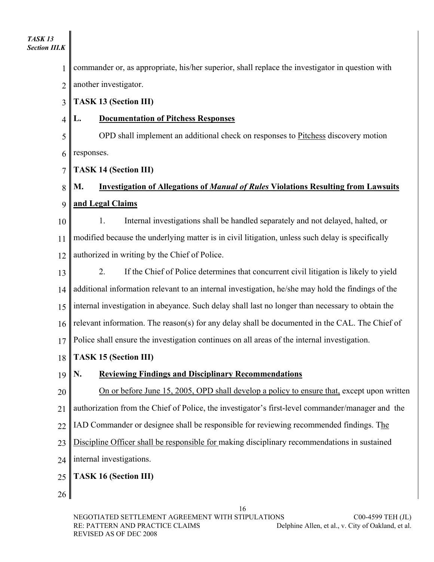<span id="page-21-0"></span>1 commander or, as appropriate, his/her superior, shall replace the investigator in question with

2 another investigator.

#### 3 **TASK 13 (Section III)**

4 **L. Documentation of Pitchess Responses**

5 6 OPD shall implement an additional check on responses to Pitchess discovery motion responses.

#### 7 **TASK 14 (Section III)**

### 8  $\overline{Q}$ **M. Investigation of Allegations of** *Manual of Rules* **Violations Resulting from Lawsuits and Legal Claims**

10 11 12 1. Internal investigations shall be handled separately and not delayed, halted, or modified because the underlying matter is in civil litigation, unless such delay is specifically authorized in writing by the Chief of Police.

- 13 14 15 16 17 2. If the Chief of Police determines that concurrent civil litigation is likely to yield additional information relevant to an internal investigation, he/she may hold the findings of the internal investigation in abeyance. Such delay shall last no longer than necessary to obtain the relevant information. The reason(s) for any delay shall be documented in the CAL. The Chief of Police shall ensure the investigation continues on all areas of the internal investigation.
- 18 **TASK 15 (Section III)**

#### 19 **N. Reviewing Findings and Disciplinary Recommendations**

20 21 On or before June 15, 2005, OPD shall develop a policy to ensure that, except upon written authorization from the Chief of Police, the investigator's first-level commander/manager and the

- 22 IAD Commander or designee shall be responsible for reviewing recommended findings. The
- 23 Discipline Officer shall be responsible for making disciplinary recommendations in sustained
- 24 internal investigations.
- $25<sub>1</sub>$ **TASK 16 (Section III)**
- 26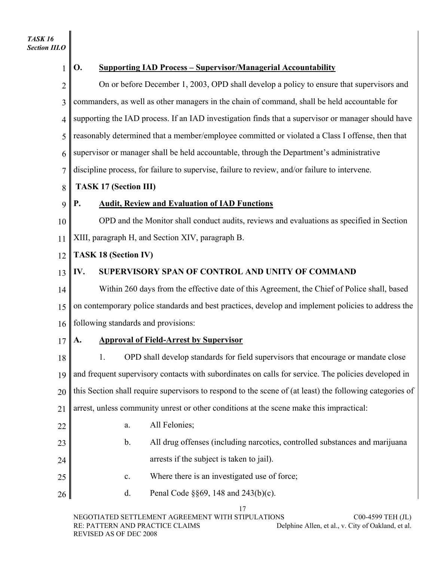<span id="page-22-0"></span>1 2 3 4 5 6 7 8  $\overline{Q}$ 10 11 12 13 14 15 16 17 18 19 20  $21$ 22 23 24 25 26 17 **O. Supporting IAD Process – Supervisor/Managerial Accountability** On or before December 1, 2003, OPD shall develop a policy to ensure that supervisors and commanders, as well as other managers in the chain of command, shall be held accountable for supporting the IAD process. If an IAD investigation finds that a supervisor or manager should have reasonably determined that a member/employee committed or violated a Class I offense, then that supervisor or manager shall be held accountable, through the Department's administrative discipline process, for failure to supervise, failure to review, and/or failure to intervene.  **TASK 17 (Section III) P. Audit, Review and Evaluation of IAD Functions** OPD and the Monitor shall conduct audits, reviews and evaluations as specified in Section XIII, paragraph H, and Section XIV, paragraph B. **TASK 18 (Section IV) IV. SUPERVISORY SPAN OF CONTROL AND UNITY OF COMMAND**  Within 260 days from the effective date of this Agreement, the Chief of Police shall, based on contemporary police standards and best practices, develop and implement policies to address the following standards and provisions: **A. Approval of Field-Arrest by Supervisor** 1. OPD shall develop standards for field supervisors that encourage or mandate close and frequent supervisory contacts with subordinates on calls for service. The policies developed in this Section shall require supervisors to respond to the scene of (at least) the following categories of arrest, unless community unrest or other conditions at the scene make this impractical: a. All Felonies; b. All drug offenses (including narcotics, controlled substances and marijuana arrests if the subject is taken to jail). c. Where there is an investigated use of force; d. Penal Code §§69, 148 and 243(b)(c).

NEGOTIATED SETTLEMENT AGREEMENT WITH STIPULATIONS C00-4599 TEH (JL)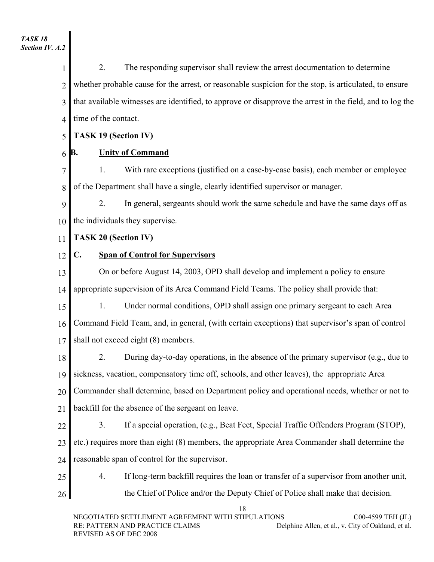<span id="page-23-0"></span>1 2 3 4 5 6 7 8 9 10 11 12 13 14 15 16 17 18 19 20  $21$ 22 23 24 25 26 NEGOTIATED SETTLEMENT AGREEMENT WITH STIPULATIONS C00-4599 TEH (JL) 18 2. The responding supervisor shall review the arrest documentation to determine whether probable cause for the arrest, or reasonable suspicion for the stop, is articulated, to ensure that available witnesses are identified, to approve or disapprove the arrest in the field, and to log the time of the contact. **TASK 19 (Section IV) B. Unity of Command** 1. With rare exceptions (justified on a case-by-case basis), each member or employee of the Department shall have a single, clearly identified supervisor or manager. 2. In general, sergeants should work the same schedule and have the same days off as the individuals they supervise. **TASK 20 (Section IV) C. Span of Control for Supervisors**  On or before August 14, 2003, OPD shall develop and implement a policy to ensure appropriate supervision of its Area Command Field Teams. The policy shall provide that: 1. Under normal conditions, OPD shall assign one primary sergeant to each Area Command Field Team, and, in general, (with certain exceptions) that supervisor's span of control shall not exceed eight (8) members. 2. During day-to-day operations, in the absence of the primary supervisor (e.g., due to sickness, vacation, compensatory time off, schools, and other leaves), the appropriate Area Commander shall determine, based on Department policy and operational needs, whether or not to backfill for the absence of the sergeant on leave. 3. If a special operation, (e.g., Beat Feet, Special Traffic Offenders Program (STOP), etc.) requires more than eight (8) members, the appropriate Area Commander shall determine the reasonable span of control for the supervisor. 4. If long-term backfill requires the loan or transfer of a supervisor from another unit, the Chief of Police and/or the Deputy Chief of Police shall make that decision.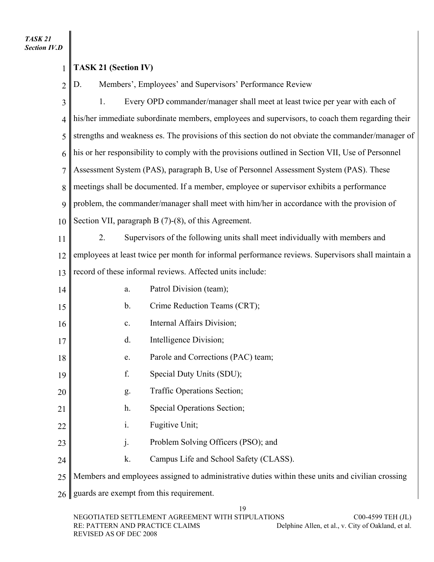#### <span id="page-24-0"></span>1 **TASK 21 (Section IV)**

2 D. Members', Employees' and Supervisors' Performance Review

3 4 5 6 7 8 9 10 1. Every OPD commander/manager shall meet at least twice per year with each of his/her immediate subordinate members, employees and supervisors, to coach them regarding their strengths and weakness es. The provisions of this section do not obviate the commander/manager of his or her responsibility to comply with the provisions outlined in Section VII, Use of Personnel Assessment System (PAS), paragraph B, Use of Personnel Assessment System (PAS). These meetings shall be documented. If a member, employee or supervisor exhibits a performance problem, the commander/manager shall meet with him/her in accordance with the provision of Section VII, paragraph B (7)-(8), of this Agreement.

11 12 13 record of these informal reviews. Affected units include: 2. Supervisors of the following units shall meet individually with members and employees at least twice per month for informal performance reviews. Supervisors shall maintain a

| 14 | a.             | Patrol Division (team);                                                                          |
|----|----------------|--------------------------------------------------------------------------------------------------|
| 15 | b.             | Crime Reduction Teams (CRT);                                                                     |
| 16 | $\mathbf{c}$ . | Internal Affairs Division;                                                                       |
| 17 | d.             | Intelligence Division;                                                                           |
| 18 | e.             | Parole and Corrections (PAC) team;                                                               |
| 19 | f.             | Special Duty Units (SDU);                                                                        |
| 20 | g.             | Traffic Operations Section;                                                                      |
| 21 | h.             | Special Operations Section;                                                                      |
| 22 | i.             | Fugitive Unit;                                                                                   |
| 23 | j.             | Problem Solving Officers (PSO); and                                                              |
| 24 | k.             | Campus Life and School Safety (CLASS).                                                           |
| 25 |                | Members and employees assigned to administrative duties within these units and civilian crossing |

26 guards are exempt from this requirement.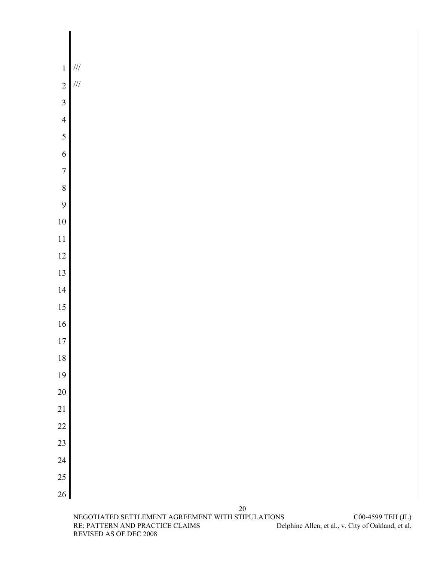|                         | $/ \! / \! /$                                                                                                                                                             |
|-------------------------|---------------------------------------------------------------------------------------------------------------------------------------------------------------------------|
| $\mathbf{1}$            | $/ \! / \! /$                                                                                                                                                             |
| $\overline{c}$          |                                                                                                                                                                           |
| $\overline{\mathbf{3}}$ |                                                                                                                                                                           |
| $\overline{4}$          |                                                                                                                                                                           |
| 5<br>6                  |                                                                                                                                                                           |
| $\overline{7}$          |                                                                                                                                                                           |
| 8                       |                                                                                                                                                                           |
| 9                       |                                                                                                                                                                           |
| $10\,$                  |                                                                                                                                                                           |
| 11                      |                                                                                                                                                                           |
| 12                      |                                                                                                                                                                           |
| 13                      |                                                                                                                                                                           |
| 14                      |                                                                                                                                                                           |
| 15                      |                                                                                                                                                                           |
| $16\,$                  |                                                                                                                                                                           |
| 17                      |                                                                                                                                                                           |
| 18                      |                                                                                                                                                                           |
| 19                      |                                                                                                                                                                           |
| 20                      |                                                                                                                                                                           |
| 21                      |                                                                                                                                                                           |
| $22\,$                  |                                                                                                                                                                           |
| 23                      |                                                                                                                                                                           |
| 24                      |                                                                                                                                                                           |
| $25\,$                  |                                                                                                                                                                           |
| 26                      |                                                                                                                                                                           |
|                         | $20\,$<br>NEGOTIATED SETTLEMENT AGREEMENT WITH STIPULATIONS<br>C00-4599 TEH (JL)<br>RE: PATTERN AND PRACTICE CLAIMS<br>Delphine Allen, et al., v. City of Oakland, et al. |

REVISED AS OF DEC 2008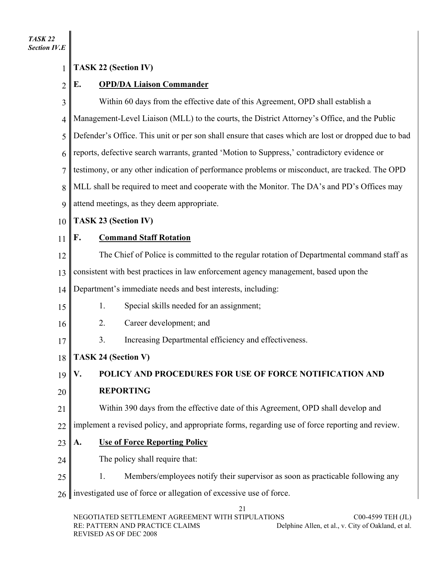#### <span id="page-26-0"></span>1 **TASK 22 (Section IV)**

2

## **E. OPD/DA Liaison Commander**

3 4 5 6 7 8  $\mathbf Q$ Within 60 days from the effective date of this Agreement, OPD shall establish a Management-Level Liaison (MLL) to the courts, the District Attorney's Office, and the Public Defender's Office. This unit or per son shall ensure that cases which are lost or dropped due to bad reports, defective search warrants, granted 'Motion to Suppress,' contradictory evidence or testimony, or any other indication of performance problems or misconduct, are tracked. The OPD MLL shall be required to meet and cooperate with the Monitor. The DA's and PD's Offices may attend meetings, as they deem appropriate.

#### 10 **TASK 23 (Section IV)**

#### 11 **F. Command Staff Rotation**

12 The Chief of Police is committed to the regular rotation of Departmental command staff as

13 consistent with best practices in law enforcement agency management, based upon the

14 Department's immediate needs and best interests, including:

- 15 1. Special skills needed for an assignment;
- 16 2. Career development; and
- 17 3. Increasing Departmental efficiency and effectiveness.
- 18 **TASK 24 (Section V)**
- 19 **V. POLICY AND PROCEDURES FOR USE OF FORCE NOTIFICATION AND**

#### 20 **REPORTING**

- 21 Within 390 days from the effective date of this Agreement, OPD shall develop and
- 22 implement a revised policy, and appropriate forms, regarding use of force reporting and review.
- 23 **A. Use of Force Reporting Policy**
- 24 The policy shall require that:
- 25 1. Members/employees notify their supervisor as soon as practicable following any
- 26 | investigated use of force or allegation of excessive use of force.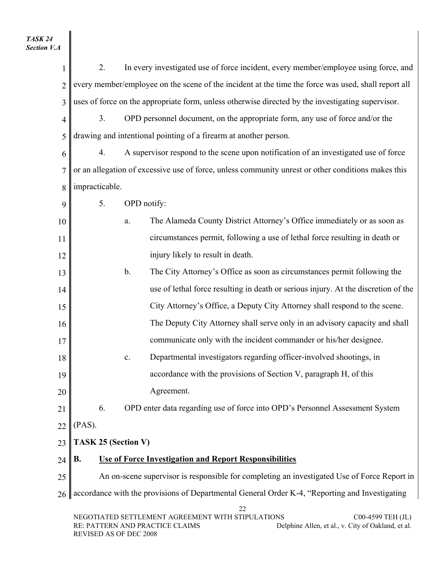<span id="page-27-0"></span>

| TASK 24     |  |
|-------------|--|
| Section V.A |  |

| 1              | 2.                                                                                                  | In every investigated use of force incident, every member/employee using force, and                                                                                   |  |  |  |
|----------------|-----------------------------------------------------------------------------------------------------|-----------------------------------------------------------------------------------------------------------------------------------------------------------------------|--|--|--|
| $\overline{2}$ | every member/employee on the scene of the incident at the time the force was used, shall report all |                                                                                                                                                                       |  |  |  |
| 3              |                                                                                                     | uses of force on the appropriate form, unless otherwise directed by the investigating supervisor.                                                                     |  |  |  |
| $\overline{4}$ | 3.                                                                                                  | OPD personnel document, on the appropriate form, any use of force and/or the                                                                                          |  |  |  |
| 5              |                                                                                                     | drawing and intentional pointing of a firearm at another person.                                                                                                      |  |  |  |
| 6              | 4.                                                                                                  | A supervisor respond to the scene upon notification of an investigated use of force                                                                                   |  |  |  |
| 7              |                                                                                                     | or an allegation of excessive use of force, unless community unrest or other conditions makes this                                                                    |  |  |  |
| 8              | impracticable.                                                                                      |                                                                                                                                                                       |  |  |  |
| 9              | 5.                                                                                                  | OPD notify:                                                                                                                                                           |  |  |  |
| 10             |                                                                                                     | The Alameda County District Attorney's Office immediately or as soon as<br>$a$ .                                                                                      |  |  |  |
| 11             |                                                                                                     | circumstances permit, following a use of lethal force resulting in death or                                                                                           |  |  |  |
| 12             |                                                                                                     | injury likely to result in death.                                                                                                                                     |  |  |  |
| 13             |                                                                                                     | The City Attorney's Office as soon as circumstances permit following the<br>$\mathbf b$ .                                                                             |  |  |  |
| 14             |                                                                                                     | use of lethal force resulting in death or serious injury. At the discretion of the                                                                                    |  |  |  |
| 15             |                                                                                                     | City Attorney's Office, a Deputy City Attorney shall respond to the scene.                                                                                            |  |  |  |
| 16             |                                                                                                     | The Deputy City Attorney shall serve only in an advisory capacity and shall                                                                                           |  |  |  |
| 17             |                                                                                                     | communicate only with the incident commander or his/her designee.                                                                                                     |  |  |  |
| 18             |                                                                                                     | Departmental investigators regarding officer-involved shootings, in<br>$\mathbf{c}$ .                                                                                 |  |  |  |
| 19             |                                                                                                     | accordance with the provisions of Section V, paragraph H, of this                                                                                                     |  |  |  |
| 20             |                                                                                                     | Agreement.                                                                                                                                                            |  |  |  |
| 21             | 6.                                                                                                  | OPD enter data regarding use of force into OPD's Personnel Assessment System                                                                                          |  |  |  |
| 22             | $(PAS)$ .                                                                                           |                                                                                                                                                                       |  |  |  |
| 23             | TASK 25 (Section V)                                                                                 |                                                                                                                                                                       |  |  |  |
| 24             | <b>B.</b>                                                                                           | <b>Use of Force Investigation and Report Responsibilities</b>                                                                                                         |  |  |  |
| 25             | An on-scene supervisor is responsible for completing an investigated Use of Force Report in         |                                                                                                                                                                       |  |  |  |
| 26             |                                                                                                     | accordance with the provisions of Departmental General Order K-4, "Reporting and Investigating                                                                        |  |  |  |
|                |                                                                                                     | 22<br>NEGOTIATED SETTLEMENT AGREEMENT WITH STIPULATIONS<br>C00-4599 TEH (JL)<br>RE: PATTERN AND PRACTICE CLAIMS<br>Delphine Allen, et al., v. City of Oakland, et al. |  |  |  |

REVISED AS OF DEC 2008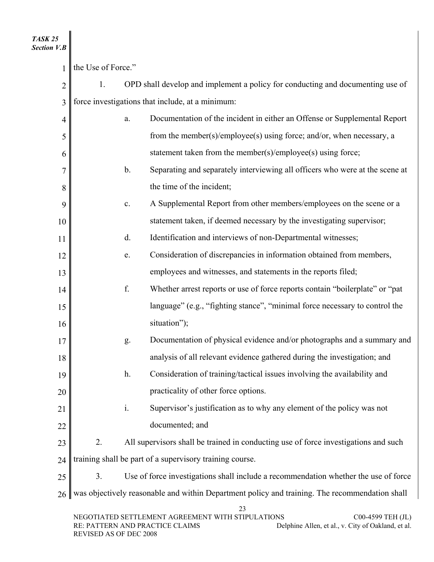### *TASK 25 Section V.B*

1 | the Use of Force."

| $\overline{2}$ | 1.                                                       |                | OPD shall develop and implement a policy for conducting and documenting use of                                                                                        |
|----------------|----------------------------------------------------------|----------------|-----------------------------------------------------------------------------------------------------------------------------------------------------------------------|
| $\overline{3}$ |                                                          |                | force investigations that include, at a minimum:                                                                                                                      |
| 4              |                                                          | a.             | Documentation of the incident in either an Offense or Supplemental Report                                                                                             |
| 5              |                                                          |                | from the member(s)/employee(s) using force; and/or, when necessary, a                                                                                                 |
| 6              |                                                          |                | statement taken from the member(s)/employee(s) using force;                                                                                                           |
| $\overline{7}$ |                                                          | b.             | Separating and separately interviewing all officers who were at the scene at                                                                                          |
| 8              |                                                          |                | the time of the incident;                                                                                                                                             |
| 9              |                                                          | $\mathbf{c}.$  | A Supplemental Report from other members/employees on the scene or a                                                                                                  |
| 10             |                                                          |                | statement taken, if deemed necessary by the investigating supervisor;                                                                                                 |
| 11             |                                                          | d.             | Identification and interviews of non-Departmental witnesses;                                                                                                          |
| 12             |                                                          | e.             | Consideration of discrepancies in information obtained from members,                                                                                                  |
| 13             |                                                          |                | employees and witnesses, and statements in the reports filed;                                                                                                         |
| 14             |                                                          | f.             | Whether arrest reports or use of force reports contain "boilerplate" or "pat                                                                                          |
| 15             |                                                          |                | language" (e.g., "fighting stance", "minimal force necessary to control the                                                                                           |
| 16             |                                                          |                | situation");                                                                                                                                                          |
| 17             |                                                          | g.             | Documentation of physical evidence and/or photographs and a summary and                                                                                               |
| 18             |                                                          |                | analysis of all relevant evidence gathered during the investigation; and                                                                                              |
| 19             |                                                          | h.             | Consideration of training/tactical issues involving the availability and                                                                                              |
| 20             |                                                          |                | practicality of other force options.                                                                                                                                  |
| 21             |                                                          | $\mathbf{i}$ . | Supervisor's justification as to why any element of the policy was not                                                                                                |
| 22             |                                                          |                | documented; and                                                                                                                                                       |
| 23             | 2.                                                       |                | All supervisors shall be trained in conducting use of force investigations and such                                                                                   |
| 24             | training shall be part of a supervisory training course. |                |                                                                                                                                                                       |
| 25             | 3.                                                       |                | Use of force investigations shall include a recommendation whether the use of force                                                                                   |
| 26             |                                                          |                | was objectively reasonable and within Department policy and training. The recommendation shall                                                                        |
|                | REVISED AS OF DEC 2008                                   |                | 23<br>NEGOTIATED SETTLEMENT AGREEMENT WITH STIPULATIONS<br>C00-4599 TEH (JL)<br>Delphine Allen, et al., v. City of Oakland, et al.<br>RE: PATTERN AND PRACTICE CLAIMS |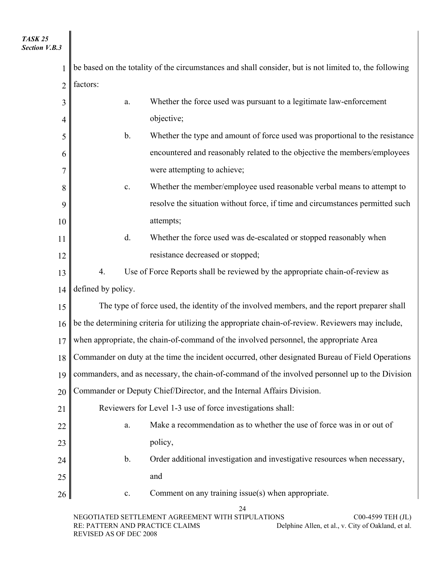| $\mathbf{1}$   | be based on the totality of the circumstances and shall consider, but is not limited to, the following |                                                                               |  |  |
|----------------|--------------------------------------------------------------------------------------------------------|-------------------------------------------------------------------------------|--|--|
| $\overline{2}$ | factors:                                                                                               |                                                                               |  |  |
| 3              | a.                                                                                                     | Whether the force used was pursuant to a legitimate law-enforcement           |  |  |
| 4              |                                                                                                        | objective;                                                                    |  |  |
| 5              | $\mathbf b$ .                                                                                          | Whether the type and amount of force used was proportional to the resistance  |  |  |
| 6              |                                                                                                        | encountered and reasonably related to the objective the members/employees     |  |  |
| 7              |                                                                                                        | were attempting to achieve;                                                   |  |  |
| 8              | $\mathbf{c}$ .                                                                                         | Whether the member/employee used reasonable verbal means to attempt to        |  |  |
| 9              |                                                                                                        | resolve the situation without force, if time and circumstances permitted such |  |  |
| 10             |                                                                                                        | attempts;                                                                     |  |  |
| 11             | d.                                                                                                     | Whether the force used was de-escalated or stopped reasonably when            |  |  |
| 12             |                                                                                                        | resistance decreased or stopped;                                              |  |  |
| 13             | 4.                                                                                                     | Use of Force Reports shall be reviewed by the appropriate chain-of-review as  |  |  |
| 14             | defined by policy.                                                                                     |                                                                               |  |  |
| 15             | The type of force used, the identity of the involved members, and the report preparer shall            |                                                                               |  |  |
| 16             | be the determining criteria for utilizing the appropriate chain-of-review. Reviewers may include,      |                                                                               |  |  |
| 17             | when appropriate, the chain-of-command of the involved personnel, the appropriate Area                 |                                                                               |  |  |
| 18             | Commander on duty at the time the incident occurred, other designated Bureau of Field Operations       |                                                                               |  |  |
| 19             | commanders, and as necessary, the chain-of-command of the involved personnel up to the Division        |                                                                               |  |  |
| 20             | Commander or Deputy Chief/Director, and the Internal Affairs Division.                                 |                                                                               |  |  |
| 21             |                                                                                                        | Reviewers for Level 1-3 use of force investigations shall:                    |  |  |
| 22             | a.                                                                                                     | Make a recommendation as to whether the use of force was in or out of         |  |  |
| 23             |                                                                                                        | policy,                                                                       |  |  |
| 24             | $\mathbf b$ .                                                                                          | Order additional investigation and investigative resources when necessary,    |  |  |
| 25             |                                                                                                        | and                                                                           |  |  |
| 26             | $\mathbf{c}.$                                                                                          | Comment on any training issue(s) when appropriate.                            |  |  |
|                | 24<br>NEGOTIATED SETTLEMENT AGREEMENT WITH STIPULATIONS<br>C00-4599 TEH (JL)                           |                                                                               |  |  |

REVISED AS OF DEC 2008

RE: PATTERN AND PRACTICE CLAIMS Delphine Allen, et al., v. City of Oakland, et al.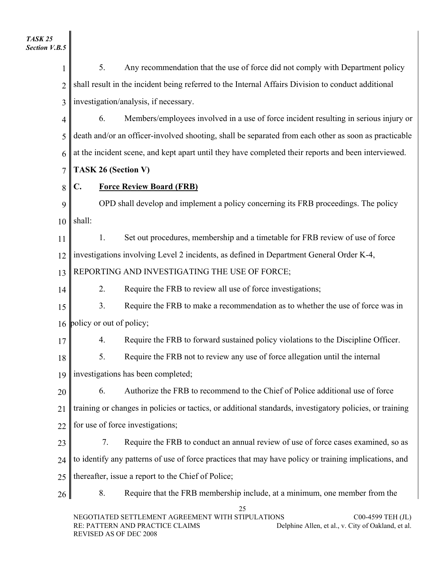<span id="page-30-0"></span>

| TASK 25       |  |
|---------------|--|
| Section V.B.5 |  |

| $\mathbf{1}$   | 5.                                                                                                       | Any recommendation that the use of force did not comply with Department policy                       |  |  |  |  |
|----------------|----------------------------------------------------------------------------------------------------------|------------------------------------------------------------------------------------------------------|--|--|--|--|
| $\overline{2}$ | shall result in the incident being referred to the Internal Affairs Division to conduct additional       |                                                                                                      |  |  |  |  |
| 3              | investigation/analysis, if necessary.                                                                    |                                                                                                      |  |  |  |  |
| 4              | 6.                                                                                                       | Members/employees involved in a use of force incident resulting in serious injury or                 |  |  |  |  |
| 5              |                                                                                                          | death and/or an officer-involved shooting, shall be separated from each other as soon as practicable |  |  |  |  |
| 6              |                                                                                                          | at the incident scene, and kept apart until they have completed their reports and been interviewed.  |  |  |  |  |
| 7              | <b>TASK 26 (Section V)</b>                                                                               |                                                                                                      |  |  |  |  |
| 8              | C.                                                                                                       | <b>Force Review Board (FRB)</b>                                                                      |  |  |  |  |
| 9              |                                                                                                          | OPD shall develop and implement a policy concerning its FRB proceedings. The policy                  |  |  |  |  |
| 10             | shall:                                                                                                   |                                                                                                      |  |  |  |  |
| 11             | 1.                                                                                                       | Set out procedures, membership and a timetable for FRB review of use of force                        |  |  |  |  |
| 12             |                                                                                                          | investigations involving Level 2 incidents, as defined in Department General Order K-4,              |  |  |  |  |
| 13             |                                                                                                          | REPORTING AND INVESTIGATING THE USE OF FORCE;                                                        |  |  |  |  |
| 14             | 2.                                                                                                       | Require the FRB to review all use of force investigations;                                           |  |  |  |  |
| 15             | 3.                                                                                                       | Require the FRB to make a recommendation as to whether the use of force was in                       |  |  |  |  |
| 16             | policy or out of policy;                                                                                 |                                                                                                      |  |  |  |  |
| 17             | 4.                                                                                                       | Require the FRB to forward sustained policy violations to the Discipline Officer.                    |  |  |  |  |
| 18             | 5.                                                                                                       | Require the FRB not to review any use of force allegation until the internal                         |  |  |  |  |
|                | 19    investigations has been completed;                                                                 |                                                                                                      |  |  |  |  |
| 20             | Authorize the FRB to recommend to the Chief of Police additional use of force<br>6.                      |                                                                                                      |  |  |  |  |
| 21             | training or changes in policies or tactics, or additional standards, investigatory policies, or training |                                                                                                      |  |  |  |  |
| 22             | for use of force investigations;                                                                         |                                                                                                      |  |  |  |  |
| 23             | 7.                                                                                                       | Require the FRB to conduct an annual review of use of force cases examined, so as                    |  |  |  |  |
| 24             | to identify any patterns of use of force practices that may have policy or training implications, and    |                                                                                                      |  |  |  |  |
| 25             | thereafter, issue a report to the Chief of Police;                                                       |                                                                                                      |  |  |  |  |
| 26             | 8.                                                                                                       | Require that the FRB membership include, at a minimum, one member from the                           |  |  |  |  |
|                |                                                                                                          | 25<br>C00-4599 TEH (II)<br>NEGOTIATED SETTI EMENT AGREEMENT WIT<br>'IPHI ATIONS                      |  |  |  |  |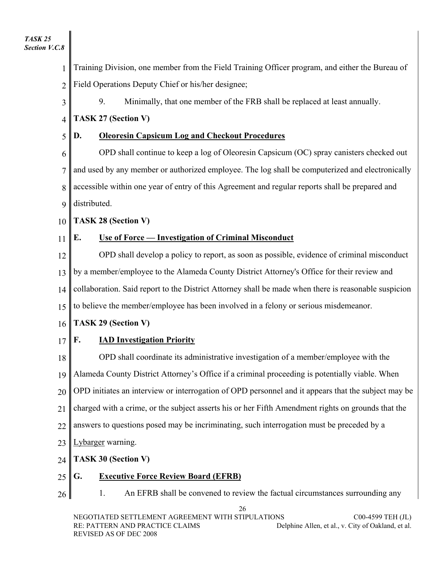<span id="page-31-0"></span>1 2 3 4 5 6 7 8 9 10 11 12 13 14 15 16 17 18 19 20  $21$ 22 23 24 25 26 Training Division, one member from the Field Training Officer program, and either the Bureau of Field Operations Deputy Chief or his/her designee; 9. Minimally, that one member of the FRB shall be replaced at least annually. **TASK 27 (Section V) D. Oleoresin Capsicum Log and Checkout Procedures** OPD shall continue to keep a log of Oleoresin Capsicum (OC) spray canisters checked out and used by any member or authorized employee. The log shall be computerized and electronically accessible within one year of entry of this Agreement and regular reports shall be prepared and distributed. **TASK 28 (Section V) E. Use of Force — Investigation of Criminal Misconduct** OPD shall develop a policy to report, as soon as possible, evidence of criminal misconduct by a member/employee to the Alameda County District Attorney's Office for their review and collaboration. Said report to the District Attorney shall be made when there is reasonable suspicion to believe the member/employee has been involved in a felony or serious misdemeanor. **TASK 29 (Section V) F. IAD Investigation Priority** OPD shall coordinate its administrative investigation of a member/employee with the Alameda County District Attorney's Office if a criminal proceeding is potentially viable. When OPD initiates an interview or interrogation of OPD personnel and it appears that the subject may be charged with a crime, or the subject asserts his or her Fifth Amendment rights on grounds that the answers to questions posed may be incriminating, such interrogation must be preceded by a Lybarger warning. **TASK 30 (Section V) G. Executive Force Review Board (EFRB)** 1. An EFRB shall be convened to review the factual circumstances surrounding any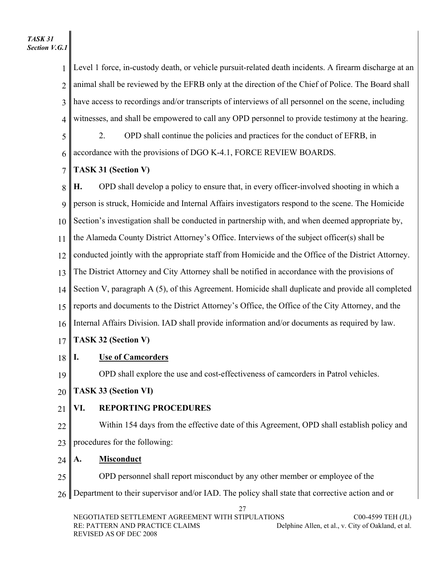<span id="page-32-0"></span>1 2 3 4 Level 1 force, in-custody death, or vehicle pursuit-related death incidents. A firearm discharge at an animal shall be reviewed by the EFRB only at the direction of the Chief of Police. The Board shall have access to recordings and/or transcripts of interviews of all personnel on the scene, including witnesses, and shall be empowered to call any OPD personnel to provide testimony at the hearing.

5 6 2. OPD shall continue the policies and practices for the conduct of EFRB, in accordance with the provisions of DGO K-4.1, FORCE REVIEW BOARDS.

#### 7 **TASK 31 (Section V)**

8 9 10 11 12 13 14 15 16 17 **H.** OPD shall develop a policy to ensure that, in every officer-involved shooting in which a person is struck, Homicide and Internal Affairs investigators respond to the scene. The Homicide Section's investigation shall be conducted in partnership with, and when deemed appropriate by, the Alameda County District Attorney's Office. Interviews of the subject officer(s) shall be conducted jointly with the appropriate staff from Homicide and the Office of the District Attorney. The District Attorney and City Attorney shall be notified in accordance with the provisions of Section V, paragraph A (5), of this Agreement. Homicide shall duplicate and provide all completed reports and documents to the District Attorney's Office, the Office of the City Attorney, and the Internal Affairs Division. IAD shall provide information and/or documents as required by law. **TASK 32 (Section V)** 

#### 18 **I. Use of Camcorders**

19 OPD shall explore the use and cost-effectiveness of camcorders in Patrol vehicles.

#### 20 **TASK 33 (Section VI)**

#### $21$ **VI. REPORTING PROCEDURES**

22 23 Within 154 days from the effective date of this Agreement, OPD shall establish policy and procedures for the following:

- 24 **A. Misconduct**
- 25 OPD personnel shall report misconduct by any other member or employee of the
- 26 l Department to their supervisor and/or IAD. The policy shall state that corrective action and or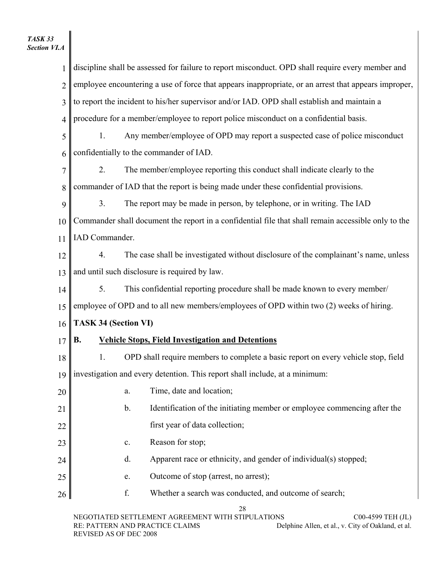<span id="page-33-0"></span>

| TASK 33      |  |
|--------------|--|
| Section VI.A |  |

|    | discipline shall be assessed for failure to report misconduct. OPD shall require every member and    |  |  |  |  |
|----|------------------------------------------------------------------------------------------------------|--|--|--|--|
| 2  | employee encountering a use of force that appears inappropriate, or an arrest that appears improper, |  |  |  |  |
| 3  | to report the incident to his/her supervisor and/or IAD. OPD shall establish and maintain a          |  |  |  |  |
| 4  | procedure for a member/employee to report police misconduct on a confidential basis.                 |  |  |  |  |
| 5  | Any member/employee of OPD may report a suspected case of police misconduct<br>1.                    |  |  |  |  |
| 6  | confidentially to the commander of IAD.                                                              |  |  |  |  |
| 7  | 2.<br>The member/employee reporting this conduct shall indicate clearly to the                       |  |  |  |  |
| 8  | commander of IAD that the report is being made under these confidential provisions.                  |  |  |  |  |
| 9  | 3 <sub>1</sub><br>The report may be made in person, by telephone, or in writing. The IAD             |  |  |  |  |
| 10 | Commander shall document the report in a confidential file that shall remain accessible only to the  |  |  |  |  |
| 11 | IAD Commander.                                                                                       |  |  |  |  |
| 12 | 4.<br>The case shall be investigated without disclosure of the complainant's name, unless            |  |  |  |  |
| 13 | and until such disclosure is required by law.                                                        |  |  |  |  |
| 14 | 5.<br>This confidential reporting procedure shall be made known to every member/                     |  |  |  |  |
| 15 | employee of OPD and to all new members/employees of OPD within two (2) weeks of hiring.              |  |  |  |  |
| 16 | <b>TASK 34 (Section VI)</b>                                                                          |  |  |  |  |
| 17 | <b>Vehicle Stops, Field Investigation and Detentions</b><br>В.                                       |  |  |  |  |
| 18 | 1.<br>OPD shall require members to complete a basic report on every vehicle stop, field              |  |  |  |  |
|    | 19    investigation and every detention. This report shall include, at a minimum:                    |  |  |  |  |
| 20 | Time, date and location;<br>a.                                                                       |  |  |  |  |
| 21 | Identification of the initiating member or employee commencing after the<br>$\mathbf b$ .            |  |  |  |  |
| 22 | first year of data collection;                                                                       |  |  |  |  |
| 23 | Reason for stop;<br>$\mathbf{c}.$                                                                    |  |  |  |  |
| 24 | Apparent race or ethnicity, and gender of individual(s) stopped;<br>d.                               |  |  |  |  |
| 25 | Outcome of stop (arrest, no arrest);<br>e.                                                           |  |  |  |  |
| 26 | f.<br>Whether a search was conducted, and outcome of search;                                         |  |  |  |  |
|    | 28                                                                                                   |  |  |  |  |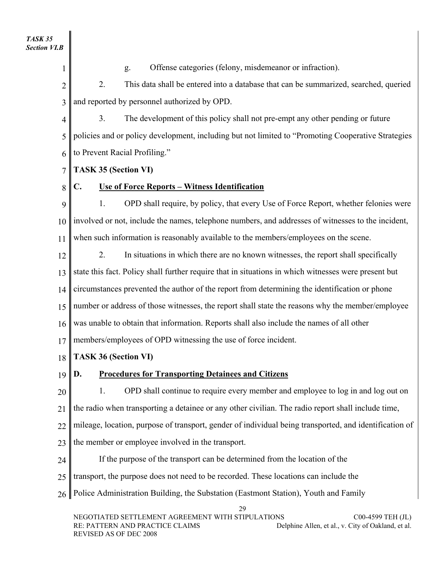g. Offense categories (felony, misdemeanor or infraction).

2 3 2. This data shall be entered into a database that can be summarized, searched, queried and reported by personnel authorized by OPD.

4 5 6 3. The development of this policy shall not pre-empt any other pending or future policies and or policy development, including but not limited to "Promoting Cooperative Strategies to Prevent Racial Profiling."

7 **TASK 35 (Section VI)** 

8

<span id="page-34-0"></span>1

## **C. Use of Force Reports – Witness Identification**

 $\overline{Q}$ 10 11 1. OPD shall require, by policy, that every Use of Force Report, whether felonies were involved or not, include the names, telephone numbers, and addresses of witnesses to the incident, when such information is reasonably available to the members/employees on the scene.

12 13 14 15 16 17 2. In situations in which there are no known witnesses, the report shall specifically state this fact. Policy shall further require that in situations in which witnesses were present but circumstances prevented the author of the report from determining the identification or phone number or address of those witnesses, the report shall state the reasons why the member/employee was unable to obtain that information. Reports shall also include the names of all other members/employees of OPD witnessing the use of force incident.

18 **TASK 36 (Section VI)** 

19

# **D. Procedures for Transporting Detainees and Citizens**

20 21 22 1. OPD shall continue to require every member and employee to log in and log out on the radio when transporting a detainee or any other civilian. The radio report shall include time, mileage, location, purpose of transport, gender of individual being transported, and identification of

23 the member or employee involved in the transport.

24 If the purpose of the transport can be determined from the location of the

25 transport, the purpose does not need to be recorded. These locations can include the

26 Police Administration Building, the Substation (Eastmont Station), Youth and Family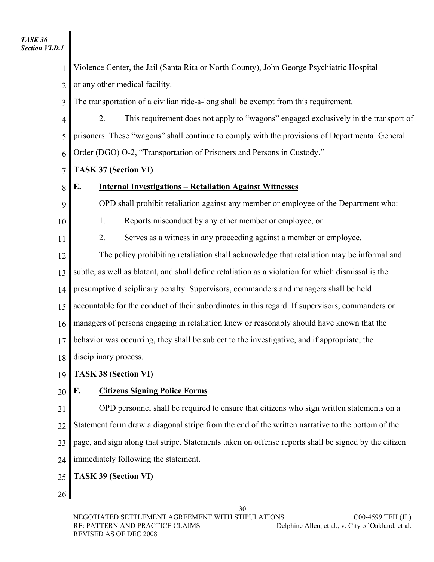<span id="page-35-0"></span>

| 1              | Violence Center, the Jail (Santa Rita or North County), John George Psychiatric Hospital             |  |  |  |  |
|----------------|------------------------------------------------------------------------------------------------------|--|--|--|--|
| $\overline{2}$ | or any other medical facility.                                                                       |  |  |  |  |
| 3              | The transportation of a civilian ride-a-long shall be exempt from this requirement.                  |  |  |  |  |
| $\overline{4}$ | 2.<br>This requirement does not apply to "wagons" engaged exclusively in the transport of            |  |  |  |  |
| 5              | prisoners. These "wagons" shall continue to comply with the provisions of Departmental General       |  |  |  |  |
| 6              | Order (DGO) O-2, "Transportation of Prisoners and Persons in Custody."                               |  |  |  |  |
| 7              | <b>TASK 37 (Section VI)</b>                                                                          |  |  |  |  |
| 8              | E.<br><b>Internal Investigations - Retaliation Against Witnesses</b>                                 |  |  |  |  |
| 9              | OPD shall prohibit retaliation against any member or employee of the Department who:                 |  |  |  |  |
| 10             | Reports misconduct by any other member or employee, or<br>1.                                         |  |  |  |  |
| 11             | Serves as a witness in any proceeding against a member or employee.<br>2.                            |  |  |  |  |
| 12             | The policy prohibiting retaliation shall acknowledge that retaliation may be informal and            |  |  |  |  |
| 13             | subtle, as well as blatant, and shall define retaliation as a violation for which dismissal is the   |  |  |  |  |
| 14             | presumptive disciplinary penalty. Supervisors, commanders and managers shall be held                 |  |  |  |  |
| 15             | accountable for the conduct of their subordinates in this regard. If supervisors, commanders or      |  |  |  |  |
| 16             | managers of persons engaging in retaliation knew or reasonably should have known that the            |  |  |  |  |
| 17             | behavior was occurring, they shall be subject to the investigative, and if appropriate, the          |  |  |  |  |
| 18             | disciplinary process.                                                                                |  |  |  |  |
|                | 19 TASK 38 (Section VI)                                                                              |  |  |  |  |
| 20             | <b>Citizens Signing Police Forms</b><br>F.                                                           |  |  |  |  |
| 21             | OPD personnel shall be required to ensure that citizens who sign written statements on a             |  |  |  |  |
| 22             | Statement form draw a diagonal stripe from the end of the written narrative to the bottom of the     |  |  |  |  |
| 23             | page, and sign along that stripe. Statements taken on offense reports shall be signed by the citizen |  |  |  |  |
| 24             | immediately following the statement.                                                                 |  |  |  |  |
| 25             | <b>TASK 39 (Section VI)</b>                                                                          |  |  |  |  |
| 26             |                                                                                                      |  |  |  |  |
|                |                                                                                                      |  |  |  |  |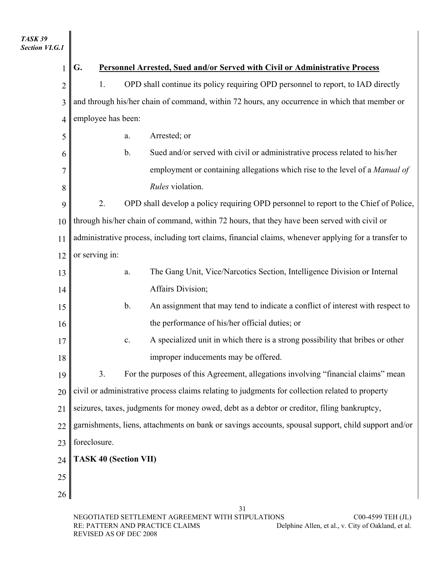| 1              | G.                                                                                                   |    | Personnel Arrested, Sued and/or Served with Civil or Administrative Process          |  |
|----------------|------------------------------------------------------------------------------------------------------|----|--------------------------------------------------------------------------------------|--|
| $\overline{2}$ | OPD shall continue its policy requiring OPD personnel to report, to IAD directly<br>1.               |    |                                                                                      |  |
| 3              | and through his/her chain of command, within 72 hours, any occurrence in which that member or        |    |                                                                                      |  |
| $\overline{4}$ | employee has been:                                                                                   |    |                                                                                      |  |
| 5              |                                                                                                      | a. | Arrested; or                                                                         |  |
| 6              |                                                                                                      | b. | Sued and/or served with civil or administrative process related to his/her           |  |
| 7              |                                                                                                      |    | employment or containing allegations which rise to the level of a Manual of          |  |
| 8              |                                                                                                      |    | Rules violation.                                                                     |  |
| 9              | 2.                                                                                                   |    | OPD shall develop a policy requiring OPD personnel to report to the Chief of Police, |  |
| 10             | through his/her chain of command, within 72 hours, that they have been served with civil or          |    |                                                                                      |  |
| 11             | administrative process, including tort claims, financial claims, whenever applying for a transfer to |    |                                                                                      |  |
| 12             | or serving in:                                                                                       |    |                                                                                      |  |
| 13             |                                                                                                      | a. | The Gang Unit, Vice/Narcotics Section, Intelligence Division or Internal             |  |
| 14             |                                                                                                      |    | Affairs Division;                                                                    |  |
| 15             |                                                                                                      | b. | An assignment that may tend to indicate a conflict of interest with respect to       |  |
| 16             |                                                                                                      |    | the performance of his/her official duties; or                                       |  |
| 17             |                                                                                                      | c. | A specialized unit in which there is a strong possibility that bribes or other       |  |
| 18             |                                                                                                      |    | improper inducements may be offered.                                                 |  |
| 19             | 3.                                                                                                   |    | For the purposes of this Agreement, allegations involving "financial claims" mean    |  |
| 20             | civil or administrative process claims relating to judgments for collection related to property      |    |                                                                                      |  |
| 21             | seizures, taxes, judgments for money owed, debt as a debtor or creditor, filing bankruptcy,          |    |                                                                                      |  |
| 22             | garnishments, liens, attachments on bank or savings accounts, spousal support, child support and/or  |    |                                                                                      |  |
| 23             | foreclosure.                                                                                         |    |                                                                                      |  |
| 24             | <b>TASK 40 (Section VII)</b>                                                                         |    |                                                                                      |  |
| 25             |                                                                                                      |    |                                                                                      |  |
| 26             |                                                                                                      |    |                                                                                      |  |
|                |                                                                                                      |    | 31<br>C00-4599 TEH (II)<br>NEGOTIATED SETTI EMENT AGREEMENT WITH STIPULATIONS        |  |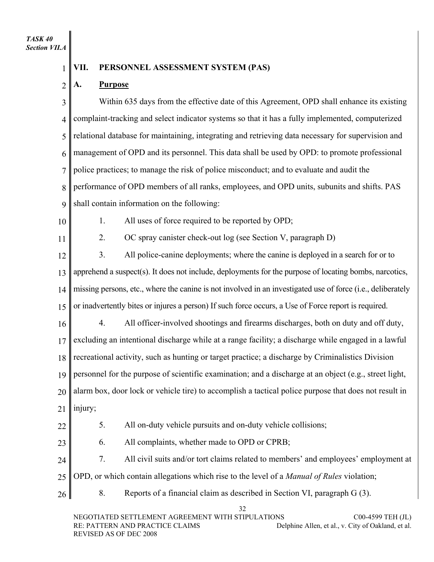*TASK 40 Section VII.A*

1

2

## **VII. PERSONNEL ASSESSMENT SYSTEM (PAS)**

## **A. Purpose**

3 4 5 6 7 8  $\overline{Q}$ Within 635 days from the effective date of this Agreement, OPD shall enhance its existing complaint-tracking and select indicator systems so that it has a fully implemented, computerized relational database for maintaining, integrating and retrieving data necessary for supervision and management of OPD and its personnel. This data shall be used by OPD: to promote professional police practices; to manage the risk of police misconduct; and to evaluate and audit the performance of OPD members of all ranks, employees, and OPD units, subunits and shifts. PAS shall contain information on the following:

10

1. All uses of force required to be reported by OPD;

11

2. OC spray canister check-out log (see Section V, paragraph D)

12 13 14 15 3. All police-canine deployments; where the canine is deployed in a search for or to apprehend a suspect(s). It does not include, deployments for the purpose of locating bombs, narcotics, missing persons, etc., where the canine is not involved in an investigated use of force (i.e., deliberately or inadvertently bites or injures a person) If such force occurs, a Use of Force report is required.

16 17 18 19 20  $21$ 4. All officer-involved shootings and firearms discharges, both on duty and off duty, excluding an intentional discharge while at a range facility; a discharge while engaged in a lawful recreational activity, such as hunting or target practice; a discharge by Criminalistics Division personnel for the purpose of scientific examination; and a discharge at an object (e.g., street light, alarm box, door lock or vehicle tire) to accomplish a tactical police purpose that does not result in injury;

22

5. All on-duty vehicle pursuits and on-duty vehicle collisions;

23 6. All complaints, whether made to OPD or CPRB;

24 25 7. All civil suits and/or tort claims related to members' and employees' employment at OPD, or which contain allegations which rise to the level of a *Manual of Rules* violation;

26 8. Reports of a financial claim as described in Section VI, paragraph G (3).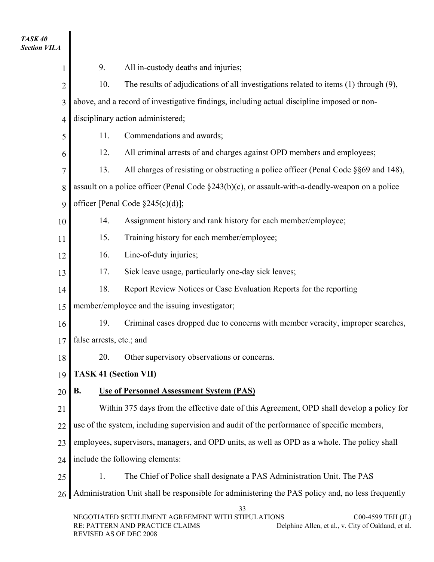| TASK 40       |  |
|---------------|--|
| Section VII.A |  |

| 1  | 9.<br>All in-custody deaths and injuries;                                                         |                                                                                                                                                                       |  |  |  |  |
|----|---------------------------------------------------------------------------------------------------|-----------------------------------------------------------------------------------------------------------------------------------------------------------------------|--|--|--|--|
| 2  | The results of adjudications of all investigations related to items $(1)$ through $(9)$ ,<br>10.  |                                                                                                                                                                       |  |  |  |  |
| 3  |                                                                                                   | above, and a record of investigative findings, including actual discipline imposed or non-                                                                            |  |  |  |  |
| 4  |                                                                                                   | disciplinary action administered;                                                                                                                                     |  |  |  |  |
| 5  | 11.                                                                                               | Commendations and awards;                                                                                                                                             |  |  |  |  |
| 6  | 12.                                                                                               | All criminal arrests of and charges against OPD members and employees;                                                                                                |  |  |  |  |
| 7  | All charges of resisting or obstructing a police officer (Penal Code §§69 and 148),<br>13.        |                                                                                                                                                                       |  |  |  |  |
| 8  |                                                                                                   | assault on a police officer (Penal Code $\S243(b)(c)$ , or assault-with-a-deadly-weapon on a police                                                                   |  |  |  |  |
| 9  |                                                                                                   | officer [Penal Code $\S245(c)(d)$ ];                                                                                                                                  |  |  |  |  |
| 10 | 14.                                                                                               | Assignment history and rank history for each member/employee;                                                                                                         |  |  |  |  |
| 11 | 15.                                                                                               | Training history for each member/employee;                                                                                                                            |  |  |  |  |
| 12 | 16.                                                                                               | Line-of-duty injuries;                                                                                                                                                |  |  |  |  |
| 13 | 17.                                                                                               | Sick leave usage, particularly one-day sick leaves;                                                                                                                   |  |  |  |  |
| 14 | 18.                                                                                               | Report Review Notices or Case Evaluation Reports for the reporting                                                                                                    |  |  |  |  |
| 15 |                                                                                                   | member/employee and the issuing investigator;                                                                                                                         |  |  |  |  |
| 16 | 19.                                                                                               | Criminal cases dropped due to concerns with member veracity, improper searches,                                                                                       |  |  |  |  |
| 17 | false arrests, etc.; and                                                                          |                                                                                                                                                                       |  |  |  |  |
| 18 | 20.<br>Other supervisory observations or concerns.                                                |                                                                                                                                                                       |  |  |  |  |
| 19 | <b>TASK 41 (Section VII)</b>                                                                      |                                                                                                                                                                       |  |  |  |  |
| 20 | <b>Use of Personnel Assessment System (PAS)</b><br><b>B.</b>                                      |                                                                                                                                                                       |  |  |  |  |
| 21 |                                                                                                   | Within 375 days from the effective date of this Agreement, OPD shall develop a policy for                                                                             |  |  |  |  |
| 22 | use of the system, including supervision and audit of the performance of specific members,        |                                                                                                                                                                       |  |  |  |  |
| 23 | employees, supervisors, managers, and OPD units, as well as OPD as a whole. The policy shall      |                                                                                                                                                                       |  |  |  |  |
| 24 | include the following elements:                                                                   |                                                                                                                                                                       |  |  |  |  |
| 25 | The Chief of Police shall designate a PAS Administration Unit. The PAS<br>1.                      |                                                                                                                                                                       |  |  |  |  |
| 26 | Administration Unit shall be responsible for administering the PAS policy and, no less frequently |                                                                                                                                                                       |  |  |  |  |
|    |                                                                                                   | 33<br>NEGOTIATED SETTLEMENT AGREEMENT WITH STIPULATIONS<br>C00-4599 TEH (JL)<br>RE: PATTERN AND PRACTICE CLAIMS<br>Delphine Allen, et al., v. City of Oakland, et al. |  |  |  |  |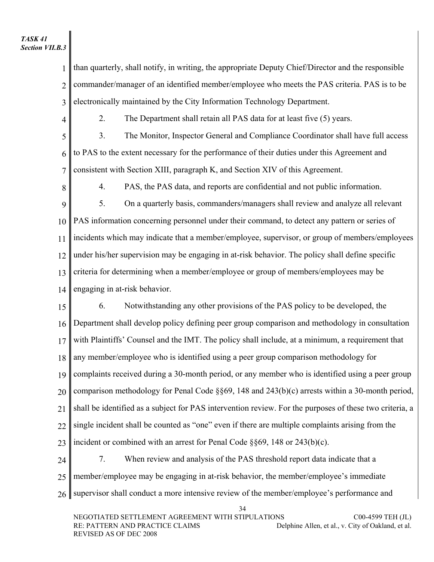1 2 3 than quarterly, shall notify, in writing, the appropriate Deputy Chief/Director and the responsible commander/manager of an identified member/employee who meets the PAS criteria. PAS is to be electronically maintained by the City Information Technology Department.

4

2. The Department shall retain all PAS data for at least five (5) years.

5 6 7 3. The Monitor, Inspector General and Compliance Coordinator shall have full access to PAS to the extent necessary for the performance of their duties under this Agreement and consistent with Section XIII, paragraph K, and Section XIV of this Agreement.

8

4. PAS, the PAS data, and reports are confidential and not public information.

9 10 11 12 13 14 5. On a quarterly basis, commanders/managers shall review and analyze all relevant PAS information concerning personnel under their command, to detect any pattern or series of incidents which may indicate that a member/employee, supervisor, or group of members/employees under his/her supervision may be engaging in at-risk behavior. The policy shall define specific criteria for determining when a member/employee or group of members/employees may be engaging in at-risk behavior.

15 16 17 18 19 20 21 22 23 6. Notwithstanding any other provisions of the PAS policy to be developed, the Department shall develop policy defining peer group comparison and methodology in consultation with Plaintiffs' Counsel and the IMT. The policy shall include, at a minimum, a requirement that any member/employee who is identified using a peer group comparison methodology for complaints received during a 30-month period, or any member who is identified using a peer group comparison methodology for Penal Code  $\S669$ , 148 and  $243(b)(c)$  arrests within a 30-month period, shall be identified as a subject for PAS intervention review. For the purposes of these two criteria, a single incident shall be counted as "one" even if there are multiple complaints arising from the incident or combined with an arrest for Penal Code §§69, 148 or 243(b)(c).

24 25 26 7. When review and analysis of the PAS threshold report data indicate that a member/employee may be engaging in at-risk behavior, the member/employee's immediate supervisor shall conduct a more intensive review of the member/employee's performance and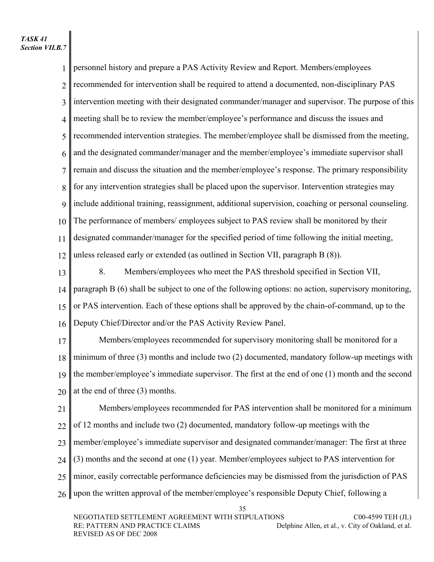1 2 3 4 5 6 7 8 9 10 11 12 13 14 15 16 17 18 19 20 21 22 23 24 25 26 l 35 personnel history and prepare a PAS Activity Review and Report. Members/employees recommended for intervention shall be required to attend a documented, non-disciplinary PAS intervention meeting with their designated commander/manager and supervisor. The purpose of this meeting shall be to review the member/employee's performance and discuss the issues and recommended intervention strategies. The member/employee shall be dismissed from the meeting, and the designated commander/manager and the member/employee's immediate supervisor shall remain and discuss the situation and the member/employee's response. The primary responsibility for any intervention strategies shall be placed upon the supervisor. Intervention strategies may include additional training, reassignment, additional supervision, coaching or personal counseling. The performance of members/ employees subject to PAS review shall be monitored by their designated commander/manager for the specified period of time following the initial meeting, unless released early or extended (as outlined in Section VII, paragraph B (8)). 8. Members/employees who meet the PAS threshold specified in Section VII, paragraph B (6) shall be subject to one of the following options: no action, supervisory monitoring, or PAS intervention. Each of these options shall be approved by the chain-of-command, up to the Deputy Chief/Director and/or the PAS Activity Review Panel. Members/employees recommended for supervisory monitoring shall be monitored for a minimum of three (3) months and include two (2) documented, mandatory follow-up meetings with the member/employee's immediate supervisor. The first at the end of one (1) month and the second at the end of three (3) months. Members/employees recommended for PAS intervention shall be monitored for a minimum of 12 months and include two (2) documented, mandatory follow-up meetings with the member/employee's immediate supervisor and designated commander/manager: The first at three (3) months and the second at one (1) year. Member/employees subject to PAS intervention for minor, easily correctable performance deficiencies may be dismissed from the jurisdiction of PAS upon the written approval of the member/employee's responsible Deputy Chief, following a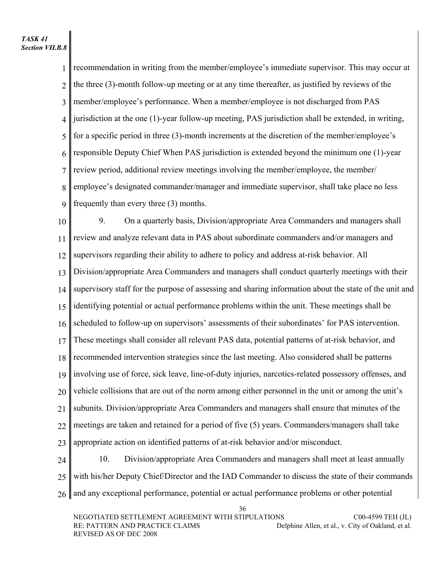1 2 3 4 5 6 7 8  $\overline{Q}$ recommendation in writing from the member/employee's immediate supervisor. This may occur at the three (3)-month follow-up meeting or at any time thereafter, as justified by reviews of the member/employee's performance. When a member/employee is not discharged from PAS jurisdiction at the one (1)-year follow-up meeting, PAS jurisdiction shall be extended, in writing, for a specific period in three (3)-month increments at the discretion of the member/employee's responsible Deputy Chief When PAS jurisdiction is extended beyond the minimum one (1)-year review period, additional review meetings involving the member/employee, the member/ employee's designated commander/manager and immediate supervisor, shall take place no less frequently than every three (3) months.

10 11 12 13 14 15 16 17 18 19 20 21 22 23 9. On a quarterly basis, Division/appropriate Area Commanders and managers shall review and analyze relevant data in PAS about subordinate commanders and/or managers and supervisors regarding their ability to adhere to policy and address at-risk behavior. All Division/appropriate Area Commanders and managers shall conduct quarterly meetings with their supervisory staff for the purpose of assessing and sharing information about the state of the unit and identifying potential or actual performance problems within the unit. These meetings shall be scheduled to follow-up on supervisors' assessments of their subordinates' for PAS intervention. These meetings shall consider all relevant PAS data, potential patterns of at-risk behavior, and recommended intervention strategies since the last meeting. Also considered shall be patterns involving use of force, sick leave, line-of-duty injuries, narcotics-related possessory offenses, and vehicle collisions that are out of the norm among either personnel in the unit or among the unit's subunits. Division/appropriate Area Commanders and managers shall ensure that minutes of the meetings are taken and retained for a period of five (5) years. Commanders/managers shall take appropriate action on identified patterns of at-risk behavior and/or misconduct.

24 25 26 10. Division/appropriate Area Commanders and managers shall meet at least annually with his/her Deputy Chief/Director and the IAD Commander to discuss the state of their commands and any exceptional performance, potential or actual performance problems or other potential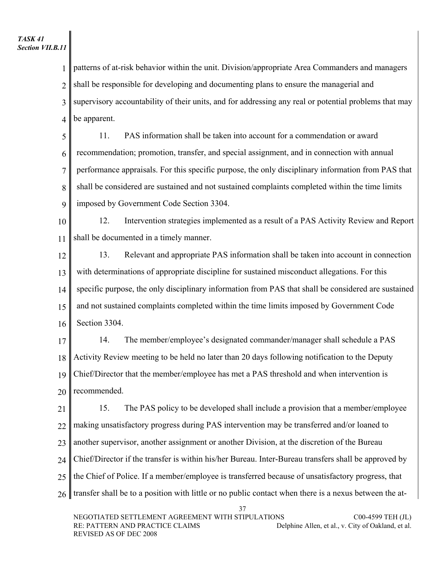1 2 3 4 patterns of at-risk behavior within the unit. Division/appropriate Area Commanders and managers shall be responsible for developing and documenting plans to ensure the managerial and supervisory accountability of their units, and for addressing any real or potential problems that may be apparent.

5 6 7 8  $\overline{Q}$ 11. PAS information shall be taken into account for a commendation or award recommendation; promotion, transfer, and special assignment, and in connection with annual performance appraisals. For this specific purpose, the only disciplinary information from PAS that shall be considered are sustained and not sustained complaints completed within the time limits imposed by Government Code Section 3304.

10 11 12. Intervention strategies implemented as a result of a PAS Activity Review and Report shall be documented in a timely manner.

12 13 14 15 16 13. Relevant and appropriate PAS information shall be taken into account in connection with determinations of appropriate discipline for sustained misconduct allegations. For this specific purpose, the only disciplinary information from PAS that shall be considered are sustained and not sustained complaints completed within the time limits imposed by Government Code Section 3304.

17 18 19 20 14. The member/employee's designated commander/manager shall schedule a PAS Activity Review meeting to be held no later than 20 days following notification to the Deputy Chief/Director that the member/employee has met a PAS threshold and when intervention is recommended.

21 22 23 24 25 26 15. The PAS policy to be developed shall include a provision that a member/employee making unsatisfactory progress during PAS intervention may be transferred and/or loaned to another supervisor, another assignment or another Division, at the discretion of the Bureau Chief/Director if the transfer is within his/her Bureau. Inter-Bureau transfers shall be approved by the Chief of Police. If a member/employee is transferred because of unsatisfactory progress, that transfer shall be to a position with little or no public contact when there is a nexus between the at-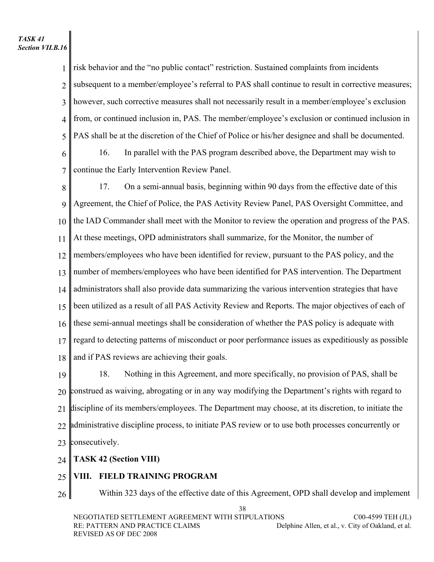1 2 3 4 5 risk behavior and the "no public contact" restriction. Sustained complaints from incidents subsequent to a member/employee's referral to PAS shall continue to result in corrective measures; however, such corrective measures shall not necessarily result in a member/employee's exclusion from, or continued inclusion in, PAS. The member/employee's exclusion or continued inclusion in PAS shall be at the discretion of the Chief of Police or his/her designee and shall be documented.

6 7 16. In parallel with the PAS program described above, the Department may wish to continue the Early Intervention Review Panel.

8 9 10 11 12 13 14 15 16 17 18 17. On a semi-annual basis, beginning within 90 days from the effective date of this Agreement, the Chief of Police, the PAS Activity Review Panel, PAS Oversight Committee, and the IAD Commander shall meet with the Monitor to review the operation and progress of the PAS. At these meetings, OPD administrators shall summarize, for the Monitor, the number of members/employees who have been identified for review, pursuant to the PAS policy, and the number of members/employees who have been identified for PAS intervention. The Department administrators shall also provide data summarizing the various intervention strategies that have been utilized as a result of all PAS Activity Review and Reports. The major objectives of each of these semi-annual meetings shall be consideration of whether the PAS policy is adequate with regard to detecting patterns of misconduct or poor performance issues as expeditiously as possible and if PAS reviews are achieving their goals.

19 20 21 22 23  $|$ consecutively. 18. Nothing in this Agreement, and more specifically, no provision of PAS, shall be construed as waiving, abrogating or in any way modifying the Department's rights with regard to discipline of its members/employees. The Department may choose, at its discretion, to initiate the administrative discipline process, to initiate PAS review or to use both processes concurrently or

24 **TASK 42 (Section VIII)** 

#### 25 **VIII. FIELD TRAINING PROGRAM**

26 Within 323 days of the effective date of this Agreement, OPD shall develop and implement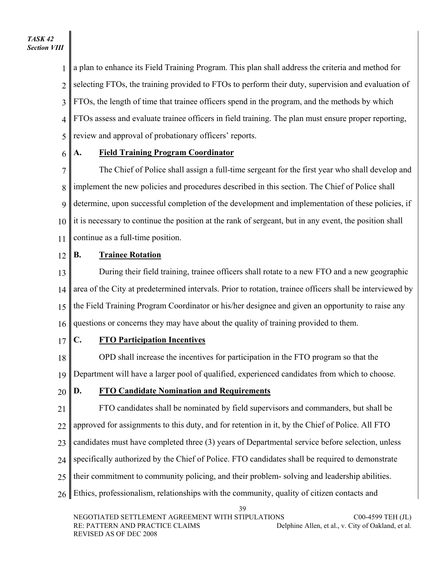1 2 3 4 5 a plan to enhance its Field Training Program. This plan shall address the criteria and method for selecting FTOs, the training provided to FTOs to perform their duty, supervision and evaluation of FTOs, the length of time that trainee officers spend in the program, and the methods by which FTOs assess and evaluate trainee officers in field training. The plan must ensure proper reporting, review and approval of probationary officers' reports.

6

# **A. Field Training Program Coordinator**

7 8  $\overline{Q}$ 10 11 The Chief of Police shall assign a full-time sergeant for the first year who shall develop and implement the new policies and procedures described in this section. The Chief of Police shall determine, upon successful completion of the development and implementation of these policies, if it is necessary to continue the position at the rank of sergeant, but in any event, the position shall continue as a full-time position.

12 **B. Trainee Rotation**

13 14 15 16 During their field training, trainee officers shall rotate to a new FTO and a new geographic area of the City at predetermined intervals. Prior to rotation, trainee officers shall be interviewed by the Field Training Program Coordinator or his/her designee and given an opportunity to raise any questions or concerns they may have about the quality of training provided to them.

17 **C. FTO Participation Incentives**

18 19 OPD shall increase the incentives for participation in the FTO program so that the Department will have a larger pool of qualified, experienced candidates from which to choose.

20 **D. FTO Candidate Nomination and Requirements**

21 FTO candidates shall be nominated by field supervisors and commanders, but shall be

22 approved for assignments to this duty, and for retention in it, by the Chief of Police. All FTO

- 23 candidates must have completed three (3) years of Departmental service before selection, unless
- 24 specifically authorized by the Chief of Police. FTO candidates shall be required to demonstrate
- 25 their commitment to community policing, and their problem- solving and leadership abilities.
- 26 Ethics, professionalism, relationships with the community, quality of citizen contacts and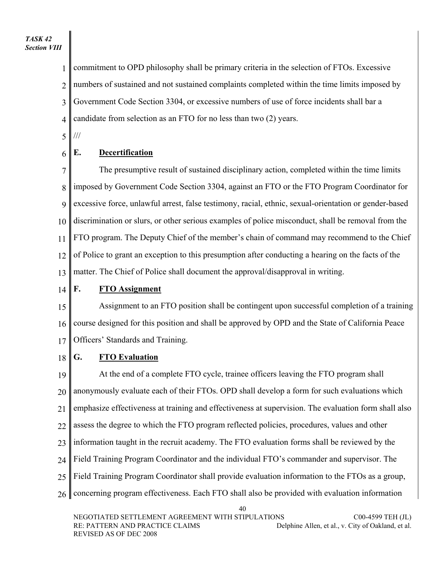1 2 3 4 commitment to OPD philosophy shall be primary criteria in the selection of FTOs. Excessive numbers of sustained and not sustained complaints completed within the time limits imposed by Government Code Section 3304, or excessive numbers of use of force incidents shall bar a candidate from selection as an FTO for no less than two (2) years.

5 ///

#### 6 **E. Decertification**

7 8  $\overline{Q}$ 10 11 12 13 The presumptive result of sustained disciplinary action, completed within the time limits imposed by Government Code Section 3304, against an FTO or the FTO Program Coordinator for excessive force, unlawful arrest, false testimony, racial, ethnic, sexual-orientation or gender-based discrimination or slurs, or other serious examples of police misconduct, shall be removal from the FTO program. The Deputy Chief of the member's chain of command may recommend to the Chief of Police to grant an exception to this presumption after conducting a hearing on the facts of the matter. The Chief of Police shall document the approval/disapproval in writing.

#### 14 **F. FTO Assignment**

15 16 17 Assignment to an FTO position shall be contingent upon successful completion of a training course designed for this position and shall be approved by OPD and the State of California Peace Officers' Standards and Training.

#### 18 **G. FTO Evaluation**

19 20 21 22 23 24 25 26 l 40 At the end of a complete FTO cycle, trainee officers leaving the FTO program shall anonymously evaluate each of their FTOs. OPD shall develop a form for such evaluations which emphasize effectiveness at training and effectiveness at supervision. The evaluation form shall also assess the degree to which the FTO program reflected policies, procedures, values and other information taught in the recruit academy. The FTO evaluation forms shall be reviewed by the Field Training Program Coordinator and the individual FTO's commander and supervisor. The Field Training Program Coordinator shall provide evaluation information to the FTOs as a group, concerning program effectiveness. Each FTO shall also be provided with evaluation information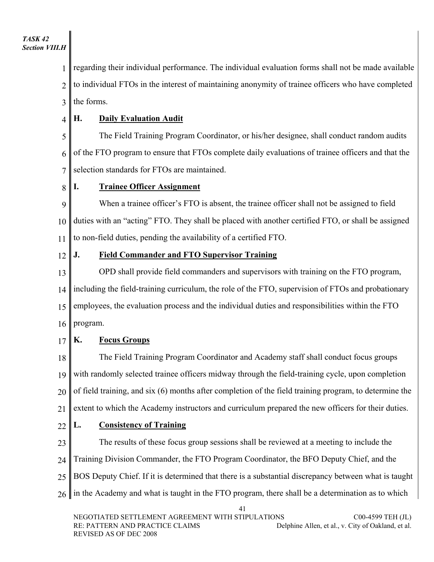1 2 3 regarding their individual performance. The individual evaluation forms shall not be made available to individual FTOs in the interest of maintaining anonymity of trainee officers who have completed the forms.

### 4 **H. Daily Evaluation Audit**

5 6 7 The Field Training Program Coordinator, or his/her designee, shall conduct random audits of the FTO program to ensure that FTOs complete daily evaluations of trainee officers and that the selection standards for FTOs are maintained.

8

# **I. Trainee Officer Assignment**

 $\overline{Q}$ 10 11 When a trainee officer's FTO is absent, the trainee officer shall not be assigned to field duties with an "acting" FTO. They shall be placed with another certified FTO, or shall be assigned to non-field duties, pending the availability of a certified FTO.

12

# **J. Field Commander and FTO Supervisor Training**

13 14 15 16 OPD shall provide field commanders and supervisors with training on the FTO program, including the field-training curriculum, the role of the FTO, supervision of FTOs and probationary employees, the evaluation process and the individual duties and responsibilities within the FTO program.

### 17 **K. Focus Groups**

18 19 20  $21$ The Field Training Program Coordinator and Academy staff shall conduct focus groups with randomly selected trainee officers midway through the field-training cycle, upon completion of field training, and six (6) months after completion of the field training program, to determine the extent to which the Academy instructors and curriculum prepared the new officers for their duties.

22 **L. Consistency of Training**

23 24 25 26 l 41 The results of these focus group sessions shall be reviewed at a meeting to include the Training Division Commander, the FTO Program Coordinator, the BFO Deputy Chief, and the BOS Deputy Chief. If it is determined that there is a substantial discrepancy between what is taught in the Academy and what is taught in the FTO program, there shall be a determination as to which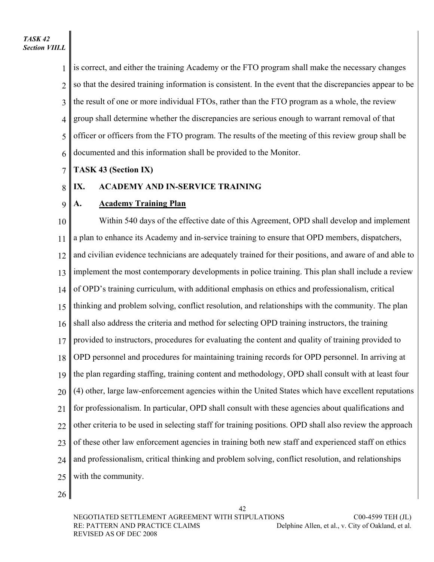1 2 3 4 5 6 is correct, and either the training Academy or the FTO program shall make the necessary changes so that the desired training information is consistent. In the event that the discrepancies appear to be the result of one or more individual FTOs, rather than the FTO program as a whole, the review group shall determine whether the discrepancies are serious enough to warrant removal of that officer or officers from the FTO program. The results of the meeting of this review group shall be documented and this information shall be provided to the Monitor.

7 **TASK 43 (Section IX)** 

#### 8 **IX. ACADEMY AND IN-SERVICE TRAINING**

#### $\overline{Q}$ **A. Academy Training Plan**

10 11 12 13 14 15 16 17 18 19 20 21 22 23 24 25 Within 540 days of the effective date of this Agreement, OPD shall develop and implement a plan to enhance its Academy and in-service training to ensure that OPD members, dispatchers, and civilian evidence technicians are adequately trained for their positions, and aware of and able to implement the most contemporary developments in police training. This plan shall include a review of OPD's training curriculum, with additional emphasis on ethics and professionalism, critical thinking and problem solving, conflict resolution, and relationships with the community. The plan shall also address the criteria and method for selecting OPD training instructors, the training provided to instructors, procedures for evaluating the content and quality of training provided to OPD personnel and procedures for maintaining training records for OPD personnel. In arriving at the plan regarding staffing, training content and methodology, OPD shall consult with at least four (4) other, large law-enforcement agencies within the United States which have excellent reputations for professionalism. In particular, OPD shall consult with these agencies about qualifications and other criteria to be used in selecting staff for training positions. OPD shall also review the approach of these other law enforcement agencies in training both new staff and experienced staff on ethics and professionalism, critical thinking and problem solving, conflict resolution, and relationships with the community.

26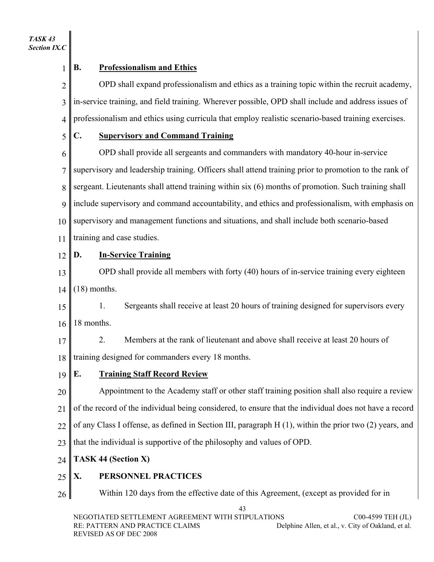1

# **B. Professionalism and Ethics**

2 3 4 OPD shall expand professionalism and ethics as a training topic within the recruit academy, in-service training, and field training. Wherever possible, OPD shall include and address issues of professionalism and ethics using curricula that employ realistic scenario-based training exercises.

5

# **C. Supervisory and Command Training**

6 7 8  $\overline{Q}$ 10 11 OPD shall provide all sergeants and commanders with mandatory 40-hour in-service supervisory and leadership training. Officers shall attend training prior to promotion to the rank of sergeant. Lieutenants shall attend training within six (6) months of promotion. Such training shall include supervisory and command accountability, and ethics and professionalism, with emphasis on supervisory and management functions and situations, and shall include both scenario-based training and case studies.

12 **D. In-Service Training**

13 14 OPD shall provide all members with forty (40) hours of in-service training every eighteen (18) months.

15 16 1. Sergeants shall receive at least 20 hours of training designed for supervisors every 18 months.

17 18 2. Members at the rank of lieutenant and above shall receive at least 20 hours of training designed for commanders every 18 months.

19

# **E. Training Staff Record Review**

20 21 22 23 Appointment to the Academy staff or other staff training position shall also require a review of the record of the individual being considered, to ensure that the individual does not have a record of any Class I offense, as defined in Section III, paragraph H (1), within the prior two (2) years, and that the individual is supportive of the philosophy and values of OPD.

24 **TASK 44 (Section X)** 

## 25 **X. PERSONNEL PRACTICES**

26 Within 120 days from the effective date of this Agreement, (except as provided for in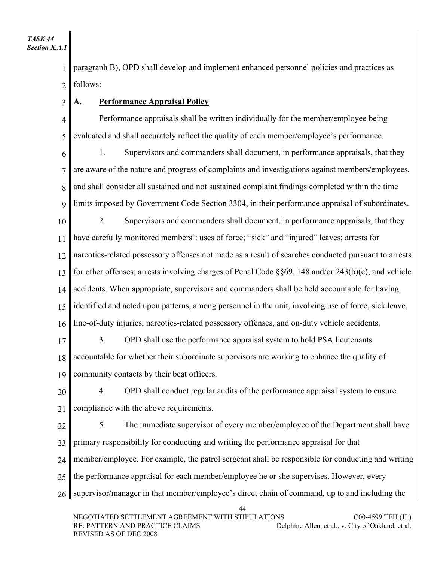3

16

1 2 paragraph B), OPD shall develop and implement enhanced personnel policies and practices as follows:

## **A. Performance Appraisal Policy**

4 5 Performance appraisals shall be written individually for the member/employee being evaluated and shall accurately reflect the quality of each member/employee's performance.

6 7 8 9 1. Supervisors and commanders shall document, in performance appraisals, that they are aware of the nature and progress of complaints and investigations against members/employees, and shall consider all sustained and not sustained complaint findings completed within the time limits imposed by Government Code Section 3304, in their performance appraisal of subordinates.

10 11 12 13 14 15 2. Supervisors and commanders shall document, in performance appraisals, that they have carefully monitored members': uses of force; "sick" and "injured" leaves; arrests for narcotics-related possessory offenses not made as a result of searches conducted pursuant to arrests for other offenses; arrests involving charges of Penal Code §§69, 148 and/or 243(b)(c); and vehicle accidents. When appropriate, supervisors and commanders shall be held accountable for having identified and acted upon patterns, among personnel in the unit, involving use of force, sick leave, line-of-duty injuries, narcotics-related possessory offenses, and on-duty vehicle accidents.

17 18 19 3. OPD shall use the performance appraisal system to hold PSA lieutenants accountable for whether their subordinate supervisors are working to enhance the quality of community contacts by their beat officers.

20  $21$ 4. OPD shall conduct regular audits of the performance appraisal system to ensure compliance with the above requirements.

22 23 24 25 26 l 44 5. The immediate supervisor of every member/employee of the Department shall have primary responsibility for conducting and writing the performance appraisal for that member/employee. For example, the patrol sergeant shall be responsible for conducting and writing the performance appraisal for each member/employee he or she supervises. However, every supervisor/manager in that member/employee's direct chain of command, up to and including the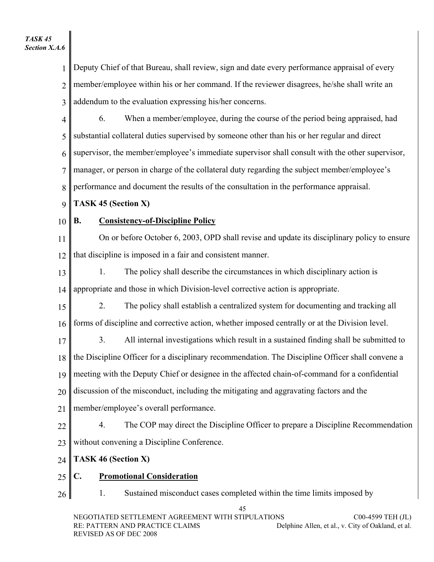1 2 3 Deputy Chief of that Bureau, shall review, sign and date every performance appraisal of every member/employee within his or her command. If the reviewer disagrees, he/she shall write an addendum to the evaluation expressing his/her concerns.

4 5 6 7 8 6. When a member/employee, during the course of the period being appraised, had substantial collateral duties supervised by someone other than his or her regular and direct supervisor, the member/employee's immediate supervisor shall consult with the other supervisor, manager, or person in charge of the collateral duty regarding the subject member/employee's performance and document the results of the consultation in the performance appraisal.

#### $\overline{Q}$ **TASK 45 (Section X)**

#### 10 **B. Consistency-of-Discipline Policy**

11 12 On or before October 6, 2003, OPD shall revise and update its disciplinary policy to ensure that discipline is imposed in a fair and consistent manner.

13 14 1. The policy shall describe the circumstances in which disciplinary action is appropriate and those in which Division-level corrective action is appropriate.

15 16 2. The policy shall establish a centralized system for documenting and tracking all forms of discipline and corrective action, whether imposed centrally or at the Division level.

17 18 19 20 3. All internal investigations which result in a sustained finding shall be submitted to the Discipline Officer for a disciplinary recommendation. The Discipline Officer shall convene a meeting with the Deputy Chief or designee in the affected chain-of-command for a confidential discussion of the misconduct, including the mitigating and aggravating factors and the

 $21$ member/employee's overall performance.

22 23 4. The COP may direct the Discipline Officer to prepare a Discipline Recommendation without convening a Discipline Conference.

- 24 **TASK 46 (Section X)**
- 25 **C. Promotional Consideration**
- 26 1. Sustained misconduct cases completed within the time limits imposed by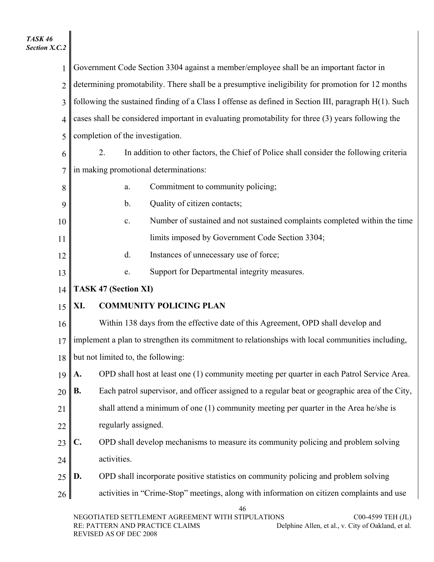| $\mathbf{1}$   | Government Code Section 3304 against a member/employee shall be an important factor in                      |  |  |  |
|----------------|-------------------------------------------------------------------------------------------------------------|--|--|--|
| $\overline{2}$ | determining promotability. There shall be a presumptive ineligibility for promotion for 12 months           |  |  |  |
| 3              | following the sustained finding of a Class I offense as defined in Section III, paragraph H(1). Such        |  |  |  |
| 4              | cases shall be considered important in evaluating promotability for three (3) years following the           |  |  |  |
| 5              | completion of the investigation.                                                                            |  |  |  |
| 6              | In addition to other factors, the Chief of Police shall consider the following criteria<br>2.               |  |  |  |
| 7              | in making promotional determinations:                                                                       |  |  |  |
| 8              | Commitment to community policing;<br>a.                                                                     |  |  |  |
| 9              | Quality of citizen contacts;<br>$\mathbf b$ .                                                               |  |  |  |
| 10             | Number of sustained and not sustained complaints completed within the time<br>c.                            |  |  |  |
| 11             | limits imposed by Government Code Section 3304;                                                             |  |  |  |
| 12             | Instances of unnecessary use of force;<br>d.                                                                |  |  |  |
| 13             | Support for Departmental integrity measures.<br>e.                                                          |  |  |  |
| 14             | <b>TASK 47 (Section XI)</b>                                                                                 |  |  |  |
| 15             | <b>COMMUNITY POLICING PLAN</b><br>XI.                                                                       |  |  |  |
| 16             | Within 138 days from the effective date of this Agreement, OPD shall develop and                            |  |  |  |
| 17             | implement a plan to strengthen its commitment to relationships with local communities including,            |  |  |  |
| 18             | but not limited to, the following:                                                                          |  |  |  |
| $19 \vert A.$  | OPD shall host at least one (1) community meeting per quarter in each Patrol Service Area.                  |  |  |  |
| 20             | Each patrol supervisor, and officer assigned to a regular beat or geographic area of the City,<br><b>B.</b> |  |  |  |
| 21             | shall attend a minimum of one (1) community meeting per quarter in the Area he/she is                       |  |  |  |
| 22             | regularly assigned.                                                                                         |  |  |  |
| 23             | OPD shall develop mechanisms to measure its community policing and problem solving<br>C.                    |  |  |  |
| 24             | activities.                                                                                                 |  |  |  |
| 25             | OPD shall incorporate positive statistics on community policing and problem solving<br>D.                   |  |  |  |
| 26             | activities in "Crime-Stop" meetings, along with information on citizen complaints and use                   |  |  |  |
|                | 46<br>NEGOTIATED SETTLEMENT AGREEMENT WITH STIPULATIONS<br>C00-4599 TEH (JL)                                |  |  |  |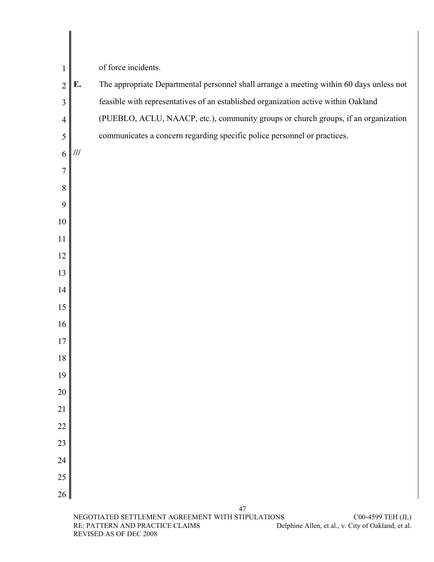REVISED AS OF DEC 2008

| $\mathbf{1}$   | of force incidents.                                                                |                                                                                          |
|----------------|------------------------------------------------------------------------------------|------------------------------------------------------------------------------------------|
| $\overline{2}$ | E.                                                                                 | The appropriate Departmental personnel shall arrange a meeting within 60 days unless not |
| 3              | feasible with representatives of an established organization active within Oakland |                                                                                          |
| $\overline{4}$ |                                                                                    | (PUEBLO, ACLU, NAACP, etc.), community groups or church groups, if an organization       |
| 5              | communicates a concern regarding specific police personnel or practices.           |                                                                                          |
| 6              | ///                                                                                |                                                                                          |
| $\overline{7}$ |                                                                                    |                                                                                          |
| 8              |                                                                                    |                                                                                          |
| 9              |                                                                                    |                                                                                          |
| $10\,$         |                                                                                    |                                                                                          |
| 11             |                                                                                    |                                                                                          |
| 12             |                                                                                    |                                                                                          |
| 13             |                                                                                    |                                                                                          |
| 14             |                                                                                    |                                                                                          |
| 15             |                                                                                    |                                                                                          |
| 16             |                                                                                    |                                                                                          |
| 17             |                                                                                    |                                                                                          |
| 18             |                                                                                    |                                                                                          |
| 19             |                                                                                    |                                                                                          |
| 20             |                                                                                    |                                                                                          |
| 21             |                                                                                    |                                                                                          |
| 22             |                                                                                    |                                                                                          |
| 23             |                                                                                    |                                                                                          |
| 24             |                                                                                    |                                                                                          |
| 25             |                                                                                    |                                                                                          |
| 26             |                                                                                    |                                                                                          |
|                | 47<br>NEGOTIATED SETTLEMENT AGREEMENT WITH STIPULATIONS                            | C00-4599 TEH (JL)                                                                        |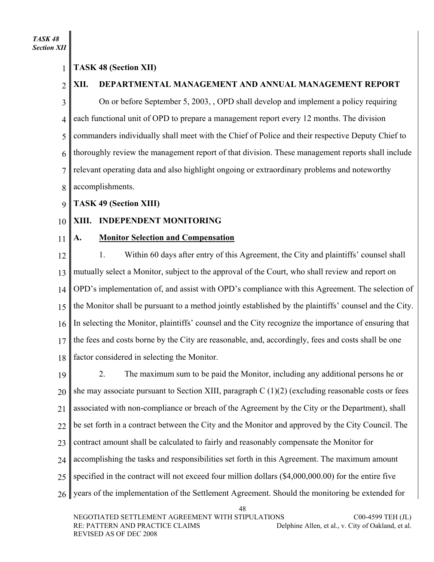#### 1 **TASK 48 (Section XII)**

#### 2 **XII. DEPARTMENTAL MANAGEMENT AND ANNUAL MANAGEMENT REPORT**

3 4 5 6 7 8 On or before September 5, 2003, , OPD shall develop and implement a policy requiring each functional unit of OPD to prepare a management report every 12 months. The division commanders individually shall meet with the Chief of Police and their respective Deputy Chief to thoroughly review the management report of that division. These management reports shall include relevant operating data and also highlight ongoing or extraordinary problems and noteworthy accomplishments.

#### 9 **TASK 49 (Section XIII)**

#### 10 **XIII. INDEPENDENT MONITORING**

#### 11 **A. Monitor Selection and Compensation**

12 13 14 15 16 17 18 1. Within 60 days after entry of this Agreement, the City and plaintiffs' counsel shall mutually select a Monitor, subject to the approval of the Court, who shall review and report on OPD's implementation of, and assist with OPD's compliance with this Agreement. The selection of the Monitor shall be pursuant to a method jointly established by the plaintiffs' counsel and the City. In selecting the Monitor, plaintiffs' counsel and the City recognize the importance of ensuring that the fees and costs borne by the City are reasonable, and, accordingly, fees and costs shall be one factor considered in selecting the Monitor.

19 20 21 22 23 24 25 26 vears of the implementation of the Settlement Agreement. Should the monitoring be extended for 48 2. The maximum sum to be paid the Monitor, including any additional persons he or she may associate pursuant to Section XIII, paragraph  $C(1)(2)$  (excluding reasonable costs or fees associated with non-compliance or breach of the Agreement by the City or the Department), shall be set forth in a contract between the City and the Monitor and approved by the City Council. The contract amount shall be calculated to fairly and reasonably compensate the Monitor for accomplishing the tasks and responsibilities set forth in this Agreement. The maximum amount specified in the contract will not exceed four million dollars (\$4,000,000.00) for the entire five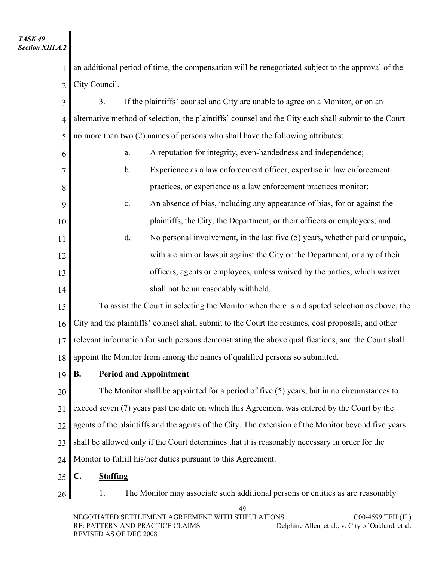*TASK 49 Section XIII.A.2*

> 1 2 an additional period of time, the compensation will be renegotiated subject to the approval of the City Council.

> 3 4 5 3. If the plaintiffs' counsel and City are unable to agree on a Monitor, or on an alternative method of selection, the plaintiffs' counsel and the City each shall submit to the Court no more than two (2) names of persons who shall have the following attributes:

> 6 7 8 9 10 11 12 13 14 a. A reputation for integrity, even-handedness and independence; b. Experience as a law enforcement officer, expertise in law enforcement practices, or experience as a law enforcement practices monitor; c. An absence of bias, including any appearance of bias, for or against the plaintiffs, the City, the Department, or their officers or employees; and d. No personal involvement, in the last five (5) years, whether paid or unpaid, with a claim or lawsuit against the City or the Department, or any of their officers, agents or employees, unless waived by the parties, which waiver shall not be unreasonably withheld.

15 16 17 18 To assist the Court in selecting the Monitor when there is a disputed selection as above, the City and the plaintiffs' counsel shall submit to the Court the resumes, cost proposals, and other relevant information for such persons demonstrating the above qualifications, and the Court shall appoint the Monitor from among the names of qualified persons so submitted.

19

# **B. Period and Appointment**

20 21 22 23 24 The Monitor shall be appointed for a period of five (5) years, but in no circumstances to exceed seven (7) years past the date on which this Agreement was entered by the Court by the agents of the plaintiffs and the agents of the City. The extension of the Monitor beyond five years shall be allowed only if the Court determines that it is reasonably necessary in order for the Monitor to fulfill his/her duties pursuant to this Agreement.

- 25 **C. Staffing**
- 26

1. The Monitor may associate such additional persons or entities as are reasonably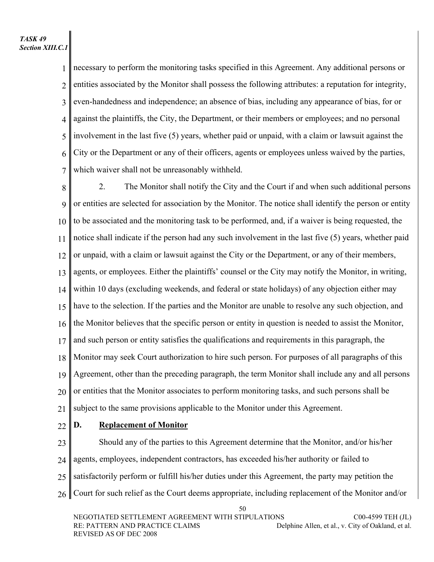1 2 3 4 5 6 7 necessary to perform the monitoring tasks specified in this Agreement. Any additional persons or entities associated by the Monitor shall possess the following attributes: a reputation for integrity, even-handedness and independence; an absence of bias, including any appearance of bias, for or against the plaintiffs, the City, the Department, or their members or employees; and no personal involvement in the last five (5) years, whether paid or unpaid, with a claim or lawsuit against the City or the Department or any of their officers, agents or employees unless waived by the parties, which waiver shall not be unreasonably withheld.

8  $\mathbf Q$ 10 11 12 13 14 15 16 17 18 19 20  $21$ 2. The Monitor shall notify the City and the Court if and when such additional persons or entities are selected for association by the Monitor. The notice shall identify the person or entity to be associated and the monitoring task to be performed, and, if a waiver is being requested, the notice shall indicate if the person had any such involvement in the last five (5) years, whether paid or unpaid, with a claim or lawsuit against the City or the Department, or any of their members, agents, or employees. Either the plaintiffs' counsel or the City may notify the Monitor, in writing, within 10 days (excluding weekends, and federal or state holidays) of any objection either may have to the selection. If the parties and the Monitor are unable to resolve any such objection, and the Monitor believes that the specific person or entity in question is needed to assist the Monitor, and such person or entity satisfies the qualifications and requirements in this paragraph, the Monitor may seek Court authorization to hire such person. For purposes of all paragraphs of this Agreement, other than the preceding paragraph, the term Monitor shall include any and all persons or entities that the Monitor associates to perform monitoring tasks, and such persons shall be subject to the same provisions applicable to the Monitor under this Agreement.

22 **D. Replacement of Monitor**

23 24 25 26 Should any of the parties to this Agreement determine that the Monitor, and/or his/her agents, employees, independent contractors, has exceeded his/her authority or failed to satisfactorily perform or fulfill his/her duties under this Agreement, the party may petition the Court for such relief as the Court deems appropriate, including replacement of the Monitor and/or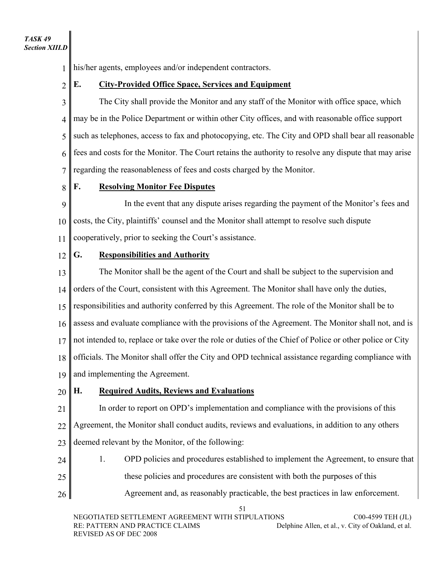1 his/her agents, employees and/or independent contractors.

# **E. City-Provided Office Space, Services and Equipment**

3 4 5 6 7 The City shall provide the Monitor and any staff of the Monitor with office space, which may be in the Police Department or within other City offices, and with reasonable office support such as telephones, access to fax and photocopying, etc. The City and OPD shall bear all reasonable fees and costs for the Monitor. The Court retains the authority to resolve any dispute that may arise regarding the reasonableness of fees and costs charged by the Monitor.

8

2

## **F. Resolving Monitor Fee Disputes**

9 10 11 In the event that any dispute arises regarding the payment of the Monitor's fees and costs, the City, plaintiffs' counsel and the Monitor shall attempt to resolve such dispute cooperatively, prior to seeking the Court's assistance.

### 12 **G. Responsibilities and Authority**

13 14 15 16 17 18 19 The Monitor shall be the agent of the Court and shall be subject to the supervision and orders of the Court, consistent with this Agreement. The Monitor shall have only the duties, responsibilities and authority conferred by this Agreement. The role of the Monitor shall be to assess and evaluate compliance with the provisions of the Agreement. The Monitor shall not, and is not intended to, replace or take over the role or duties of the Chief of Police or other police or City officials. The Monitor shall offer the City and OPD technical assistance regarding compliance with and implementing the Agreement.

#### 20 **H. Required Audits, Reviews and Evaluations**

21 In order to report on OPD's implementation and compliance with the provisions of this

22 Agreement, the Monitor shall conduct audits, reviews and evaluations, in addition to any others

- 23 deemed relevant by the Monitor, of the following:
- 24 25 1. OPD policies and procedures established to implement the Agreement, to ensure that these policies and procedures are consistent with both the purposes of this
- 26 Agreement and, as reasonably practicable, the best practices in law enforcement.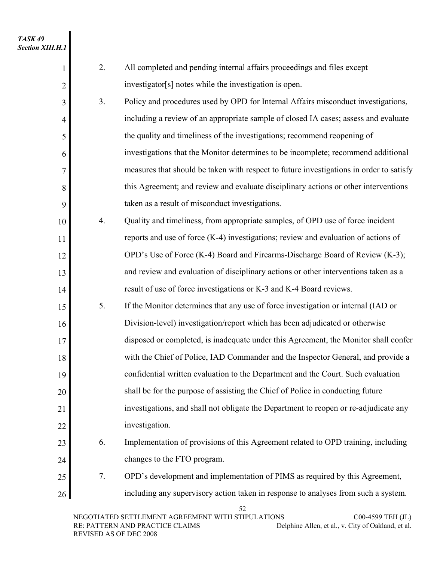## *TASK 49 Section XIII.H.1*

| $\mathbf{1}$   | 2. | All completed and pending internal affairs proceedings and files except                 |
|----------------|----|-----------------------------------------------------------------------------------------|
| $\overline{2}$ |    | investigator[s] notes while the investigation is open.                                  |
| 3              | 3. | Policy and procedures used by OPD for Internal Affairs misconduct investigations,       |
| 4              |    | including a review of an appropriate sample of closed IA cases; assess and evaluate     |
| 5              |    | the quality and timeliness of the investigations; recommend reopening of                |
| 6              |    | investigations that the Monitor determines to be incomplete; recommend additional       |
| $\overline{7}$ |    | measures that should be taken with respect to future investigations in order to satisfy |
| 8              |    | this Agreement; and review and evaluate disciplinary actions or other interventions     |
| 9              |    | taken as a result of misconduct investigations.                                         |
| 10             | 4. | Quality and timeliness, from appropriate samples, of OPD use of force incident          |
| 11             |    | reports and use of force $(K-4)$ investigations; review and evaluation of actions of    |
| 12             |    | OPD's Use of Force (K-4) Board and Firearms-Discharge Board of Review (K-3);            |
| 13             |    | and review and evaluation of disciplinary actions or other interventions taken as a     |
| 14             |    | result of use of force investigations or K-3 and K-4 Board reviews.                     |
| 15             | 5. | If the Monitor determines that any use of force investigation or internal (IAD or       |
| 16             |    | Division-level) investigation/report which has been adjudicated or otherwise            |
| 17             |    | disposed or completed, is inadequate under this Agreement, the Monitor shall confer     |
| 18             |    | with the Chief of Police, IAD Commander and the Inspector General, and provide a        |
| 19             |    | confidential written evaluation to the Department and the Court. Such evaluation        |
| 20             |    | shall be for the purpose of assisting the Chief of Police in conducting future          |
| 21             |    | investigations, and shall not obligate the Department to reopen or re-adjudicate any    |
| 22             |    | investigation.                                                                          |
| 23             | 6. | Implementation of provisions of this Agreement related to OPD training, including       |
| 24             |    | changes to the FTO program.                                                             |
| 25             | 7. | OPD's development and implementation of PIMS as required by this Agreement,             |
| 26             |    | including any supervisory action taken in response to analyses from such a system.      |
|                |    | 50                                                                                      |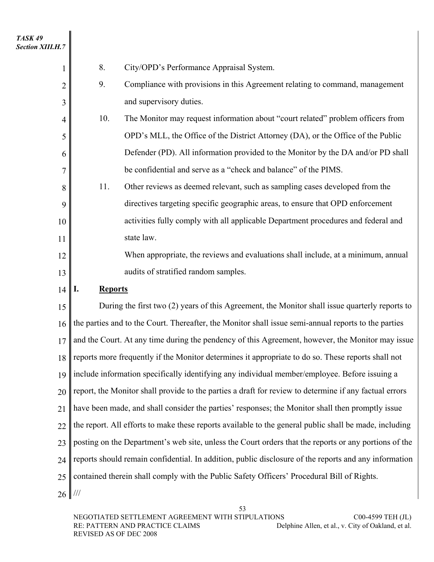## *TASK 49 Section XIII.H.7*

| 1              | 8.                                                                                                     | City/OPD's Performance Appraisal System.                                          |  |  |  |
|----------------|--------------------------------------------------------------------------------------------------------|-----------------------------------------------------------------------------------|--|--|--|
| $\overline{2}$ | 9.<br>Compliance with provisions in this Agreement relating to command, management                     |                                                                                   |  |  |  |
| 3              |                                                                                                        | and supervisory duties.                                                           |  |  |  |
| 4              | 10.                                                                                                    | The Monitor may request information about "court related" problem officers from   |  |  |  |
| 5              | OPD's MLL, the Office of the District Attorney (DA), or the Office of the Public                       |                                                                                   |  |  |  |
| 6              |                                                                                                        | Defender (PD). All information provided to the Monitor by the DA and/or PD shall  |  |  |  |
| 7              |                                                                                                        | be confidential and serve as a "check and balance" of the PIMS.                   |  |  |  |
| 8              | 11.                                                                                                    | Other reviews as deemed relevant, such as sampling cases developed from the       |  |  |  |
| 9              |                                                                                                        | directives targeting specific geographic areas, to ensure that OPD enforcement    |  |  |  |
| 10             |                                                                                                        | activities fully comply with all applicable Department procedures and federal and |  |  |  |
| 11             |                                                                                                        | state law.                                                                        |  |  |  |
| 12             |                                                                                                        | When appropriate, the reviews and evaluations shall include, at a minimum, annual |  |  |  |
| 13             |                                                                                                        | audits of stratified random samples.                                              |  |  |  |
| 14             | <b>Reports</b><br>I.                                                                                   |                                                                                   |  |  |  |
| 15             | During the first two (2) years of this Agreement, the Monitor shall issue quarterly reports to         |                                                                                   |  |  |  |
| 16             | the parties and to the Court. Thereafter, the Monitor shall issue semi-annual reports to the parties   |                                                                                   |  |  |  |
| 17             | and the Court. At any time during the pendency of this Agreement, however, the Monitor may issue       |                                                                                   |  |  |  |
| 18             | reports more frequently if the Monitor determines it appropriate to do so. These reports shall not     |                                                                                   |  |  |  |
|                | 19   include information specifically identifying any individual member/employee. Before issuing a     |                                                                                   |  |  |  |
| 20             | report, the Monitor shall provide to the parties a draft for review to determine if any factual errors |                                                                                   |  |  |  |
| 21             | have been made, and shall consider the parties' responses; the Monitor shall then promptly issue       |                                                                                   |  |  |  |
| 22             | the report. All efforts to make these reports available to the general public shall be made, including |                                                                                   |  |  |  |
| 23             | posting on the Department's web site, unless the Court orders that the reports or any portions of the  |                                                                                   |  |  |  |
| 24             | reports should remain confidential. In addition, public disclosure of the reports and any information  |                                                                                   |  |  |  |

25 contained therein shall comply with the Public Safety Officers' Procedural Bill of Rights.

 $26$   $\frac{1}{11}$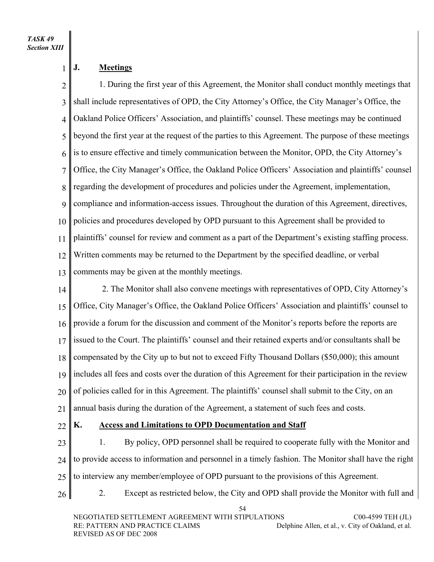1

## **J. Meetings**

2 3 4 5 6 7 8  $\overline{Q}$ 10 11 12 13 1. During the first year of this Agreement, the Monitor shall conduct monthly meetings that shall include representatives of OPD, the City Attorney's Office, the City Manager's Office, the Oakland Police Officers' Association, and plaintiffs' counsel. These meetings may be continued beyond the first year at the request of the parties to this Agreement. The purpose of these meetings is to ensure effective and timely communication between the Monitor, OPD, the City Attorney's Office, the City Manager's Office, the Oakland Police Officers' Association and plaintiffs' counsel regarding the development of procedures and policies under the Agreement, implementation, compliance and information-access issues. Throughout the duration of this Agreement, directives, policies and procedures developed by OPD pursuant to this Agreement shall be provided to plaintiffs' counsel for review and comment as a part of the Department's existing staffing process. Written comments may be returned to the Department by the specified deadline, or verbal comments may be given at the monthly meetings.

14 15 16 17 18 19 20  $21$ 2. The Monitor shall also convene meetings with representatives of OPD, City Attorney's Office, City Manager's Office, the Oakland Police Officers' Association and plaintiffs' counsel to provide a forum for the discussion and comment of the Monitor's reports before the reports are issued to the Court. The plaintiffs' counsel and their retained experts and/or consultants shall be compensated by the City up to but not to exceed Fifty Thousand Dollars (\$50,000); this amount includes all fees and costs over the duration of this Agreement for their participation in the review of policies called for in this Agreement. The plaintiffs' counsel shall submit to the City, on an annual basis during the duration of the Agreement, a statement of such fees and costs.

22

## **K. Access and Limitations to OPD Documentation and Staff**

23 24 25 1. By policy, OPD personnel shall be required to cooperate fully with the Monitor and to provide access to information and personnel in a timely fashion. The Monitor shall have the right to interview any member/employee of OPD pursuant to the provisions of this Agreement.

26 2. Except as restricted below, the City and OPD shall provide the Monitor with full and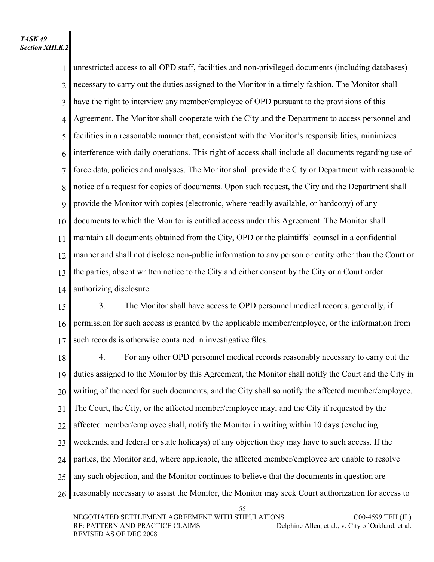1 2 3 4 5 6 7 8 9 10 11 12 13 14 unrestricted access to all OPD staff, facilities and non-privileged documents (including databases) necessary to carry out the duties assigned to the Monitor in a timely fashion. The Monitor shall have the right to interview any member/employee of OPD pursuant to the provisions of this Agreement. The Monitor shall cooperate with the City and the Department to access personnel and facilities in a reasonable manner that, consistent with the Monitor's responsibilities, minimizes interference with daily operations. This right of access shall include all documents regarding use of force data, policies and analyses. The Monitor shall provide the City or Department with reasonable notice of a request for copies of documents. Upon such request, the City and the Department shall provide the Monitor with copies (electronic, where readily available, or hardcopy) of any documents to which the Monitor is entitled access under this Agreement. The Monitor shall maintain all documents obtained from the City, OPD or the plaintiffs' counsel in a confidential manner and shall not disclose non-public information to any person or entity other than the Court or the parties, absent written notice to the City and either consent by the City or a Court order authorizing disclosure.

15 16 17 3. The Monitor shall have access to OPD personnel medical records, generally, if permission for such access is granted by the applicable member/employee, or the information from such records is otherwise contained in investigative files.

18 19 20 21 22 23 24 25 26 4. For any other OPD personnel medical records reasonably necessary to carry out the duties assigned to the Monitor by this Agreement, the Monitor shall notify the Court and the City in writing of the need for such documents, and the City shall so notify the affected member/employee. The Court, the City, or the affected member/employee may, and the City if requested by the affected member/employee shall, notify the Monitor in writing within 10 days (excluding weekends, and federal or state holidays) of any objection they may have to such access. If the parties, the Monitor and, where applicable, the affected member/employee are unable to resolve any such objection, and the Monitor continues to believe that the documents in question are reasonably necessary to assist the Monitor, the Monitor may seek Court authorization for access to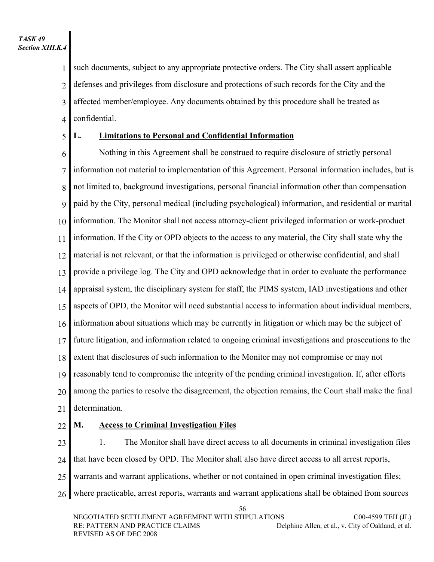1 2 3 4 such documents, subject to any appropriate protective orders. The City shall assert applicable defenses and privileges from disclosure and protections of such records for the City and the affected member/employee. Any documents obtained by this procedure shall be treated as confidential.

5

## **L. Limitations to Personal and Confidential Information**

6 7 8 9 10 11 12 13 14 15 16 17 18 19 20  $21$ Nothing in this Agreement shall be construed to require disclosure of strictly personal information not material to implementation of this Agreement. Personal information includes, but is not limited to, background investigations, personal financial information other than compensation paid by the City, personal medical (including psychological) information, and residential or marital information. The Monitor shall not access attorney-client privileged information or work-product information. If the City or OPD objects to the access to any material, the City shall state why the material is not relevant, or that the information is privileged or otherwise confidential, and shall provide a privilege log. The City and OPD acknowledge that in order to evaluate the performance appraisal system, the disciplinary system for staff, the PIMS system, IAD investigations and other aspects of OPD, the Monitor will need substantial access to information about individual members, information about situations which may be currently in litigation or which may be the subject of future litigation, and information related to ongoing criminal investigations and prosecutions to the extent that disclosures of such information to the Monitor may not compromise or may not reasonably tend to compromise the integrity of the pending criminal investigation. If, after efforts among the parties to resolve the disagreement, the objection remains, the Court shall make the final determination.

22

## **M. Access to Criminal Investigation Files**

23 24 25 1. The Monitor shall have direct access to all documents in criminal investigation files that have been closed by OPD. The Monitor shall also have direct access to all arrest reports, warrants and warrant applications, whether or not contained in open criminal investigation files;

26 where practicable, arrest reports, warrants and warrant applications shall be obtained from sources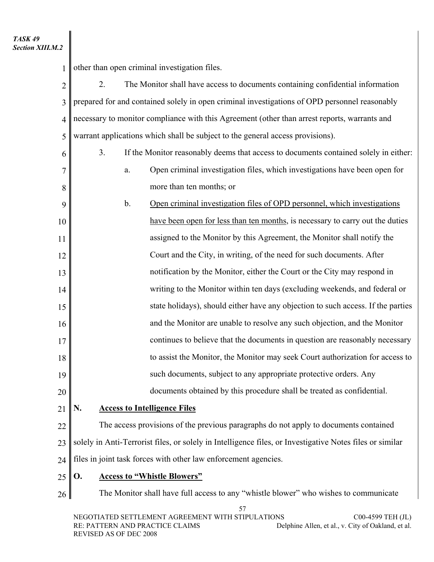1 other than open criminal investigation files.

| $\overline{2}$ | The Monitor shall have access to documents containing confidential information<br>2.                     |  |  |  |  |
|----------------|----------------------------------------------------------------------------------------------------------|--|--|--|--|
| 3              | prepared for and contained solely in open criminal investigations of OPD personnel reasonably            |  |  |  |  |
| 4              | necessary to monitor compliance with this Agreement (other than arrest reports, warrants and             |  |  |  |  |
| 5              | warrant applications which shall be subject to the general access provisions).                           |  |  |  |  |
| 6              | 3.<br>If the Monitor reasonably deems that access to documents contained solely in either:               |  |  |  |  |
| $\overline{7}$ | Open criminal investigation files, which investigations have been open for<br>a.                         |  |  |  |  |
| 8              | more than ten months; or                                                                                 |  |  |  |  |
| 9              | b.<br>Open criminal investigation files of OPD personnel, which investigations                           |  |  |  |  |
| 10             | have been open for less than ten months, is necessary to carry out the duties                            |  |  |  |  |
| 11             | assigned to the Monitor by this Agreement, the Monitor shall notify the                                  |  |  |  |  |
| 12             | Court and the City, in writing, of the need for such documents. After                                    |  |  |  |  |
| 13             | notification by the Monitor, either the Court or the City may respond in                                 |  |  |  |  |
| 14             | writing to the Monitor within ten days (excluding weekends, and federal or                               |  |  |  |  |
| 15             | state holidays), should either have any objection to such access. If the parties                         |  |  |  |  |
| 16             | and the Monitor are unable to resolve any such objection, and the Monitor                                |  |  |  |  |
| 17             | continues to believe that the documents in question are reasonably necessary                             |  |  |  |  |
| 18             | to assist the Monitor, the Monitor may seek Court authorization for access to                            |  |  |  |  |
| 19             | such documents, subject to any appropriate protective orders. Any                                        |  |  |  |  |
| 20             | documents obtained by this procedure shall be treated as confidential.                                   |  |  |  |  |
| 21             | <b>Access to Intelligence Files</b><br>N.                                                                |  |  |  |  |
| 22             | The access provisions of the previous paragraphs do not apply to documents contained                     |  |  |  |  |
| 23             | solely in Anti-Terrorist files, or solely in Intelligence files, or Investigative Notes files or similar |  |  |  |  |
| 24             | files in joint task forces with other law enforcement agencies.                                          |  |  |  |  |

### $25$  0. **O. Access to "Whistle Blowers"**

26 The Monitor shall have full access to any "whistle blower" who wishes to communicate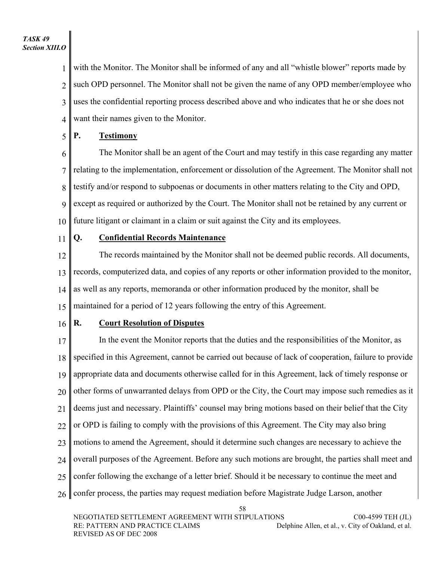1 2 3 4 with the Monitor. The Monitor shall be informed of any and all "whistle blower" reports made by such OPD personnel. The Monitor shall not be given the name of any OPD member/employee who uses the confidential reporting process described above and who indicates that he or she does not want their names given to the Monitor.

5 **P. Testimony**

6 7 8 9 10 The Monitor shall be an agent of the Court and may testify in this case regarding any matter relating to the implementation, enforcement or dissolution of the Agreement. The Monitor shall not testify and/or respond to subpoenas or documents in other matters relating to the City and OPD, except as required or authorized by the Court. The Monitor shall not be retained by any current or future litigant or claimant in a claim or suit against the City and its employees.

11

## **Q. Confidential Records Maintenance**

12 13 14 15 The records maintained by the Monitor shall not be deemed public records. All documents, records, computerized data, and copies of any reports or other information provided to the monitor, as well as any reports, memoranda or other information produced by the monitor, shall be maintained for a period of 12 years following the entry of this Agreement.

16

## **R. Court Resolution of Disputes**

17 18 19 20 21 22 23 24 25 26 In the event the Monitor reports that the duties and the responsibilities of the Monitor, as specified in this Agreement, cannot be carried out because of lack of cooperation, failure to provide appropriate data and documents otherwise called for in this Agreement, lack of timely response or other forms of unwarranted delays from OPD or the City, the Court may impose such remedies as it deems just and necessary. Plaintiffs' counsel may bring motions based on their belief that the City or OPD is failing to comply with the provisions of this Agreement. The City may also bring motions to amend the Agreement, should it determine such changes are necessary to achieve the overall purposes of the Agreement. Before any such motions are brought, the parties shall meet and confer following the exchange of a letter brief. Should it be necessary to continue the meet and confer process, the parties may request mediation before Magistrate Judge Larson, another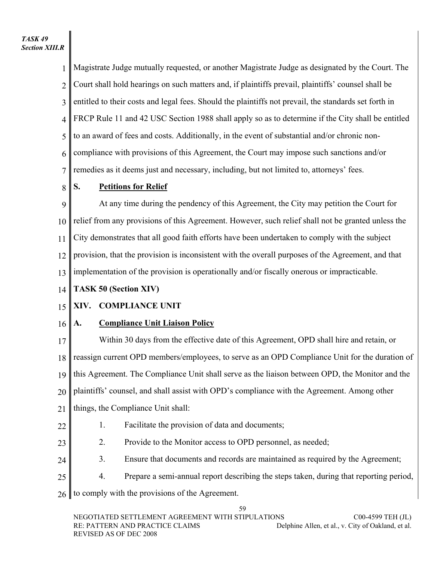1 2 3 4 5 6 7 Magistrate Judge mutually requested, or another Magistrate Judge as designated by the Court. The Court shall hold hearings on such matters and, if plaintiffs prevail, plaintiffs' counsel shall be entitled to their costs and legal fees. Should the plaintiffs not prevail, the standards set forth in FRCP Rule 11 and 42 USC Section 1988 shall apply so as to determine if the City shall be entitled to an award of fees and costs. Additionally, in the event of substantial and/or chronic noncompliance with provisions of this Agreement, the Court may impose such sanctions and/or remedies as it deems just and necessary, including, but not limited to, attorneys' fees.

8 **S. Petitions for Relief**

 $\overline{Q}$ 10 11 12 At any time during the pendency of this Agreement, the City may petition the Court for relief from any provisions of this Agreement. However, such relief shall not be granted unless the City demonstrates that all good faith efforts have been undertaken to comply with the subject provision, that the provision is inconsistent with the overall purposes of the Agreement, and that

13 implementation of the provision is operationally and/or fiscally onerous or impracticable.

### 14 **TASK 50 (Section XIV)**

### 15 **XIV. COMPLIANCE UNIT**

### 16 **A. Compliance Unit Liaison Policy**

17 18 19 20  $21$ Within 30 days from the effective date of this Agreement, OPD shall hire and retain, or reassign current OPD members/employees, to serve as an OPD Compliance Unit for the duration of this Agreement. The Compliance Unit shall serve as the liaison between OPD, the Monitor and the plaintiffs' counsel, and shall assist with OPD's compliance with the Agreement. Among other things, the Compliance Unit shall:

- 22
- 1. Facilitate the provision of data and documents;
- 23 2. Provide to the Monitor access to OPD personnel, as needed;
- 24 3. Ensure that documents and records are maintained as required by the Agreement;
- 25 4. Prepare a semi-annual report describing the steps taken, during that reporting period,
- $26$  to comply with the provisions of the Agreement.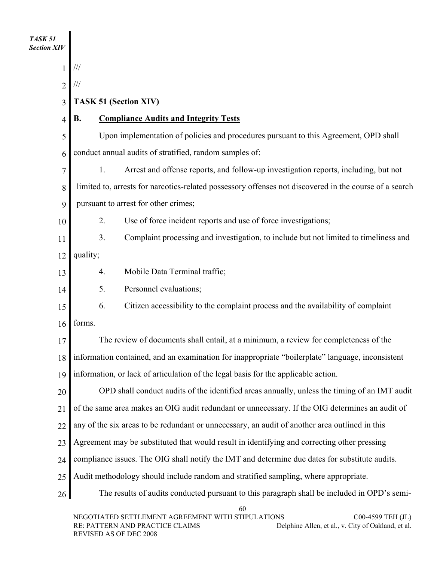| <b>TASK 51</b><br><b>Section XIV</b>                                                              |                                                                                                        |  |  |
|---------------------------------------------------------------------------------------------------|--------------------------------------------------------------------------------------------------------|--|--|
| $\mathbf{1}$                                                                                      | ///                                                                                                    |  |  |
| $\overline{2}$                                                                                    | ///                                                                                                    |  |  |
| 3                                                                                                 | <b>TASK 51 (Section XIV)</b>                                                                           |  |  |
| $\overline{4}$                                                                                    | <b>Compliance Audits and Integrity Tests</b><br><b>B.</b>                                              |  |  |
| 5                                                                                                 | Upon implementation of policies and procedures pursuant to this Agreement, OPD shall                   |  |  |
| 6                                                                                                 | conduct annual audits of stratified, random samples of:                                                |  |  |
| $\overline{7}$                                                                                    | Arrest and offense reports, and follow-up investigation reports, including, but not<br>1.              |  |  |
| 8                                                                                                 | limited to, arrests for narcotics-related possessory offenses not discovered in the course of a search |  |  |
| 9                                                                                                 | pursuant to arrest for other crimes;                                                                   |  |  |
| 10                                                                                                | Use of force incident reports and use of force investigations;<br>2.                                   |  |  |
| 11                                                                                                | 3.<br>Complaint processing and investigation, to include but not limited to timeliness and             |  |  |
| 12                                                                                                | quality;                                                                                               |  |  |
| 13                                                                                                | Mobile Data Terminal traffic;<br>4.                                                                    |  |  |
| 14                                                                                                | Personnel evaluations;<br>5.                                                                           |  |  |
| 15                                                                                                | Citizen accessibility to the complaint process and the availability of complaint<br>6.                 |  |  |
| 16                                                                                                | forms.                                                                                                 |  |  |
| 17                                                                                                | The review of documents shall entail, at a minimum, a review for completeness of the                   |  |  |
| 18                                                                                                | information contained, and an examination for inappropriate "boilerplate" language, inconsistent       |  |  |
| 19                                                                                                | information, or lack of articulation of the legal basis for the applicable action.                     |  |  |
| 20                                                                                                | OPD shall conduct audits of the identified areas annually, unless the timing of an IMT audit           |  |  |
| 21                                                                                                | of the same area makes an OIG audit redundant or unnecessary. If the OIG determines an audit of        |  |  |
| 22                                                                                                | any of the six areas to be redundant or unnecessary, an audit of another area outlined in this         |  |  |
| 23                                                                                                | Agreement may be substituted that would result in identifying and correcting other pressing            |  |  |
| 24                                                                                                | compliance issues. The OIG shall notify the IMT and determine due dates for substitute audits.         |  |  |
| 25                                                                                                | Audit methodology should include random and stratified sampling, where appropriate.                    |  |  |
| The results of audits conducted pursuant to this paragraph shall be included in OPD's semi-<br>26 |                                                                                                        |  |  |
|                                                                                                   | 60<br>NEGOTIATED SETTLEMENT AGREEMENT WITH STIPULATIONS<br>C00-4599 TEH (JL)                           |  |  |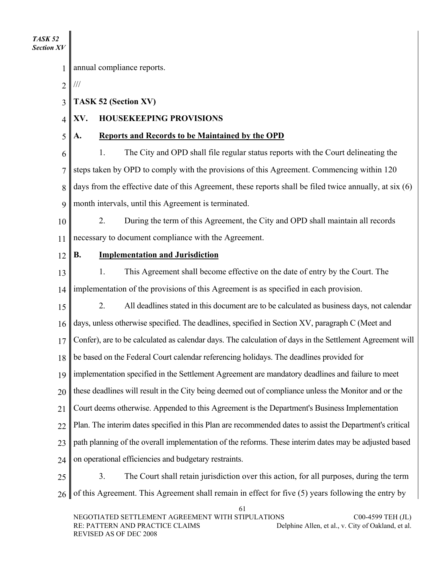1 annual compliance reports.

2 ///

5

3 **TASK 52 (Section XV)** 

- 4 **XV. HOUSEKEEPING PROVISIONS** 
	- **A. Reports and Records to be Maintained by the OPD**

6 7 8  $\overline{Q}$ 1. The City and OPD shall file regular status reports with the Court delineating the steps taken by OPD to comply with the provisions of this Agreement. Commencing within 120 days from the effective date of this Agreement, these reports shall be filed twice annually, at six (6) month intervals, until this Agreement is terminated.

10 11 2. During the term of this Agreement, the City and OPD shall maintain all records necessary to document compliance with the Agreement.

12

# **B. Implementation and Jurisdiction**

13 14 1. This Agreement shall become effective on the date of entry by the Court. The implementation of the provisions of this Agreement is as specified in each provision.

15 16 17 18 19 20  $21$ 22 23 24 2. All deadlines stated in this document are to be calculated as business days, not calendar days, unless otherwise specified. The deadlines, specified in Section XV, paragraph C (Meet and Confer), are to be calculated as calendar days. The calculation of days in the Settlement Agreement will be based on the Federal Court calendar referencing holidays. The deadlines provided for implementation specified in the Settlement Agreement are mandatory deadlines and failure to meet these deadlines will result in the City being deemed out of compliance unless the Monitor and or the Court deems otherwise. Appended to this Agreement is the Department's Business Implementation Plan. The interim dates specified in this Plan are recommended dates to assist the Department's critical path planning of the overall implementation of the reforms. These interim dates may be adjusted based on operational efficiencies and budgetary restraints.

25  $26 \parallel$  of this Agreement. This Agreement shall remain in effect for five (5) years following the entry by 3. The Court shall retain jurisdiction over this action, for all purposes, during the term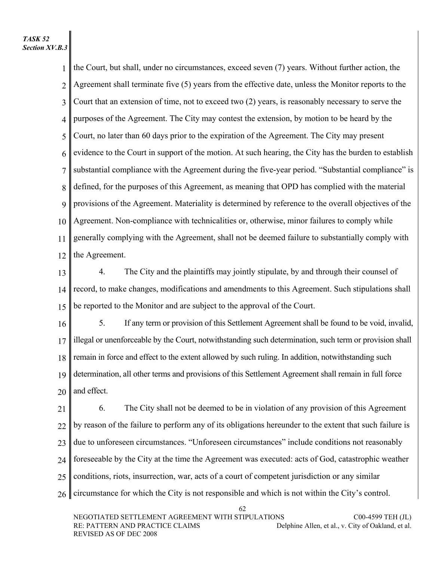1 2 3 4 5 6 7 8  $\overline{Q}$ 10 11 12 the Court, but shall, under no circumstances, exceed seven (7) years. Without further action, the Agreement shall terminate five (5) years from the effective date, unless the Monitor reports to the Court that an extension of time, not to exceed two (2) years, is reasonably necessary to serve the purposes of the Agreement. The City may contest the extension, by motion to be heard by the Court, no later than 60 days prior to the expiration of the Agreement. The City may present evidence to the Court in support of the motion. At such hearing, the City has the burden to establish substantial compliance with the Agreement during the five-year period. "Substantial compliance" is defined, for the purposes of this Agreement, as meaning that OPD has complied with the material provisions of the Agreement. Materiality is determined by reference to the overall objectives of the Agreement. Non-compliance with technicalities or, otherwise, minor failures to comply while generally complying with the Agreement, shall not be deemed failure to substantially comply with the Agreement.

13 14 15 4. The City and the plaintiffs may jointly stipulate, by and through their counsel of record, to make changes, modifications and amendments to this Agreement. Such stipulations shall be reported to the Monitor and are subject to the approval of the Court.

16 17 18 19 20 5. If any term or provision of this Settlement Agreement shall be found to be void, invalid, illegal or unenforceable by the Court, notwithstanding such determination, such term or provision shall remain in force and effect to the extent allowed by such ruling. In addition, notwithstanding such determination, all other terms and provisions of this Settlement Agreement shall remain in full force and effect.

21 22 23 24 25 26 6. The City shall not be deemed to be in violation of any provision of this Agreement by reason of the failure to perform any of its obligations hereunder to the extent that such failure is due to unforeseen circumstances. "Unforeseen circumstances" include conditions not reasonably foreseeable by the City at the time the Agreement was executed: acts of God, catastrophic weather conditions, riots, insurrection, war, acts of a court of competent jurisdiction or any similar circumstance for which the City is not responsible and which is not within the City's control.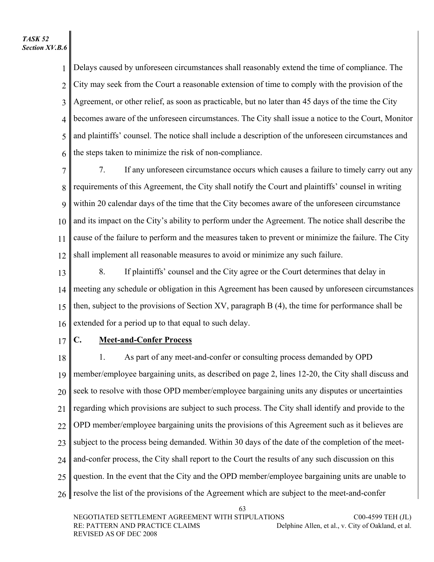1 2 3 4 5 6 Delays caused by unforeseen circumstances shall reasonably extend the time of compliance. The City may seek from the Court a reasonable extension of time to comply with the provision of the Agreement, or other relief, as soon as practicable, but no later than 45 days of the time the City becomes aware of the unforeseen circumstances. The City shall issue a notice to the Court, Monitor and plaintiffs' counsel. The notice shall include a description of the unforeseen circumstances and the steps taken to minimize the risk of non-compliance.

7 8 9 10 11 12 7. If any unforeseen circumstance occurs which causes a failure to timely carry out any requirements of this Agreement, the City shall notify the Court and plaintiffs' counsel in writing within 20 calendar days of the time that the City becomes aware of the unforeseen circumstance and its impact on the City's ability to perform under the Agreement. The notice shall describe the cause of the failure to perform and the measures taken to prevent or minimize the failure. The City shall implement all reasonable measures to avoid or minimize any such failure.

13 14 15 16 8. If plaintiffs' counsel and the City agree or the Court determines that delay in meeting any schedule or obligation in this Agreement has been caused by unforeseen circumstances then, subject to the provisions of Section XV, paragraph B (4), the time for performance shall be extended for a period up to that equal to such delay.

17

# **C. Meet-and-Confer Process**

18 19 20 21 22 23 24 25 26 l 1. As part of any meet-and-confer or consulting process demanded by OPD member/employee bargaining units, as described on page 2, lines 12-20, the City shall discuss and seek to resolve with those OPD member/employee bargaining units any disputes or uncertainties regarding which provisions are subject to such process. The City shall identify and provide to the OPD member/employee bargaining units the provisions of this Agreement such as it believes are subject to the process being demanded. Within 30 days of the date of the completion of the meetand-confer process, the City shall report to the Court the results of any such discussion on this question. In the event that the City and the OPD member/employee bargaining units are unable to resolve the list of the provisions of the Agreement which are subject to the meet-and-confer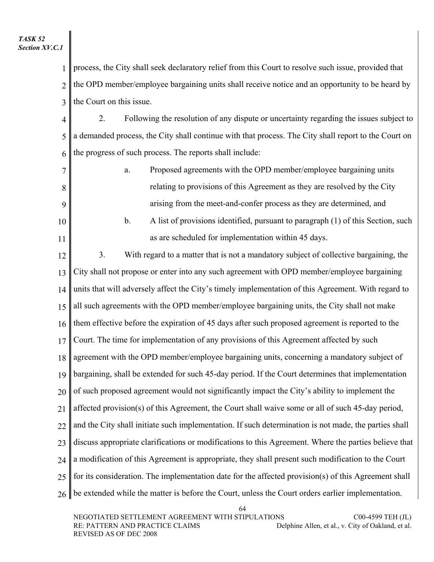7

8

9

10

11

1 2 3 process, the City shall seek declaratory relief from this Court to resolve such issue, provided that the OPD member/employee bargaining units shall receive notice and an opportunity to be heard by the Court on this issue.

4 5 6 2. Following the resolution of any dispute or uncertainty regarding the issues subject to a demanded process, the City shall continue with that process. The City shall report to the Court on the progress of such process. The reports shall include:

- a. Proposed agreements with the OPD member/employee bargaining units relating to provisions of this Agreement as they are resolved by the City arising from the meet-and-confer process as they are determined, and
	- b. A list of provisions identified, pursuant to paragraph (1) of this Section, such as are scheduled for implementation within 45 days.

12 13 14 15 16 17 18 19 20 21 22 23 24 25 26 3. With regard to a matter that is not a mandatory subject of collective bargaining, the City shall not propose or enter into any such agreement with OPD member/employee bargaining units that will adversely affect the City's timely implementation of this Agreement. With regard to all such agreements with the OPD member/employee bargaining units, the City shall not make them effective before the expiration of 45 days after such proposed agreement is reported to the Court. The time for implementation of any provisions of this Agreement affected by such agreement with the OPD member/employee bargaining units, concerning a mandatory subject of bargaining, shall be extended for such 45-day period. If the Court determines that implementation of such proposed agreement would not significantly impact the City's ability to implement the affected provision(s) of this Agreement, the Court shall waive some or all of such 45-day period, and the City shall initiate such implementation. If such determination is not made, the parties shall discuss appropriate clarifications or modifications to this Agreement. Where the parties believe that a modification of this Agreement is appropriate, they shall present such modification to the Court for its consideration. The implementation date for the affected provision(s) of this Agreement shall be extended while the matter is before the Court, unless the Court orders earlier implementation.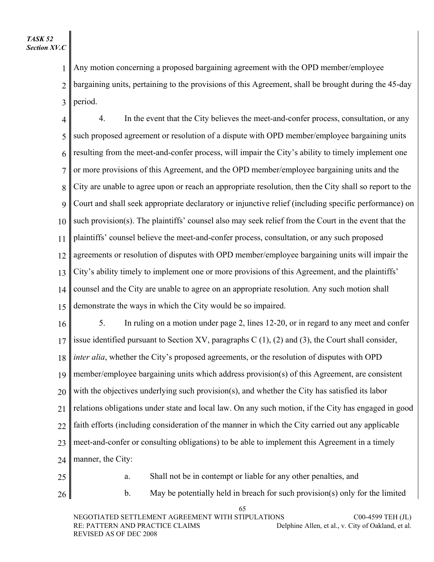1 2 3 Any motion concerning a proposed bargaining agreement with the OPD member/employee bargaining units, pertaining to the provisions of this Agreement, shall be brought during the 45-day period.

4 5 6 7 8 9 10 11 12 13 14 15 4. In the event that the City believes the meet-and-confer process, consultation, or any such proposed agreement or resolution of a dispute with OPD member/employee bargaining units resulting from the meet-and-confer process, will impair the City's ability to timely implement one or more provisions of this Agreement, and the OPD member/employee bargaining units and the City are unable to agree upon or reach an appropriate resolution, then the City shall so report to the Court and shall seek appropriate declaratory or injunctive relief (including specific performance) on such provision(s). The plaintiffs' counsel also may seek relief from the Court in the event that the plaintiffs' counsel believe the meet-and-confer process, consultation, or any such proposed agreements or resolution of disputes with OPD member/employee bargaining units will impair the City's ability timely to implement one or more provisions of this Agreement, and the plaintiffs' counsel and the City are unable to agree on an appropriate resolution. Any such motion shall demonstrate the ways in which the City would be so impaired.

16 17 18 19 20 21 22 23 24 5. In ruling on a motion under page 2, lines 12-20, or in regard to any meet and confer issue identified pursuant to Section XV, paragraphs  $C(1)$ ,  $(2)$  and  $(3)$ , the Court shall consider, *inter alia*, whether the City's proposed agreements, or the resolution of disputes with OPD member/employee bargaining units which address provision(s) of this Agreement, are consistent with the objectives underlying such provision(s), and whether the City has satisfied its labor relations obligations under state and local law. On any such motion, if the City has engaged in good faith efforts (including consideration of the manner in which the City carried out any applicable meet-and-confer or consulting obligations) to be able to implement this Agreement in a timely manner, the City:

25 26 a. Shall not be in contempt or liable for any other penalties, and b. May be potentially held in breach for such provision(s) only for the limited

<sup>65</sup>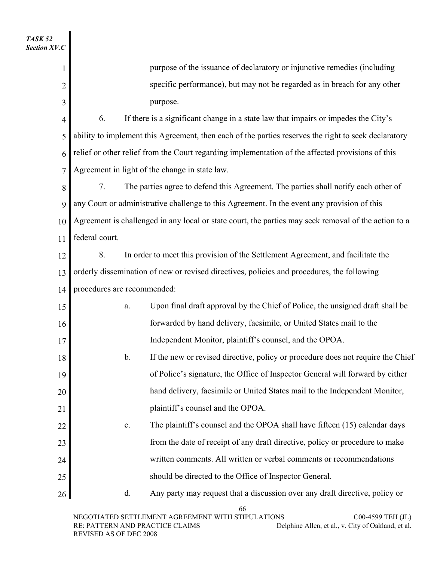|    |                                                                                             |                | purpose of the issuance of declaratory or injunctive remedies (including                             |  |
|----|---------------------------------------------------------------------------------------------|----------------|------------------------------------------------------------------------------------------------------|--|
| 2  |                                                                                             |                | specific performance), but may not be regarded as in breach for any other                            |  |
| 3  |                                                                                             |                | purpose.                                                                                             |  |
| 4  | 6.                                                                                          |                | If there is a significant change in a state law that impairs or impedes the City's                   |  |
| 5  |                                                                                             |                | ability to implement this Agreement, then each of the parties reserves the right to seek declaratory |  |
| 6  |                                                                                             |                | relief or other relief from the Court regarding implementation of the affected provisions of this    |  |
| 7  |                                                                                             |                | Agreement in light of the change in state law.                                                       |  |
| 8  | 7.                                                                                          |                | The parties agree to defend this Agreement. The parties shall notify each other of                   |  |
| 9  | any Court or administrative challenge to this Agreement. In the event any provision of this |                |                                                                                                      |  |
| 10 |                                                                                             |                | Agreement is challenged in any local or state court, the parties may seek removal of the action to a |  |
| 11 | federal court.                                                                              |                |                                                                                                      |  |
| 12 | 8.                                                                                          |                | In order to meet this provision of the Settlement Agreement, and facilitate the                      |  |
| 13 | orderly dissemination of new or revised directives, policies and procedures, the following  |                |                                                                                                      |  |
| 14 | procedures are recommended:                                                                 |                |                                                                                                      |  |
| 15 |                                                                                             | a.             | Upon final draft approval by the Chief of Police, the unsigned draft shall be                        |  |
| 16 |                                                                                             |                | forwarded by hand delivery, facsimile, or United States mail to the                                  |  |
| 17 |                                                                                             |                | Independent Monitor, plaintiff's counsel, and the OPOA.                                              |  |
| 18 |                                                                                             | b.             | If the new or revised directive, policy or procedure does not require the Chief                      |  |
| 19 |                                                                                             |                | of Police's signature, the Office of Inspector General will forward by either                        |  |
| 20 |                                                                                             |                | hand delivery, facsimile or United States mail to the Independent Monitor,                           |  |
| 21 |                                                                                             |                | plaintiff's counsel and the OPOA.                                                                    |  |
| 22 |                                                                                             | $\mathbf{c}$ . | The plaintiff's counsel and the OPOA shall have fifteen (15) calendar days                           |  |
| 23 |                                                                                             |                | from the date of receipt of any draft directive, policy or procedure to make                         |  |
| 24 |                                                                                             |                | written comments. All written or verbal comments or recommendations                                  |  |
| 25 |                                                                                             |                | should be directed to the Office of Inspector General.                                               |  |
| 26 |                                                                                             | $\mathbf{d}$ . | Any party may request that a discussion over any draft directive, policy or                          |  |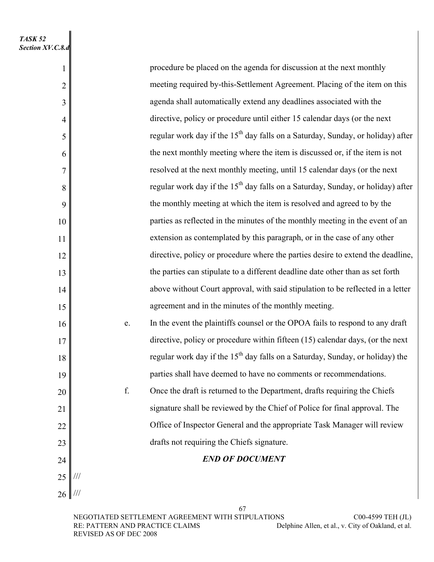| TASK 52          |  |
|------------------|--|
| Section XV.C.8.d |  |

| $\mathbf{1}$   |               | procedure be placed on the agenda for discussion at the next monthly                        |
|----------------|---------------|---------------------------------------------------------------------------------------------|
| $\overline{2}$ |               | meeting required by-this-Settlement Agreement. Placing of the item on this                  |
| 3              |               | agenda shall automatically extend any deadlines associated with the                         |
| $\overline{4}$ |               | directive, policy or procedure until either 15 calendar days (or the next                   |
| 5              |               | regular work day if the 15 <sup>th</sup> day falls on a Saturday, Sunday, or holiday) after |
| 6              |               | the next monthly meeting where the item is discussed or, if the item is not                 |
| 7              |               | resolved at the next monthly meeting, until 15 calendar days (or the next                   |
| 8              |               | regular work day if the 15 <sup>th</sup> day falls on a Saturday, Sunday, or holiday) after |
| 9              |               | the monthly meeting at which the item is resolved and agreed to by the                      |
| 10             |               | parties as reflected in the minutes of the monthly meeting in the event of an               |
| 11             |               | extension as contemplated by this paragraph, or in the case of any other                    |
| 12             |               | directive, policy or procedure where the parties desire to extend the deadline,             |
| 13             |               | the parties can stipulate to a different deadline date other than as set forth              |
| 14             |               | above without Court approval, with said stipulation to be reflected in a letter             |
| 15             |               | agreement and in the minutes of the monthly meeting.                                        |
| 16             | e.            | In the event the plaintiffs counsel or the OPOA fails to respond to any draft               |
| 17             |               | directive, policy or procedure within fifteen (15) calendar days, (or the next              |
| 18             |               | regular work day if the 15 <sup>th</sup> day falls on a Saturday, Sunday, or holiday) the   |
| 19             |               | parties shall have deemed to have no comments or recommendations.                           |
| 20             | f.            | Once the draft is returned to the Department, drafts requiring the Chiefs                   |
| 21             |               | signature shall be reviewed by the Chief of Police for final approval. The                  |
| 22             |               | Office of Inspector General and the appropriate Task Manager will review                    |
| 23             |               | drafts not requiring the Chiefs signature.                                                  |
| 24             |               | <b>END OF DOCUMENT</b>                                                                      |
| 25             | $\frac{1}{1}$ |                                                                                             |
| $26$  ///      |               |                                                                                             |